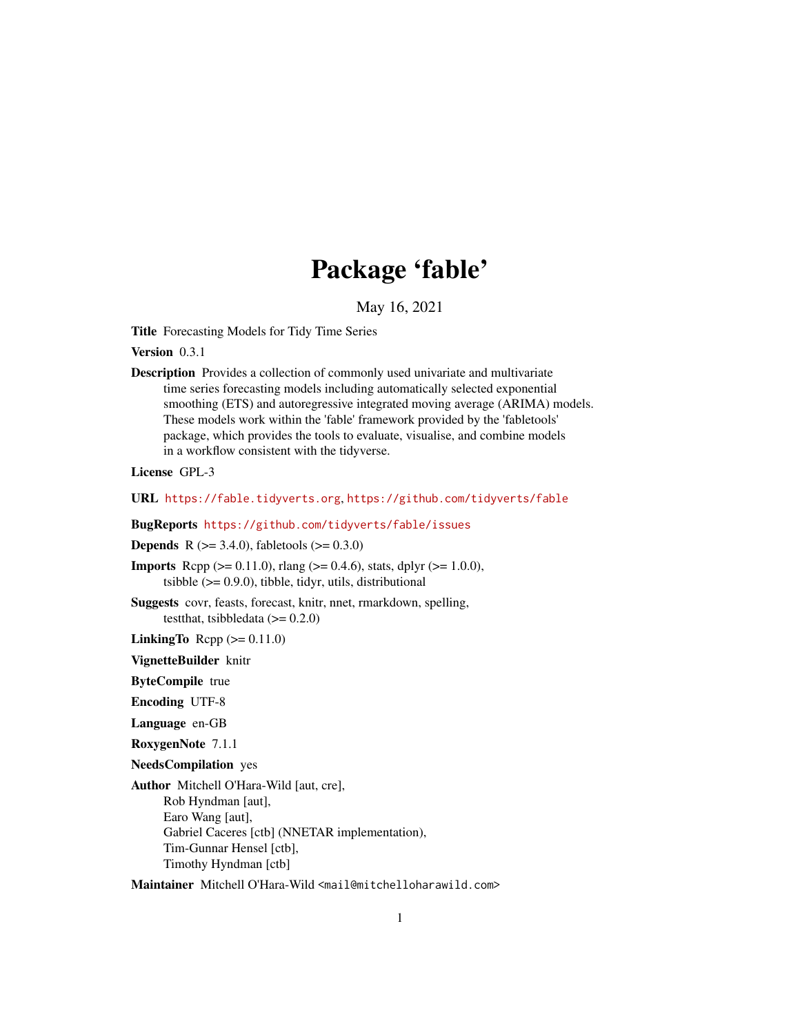# Package 'fable'

May 16, 2021

<span id="page-0-0"></span>Title Forecasting Models for Tidy Time Series

Version 0.3.1

Description Provides a collection of commonly used univariate and multivariate time series forecasting models including automatically selected exponential smoothing (ETS) and autoregressive integrated moving average (ARIMA) models. These models work within the 'fable' framework provided by the 'fabletools' package, which provides the tools to evaluate, visualise, and combine models in a workflow consistent with the tidyverse.

License GPL-3

URL <https://fable.tidyverts.org>, <https://github.com/tidyverts/fable>

BugReports <https://github.com/tidyverts/fable/issues>

**Depends** R ( $>= 3.4.0$ ), fabletools ( $>= 0.3.0$ )

**Imports** Rcpp ( $>= 0.11.0$ ), rlang ( $>= 0.4.6$ ), stats, dplyr ( $>= 1.0.0$ ), tsibble  $(>= 0.9.0)$ , tibble, tidyr, utils, distributional

Suggests covr, feasts, forecast, knitr, nnet, rmarkdown, spelling, testthat, tsibbledata  $(>= 0.2.0)$ 

**LinkingTo** Rcpp  $(>= 0.11.0)$ 

VignetteBuilder knitr

ByteCompile true

Encoding UTF-8

Language en-GB

RoxygenNote 7.1.1

NeedsCompilation yes

Author Mitchell O'Hara-Wild [aut, cre], Rob Hyndman [aut], Earo Wang [aut], Gabriel Caceres [ctb] (NNETAR implementation), Tim-Gunnar Hensel [ctb], Timothy Hyndman [ctb]

Maintainer Mitchell O'Hara-Wild <mail@mitchelloharawild.com>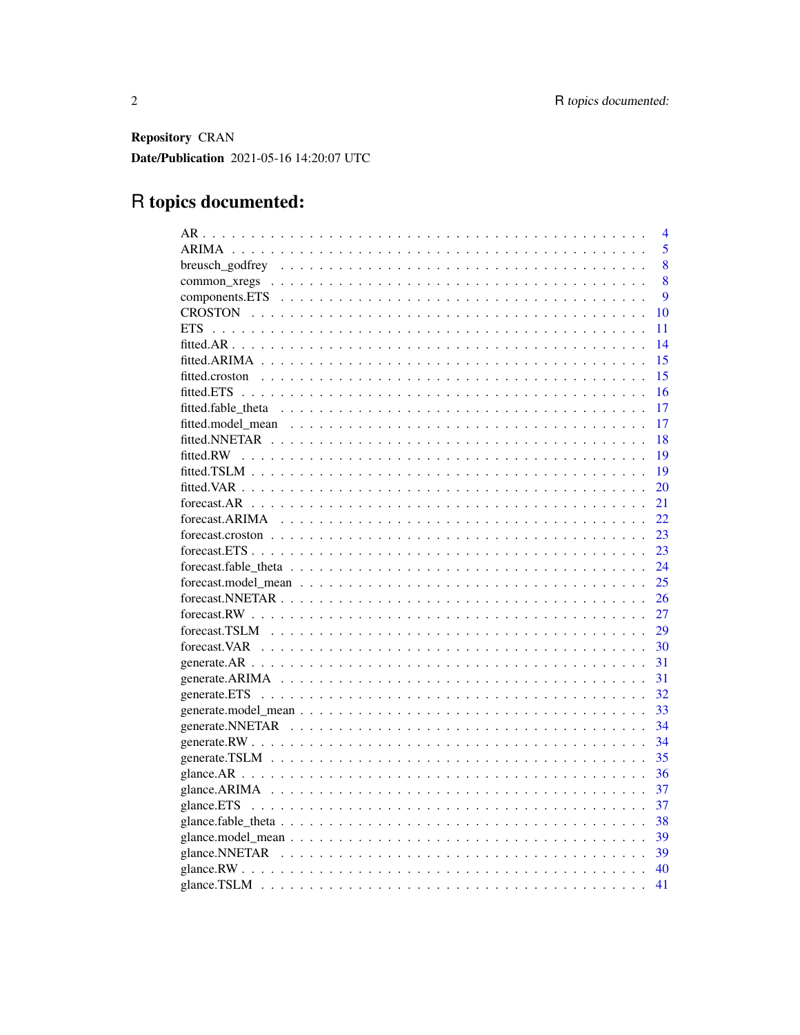Repository CRAN Date/Publication 2021-05-16 14:20:07 UTC

# R topics documented:

|              | $\overline{4}$ |
|--------------|----------------|
|              | 5              |
|              | 8              |
|              | 8              |
|              | 9              |
|              | 10             |
|              | 11             |
|              | 14             |
|              | 15             |
|              | 15             |
|              | 16             |
|              | 17             |
|              | 17             |
|              | 18             |
|              | 19             |
|              | 19             |
|              | 20             |
|              | 21             |
|              | 22             |
|              | 23             |
|              | 23             |
|              | 24             |
|              | 25             |
|              | 26             |
|              | 27             |
|              | 29             |
|              | 30             |
|              | 31             |
|              | 31             |
| generate.ETS | 32             |
|              | 33             |
|              | 34             |
|              | 34             |
|              | 35             |
|              | 36             |
|              | 37             |
| glance.ETS   | 37             |
|              | 38             |
|              | 39             |
|              | 39             |
|              | 40             |
|              | 41             |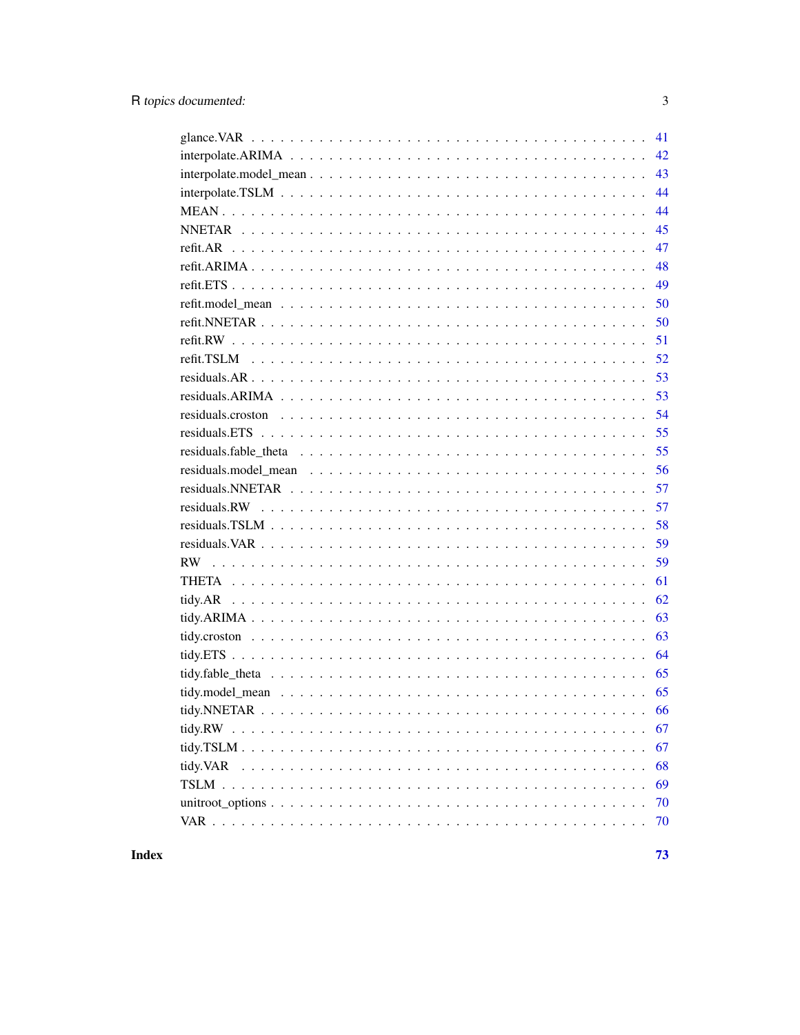|                                                                                                            | 41 |
|------------------------------------------------------------------------------------------------------------|----|
|                                                                                                            | 42 |
|                                                                                                            | 43 |
|                                                                                                            | 44 |
|                                                                                                            | 44 |
|                                                                                                            | 45 |
|                                                                                                            | 47 |
|                                                                                                            | 48 |
|                                                                                                            | 49 |
|                                                                                                            | 50 |
|                                                                                                            | 50 |
|                                                                                                            | 51 |
|                                                                                                            | 52 |
|                                                                                                            | 53 |
|                                                                                                            | 53 |
|                                                                                                            | 54 |
|                                                                                                            | 55 |
|                                                                                                            | 55 |
|                                                                                                            | 56 |
|                                                                                                            | 57 |
| residuals. RW $\ldots \ldots \ldots \ldots \ldots \ldots \ldots \ldots \ldots \ldots \ldots \ldots \ldots$ | 57 |
|                                                                                                            | 58 |
|                                                                                                            | 59 |
|                                                                                                            | 59 |
|                                                                                                            | 61 |
|                                                                                                            | 62 |
|                                                                                                            | 63 |
|                                                                                                            | 63 |
|                                                                                                            | 64 |
|                                                                                                            | 65 |
|                                                                                                            | 65 |
|                                                                                                            |    |
|                                                                                                            | 67 |
|                                                                                                            | 67 |
|                                                                                                            | 68 |
|                                                                                                            | 69 |
|                                                                                                            | 70 |
|                                                                                                            | 70 |
|                                                                                                            |    |

**Index**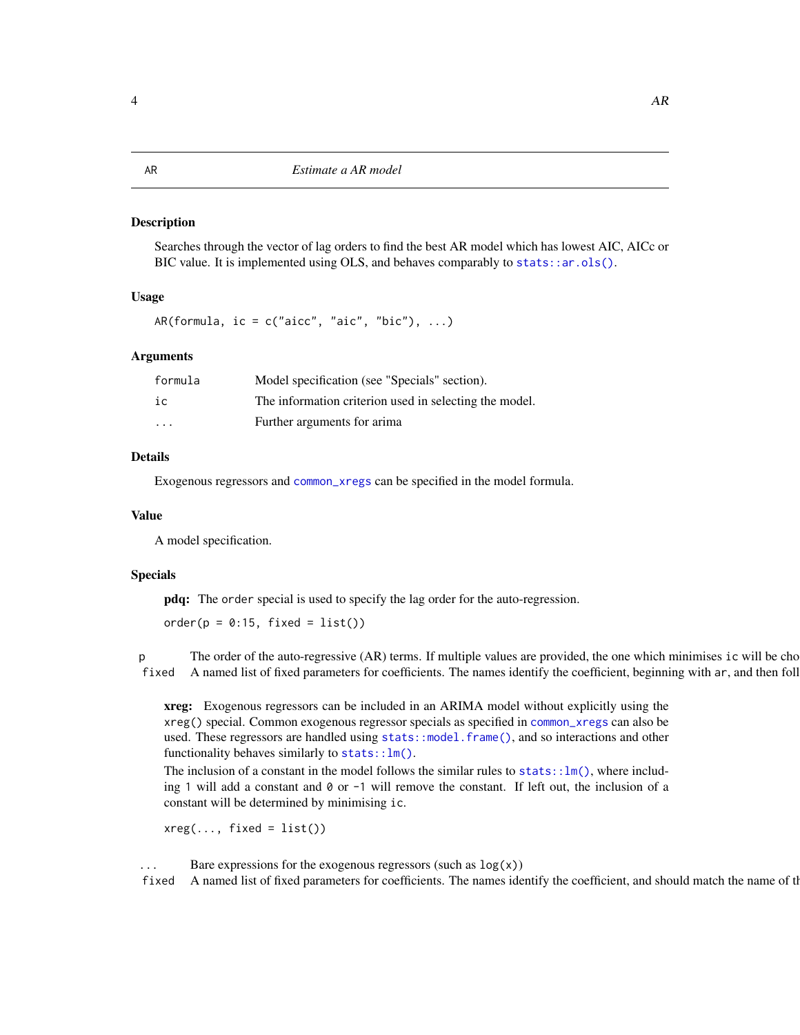<span id="page-3-0"></span>Searches through the vector of lag orders to find the best AR model which has lowest AIC, AICc or BIC value. It is implemented using OLS, and behaves comparably to stats:: $ar.ols()$ .

#### Usage

AR(formula, ic =  $c("aicc", "aic", "bic"), ...$ )

#### Arguments

| formula  | Model specification (see "Specials" section).          |
|----------|--------------------------------------------------------|
| iс       | The information criterion used in selecting the model. |
| $\cdots$ | Further arguments for arima                            |

#### Details

Exogenous regressors and [common\\_xregs](#page-7-1) can be specified in the model formula.

#### Value

A model specification.

#### Specials

pdq: The order special is used to specify the lag order for the auto-regression.

 $order(p = 0:15, fixed = list())$ 

p The order of the auto-regressive (AR) terms. If multiple values are provided, the one which minimises ic will be cho fixed A named list of fixed parameters for coefficients. The names identify the coefficient, beginning with ar, and then foll

xreg: Exogenous regressors can be included in an ARIMA model without explicitly using the xreg() special. Common exogenous regressor specials as specified in [common\\_xregs](#page-7-1) can also be used. These regressors are handled using [stats::model.frame\(\)](#page-0-0), and so interactions and other functionality behaves similarly to [stats::lm\(\)](#page-0-0).

The inclusion of a constant in the model follows the similar rules to  $stats::lm()$ , where including 1 will add a constant and 0 or -1 will remove the constant. If left out, the inclusion of a constant will be determined by minimising ic.

 $xreg(..., fixed = list())$ 

Bare expressions for the exogenous regressors (such as  $log(x)$ )

fixed A named list of fixed parameters for coefficients. The names identify the coefficient, and should match the name of the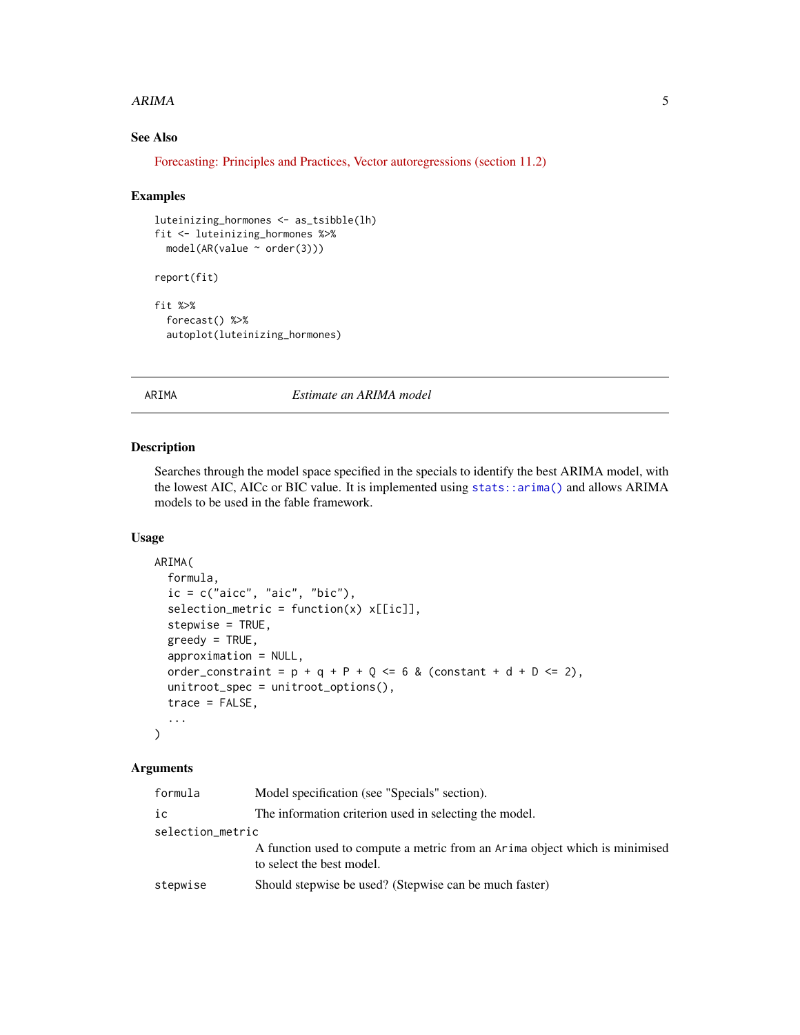#### <span id="page-4-0"></span> $ARIMA$  5

## See Also

[Forecasting: Principles and Practices, Vector autoregressions \(section 11.2\)](https://otexts.com/fpp3/AR.html)

#### Examples

```
luteinizing_hormones <- as_tsibble(lh)
fit <- luteinizing_hormones %>%
  model(AR(value ~ order(3)))
report(fit)
fit %>%
  forecast() %>%
  autoplot(luteinizing_hormones)
```
## ARIMA *Estimate an ARIMA model*

#### Description

Searches through the model space specified in the specials to identify the best ARIMA model, with the lowest AIC, AICc or BIC value. It is implemented using [stats::arima\(\)](#page-0-0) and allows ARIMA models to be used in the fable framework.

#### Usage

```
ARIMA(
  formula,
  ic = c("aicc", "aic", "bic"),
  selection_metric = function(x) x[[ic]],stepwise = TRUE,
  greedy = TRUE,
  approximation = NULL,
  order_constraint = p + q + P + Q \le 6 & (constant + d + D \le 2),
  unitroot_spec = unitroot_options(),
  trace = FALSE,...
)
```
#### Arguments

| formula          | Model specification (see "Specials" section).                                                            |  |
|------------------|----------------------------------------------------------------------------------------------------------|--|
| ic               | The information criterion used in selecting the model.                                                   |  |
| selection_metric |                                                                                                          |  |
|                  | A function used to compute a metric from an Arima object which is minimised<br>to select the best model. |  |
| stepwise         | Should stepwise be used? (Stepwise can be much faster)                                                   |  |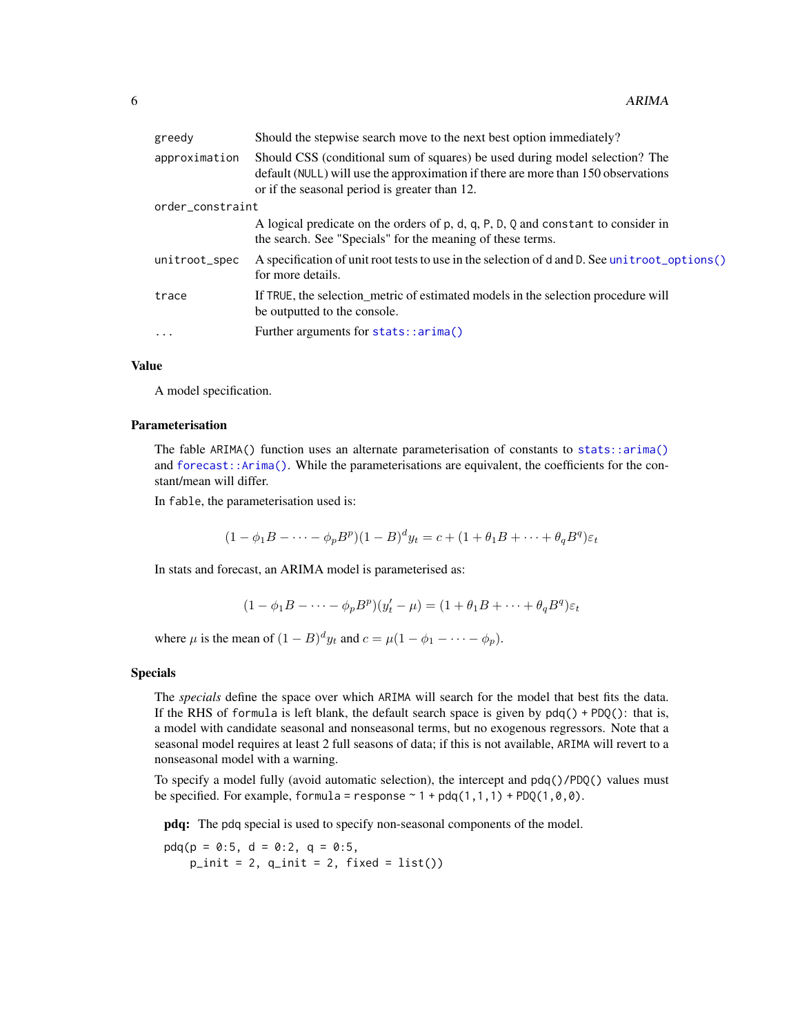| greedy           | Should the stepwise search move to the next best option immediately?                                                                                                                                              |  |
|------------------|-------------------------------------------------------------------------------------------------------------------------------------------------------------------------------------------------------------------|--|
| approximation    | Should CSS (conditional sum of squares) be used during model selection? The<br>default (NULL) will use the approximation if there are more than 150 observations<br>or if the seasonal period is greater than 12. |  |
| order_constraint |                                                                                                                                                                                                                   |  |
|                  | A logical predicate on the orders of p, d, q, P, D, Q and constant to consider in<br>the search. See "Specials" for the meaning of these terms.                                                                   |  |
| unitroot_spec    | A specification of unit root tests to use in the selection of d and D. See unit root_options()<br>for more details.                                                                                               |  |
| trace            | If TRUE, the selection metric of estimated models in the selection procedure will<br>be outputted to the console.                                                                                                 |  |
| $\cdot$          | Further arguments for stats::arima()                                                                                                                                                                              |  |
|                  |                                                                                                                                                                                                                   |  |

#### Value

A model specification.

#### Parameterisation

The fable ARIMA() function uses an alternate parameterisation of constants to [stats::arima\(\)](#page-0-0) and [forecast::Arima\(\)](#page-0-0). While the parameterisations are equivalent, the coefficients for the constant/mean will differ.

In fable, the parameterisation used is:

$$
(1 - \phi_1 B - \dots - \phi_p B^p)(1 - B)^d y_t = c + (1 + \theta_1 B + \dots + \theta_q B^q) \varepsilon_t
$$

In stats and forecast, an ARIMA model is parameterised as:

$$
(1 - \phi_1 B - \dots - \phi_p B^p)(y'_t - \mu) = (1 + \theta_1 B + \dots + \theta_q B^q)\varepsilon_t
$$

where  $\mu$  is the mean of  $(1 - B)^d y_t$  and  $c = \mu(1 - \phi_1 - \cdots - \phi_p)$ .

#### Specials

The *specials* define the space over which ARIMA will search for the model that best fits the data. If the RHS of formula is left blank, the default search space is given by  $pdq() + PDQ()$ : that is, a model with candidate seasonal and nonseasonal terms, but no exogenous regressors. Note that a seasonal model requires at least 2 full seasons of data; if this is not available, ARIMA will revert to a nonseasonal model with a warning.

To specify a model fully (avoid automatic selection), the intercept and pdq()/PDQ() values must be specified. For example, formula = response  $\sim 1 + \text{pdq}(1,1,1) + \text{PDQ}(1,0,0)$ .

pdq: The pdq special is used to specify non-seasonal components of the model.

 $pdq(p = 0:5, d = 0:2, q = 0:5,$  $p\_init = 2$ ,  $q\_init = 2$ , fixed = list())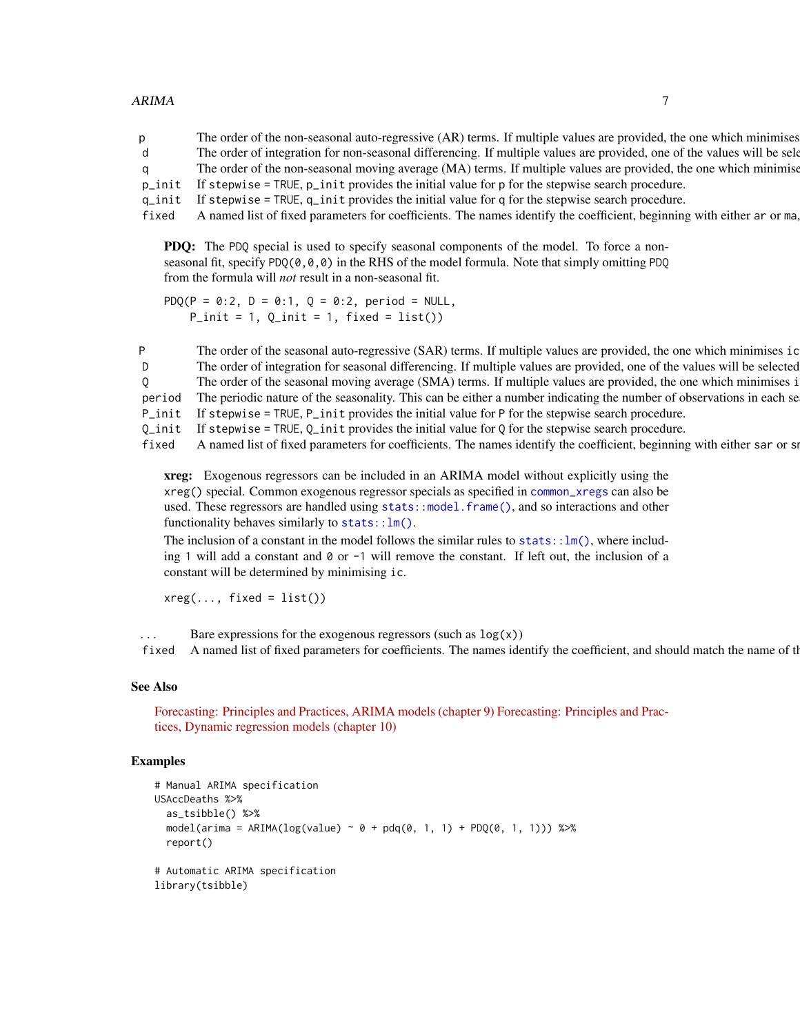#### $ARIMA$   $7$

p The order of the non-seasonal auto-regressive (AR) terms. If multiple values are provided, the one which minimises d The order of integration for non-seasonal differencing. If multiple values are provided, one of the values will be selected via repeated via repeated via repeated via repeated via repeated via repeated via repeated  $\mu$ q The order of the non-seasonal moving average (MA) terms. If multiple values are provided, the one which minimise p\_init If stepwise = TRUE, p\_init provides the initial value for p for the stepwise search procedure. q\_init If stepwise = TRUE, q\_init provides the initial value for q for the stepwise search procedure. fixed A named list of fixed parameters for coefficients. The names identify the coefficient, beginning with either ar or ma,

PDQ: The PDQ special is used to specify seasonal components of the model. To force a nonseasonal fit, specify PDQ( $(0,0,0)$ ) in the RHS of the model formula. Note that simply omitting PDQ from the formula will *not* result in a non-seasonal fit.

PDQ(P = 0:2, D = 0:1, Q = 0:2, period = NULL,  $P_{init} = 1$ ,  $Q_{init} = 1$ , fixed = list())

P The order of the seasonal auto-regressive (SAR) terms. If multiple values are provided, the one which minimises ic D The order of integration for seasonal differencing. If multiple values are provided, one of the values will be selected Q The order of the seasonal moving average (SMA) terms. If multiple values are provided, the one which minimises i period The periodic nature of the seasonality. This can be either a number indicating the number of observations in each se P\_init If stepwise = TRUE, P\_init provides the initial value for P for the stepwise search procedure.

- $Q$ \_init If stepwise = TRUE,  $Q$ \_init provides the initial value for Q for the stepwise search procedure.
- fixed A named list of fixed parameters for coefficients. The names identify the coefficient, beginning with either sar or smaller.

xreg: Exogenous regressors can be included in an ARIMA model without explicitly using the xreg() special. Common exogenous regressor specials as specified in [common\\_xregs](#page-7-1) can also be used. These regressors are handled using [stats::model.frame\(\)](#page-0-0), and so interactions and other functionality behaves similarly to  $stats::lm()$ .

The inclusion of a constant in the model follows the similar rules to stats:  $:\ln($ ), where including 1 will add a constant and 0 or -1 will remove the constant. If left out, the inclusion of a constant will be determined by minimising ic.

 $xreg(..., fixed = list())$ 

... Bare expressions for the exogenous regressors (such as  $log(x)$ )

fixed A named list of fixed parameters for coefficients. The names identify the coefficient, and should match the name of the

#### See Also

[Forecasting: Principles and Practices, ARIMA models \(chapter 9\)](https://otexts.com/fpp3/arima.html) [Forecasting: Principles and Prac](https://otexts.com/fpp3/dynamic.html)[tices, Dynamic regression models \(chapter 10\)](https://otexts.com/fpp3/dynamic.html)

```
# Manual ARIMA specification
USAccDeaths %>%
  as_tsibble() %>%
 model(arima = ARIMA(log(value) ~ 0 + pdq(0, 1, 1) + PDQ(0, 1, 1)) %>%
 report()
# Automatic ARIMA specification
library(tsibble)
```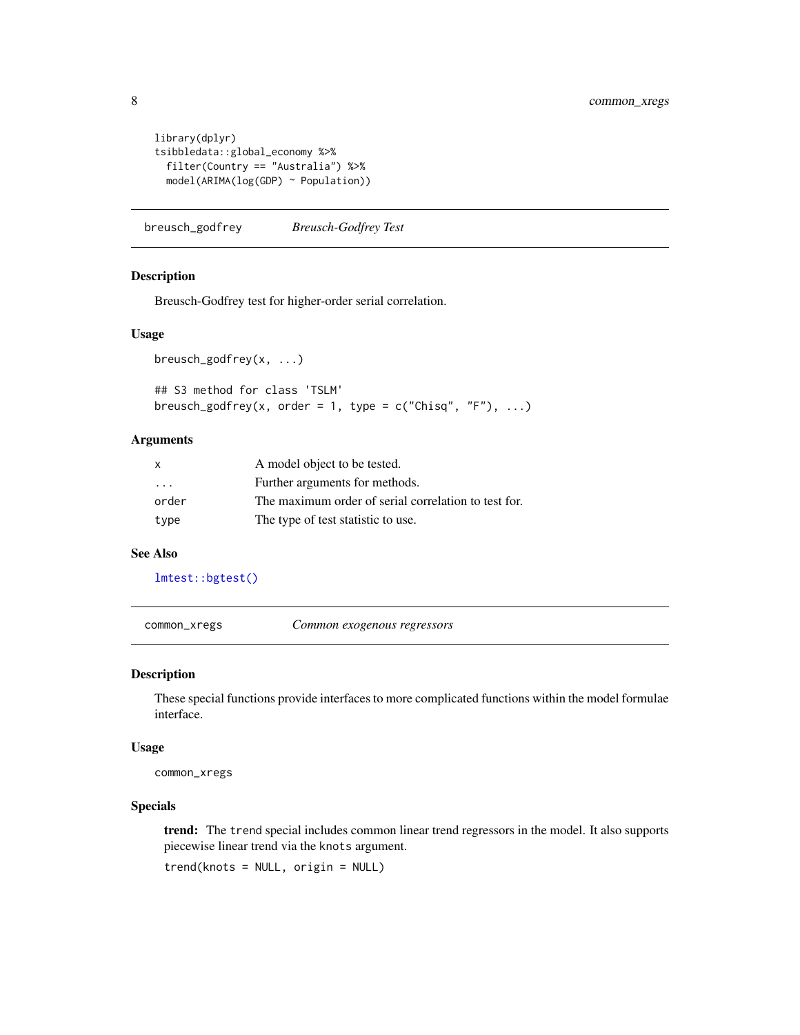```
library(dplyr)
tsibbledata::global_economy %>%
  filter(Country == "Australia") %>%
  model(ARIMA(log(GDP) ~ Population))
```
breusch\_godfrey *Breusch-Godfrey Test*

#### Description

Breusch-Godfrey test for higher-order serial correlation.

#### Usage

```
breusch_godfrey(x, ...)
```
## S3 method for class 'TSLM' breusch\_godfrey(x, order = 1, type =  $c("Chisq", "F"), ...$ )

#### Arguments

| $\mathsf{x}$            | A model object to be tested.                         |  |
|-------------------------|------------------------------------------------------|--|
| $\cdot$ $\cdot$ $\cdot$ | Further arguments for methods.                       |  |
| order                   | The maximum order of serial correlation to test for. |  |
| type                    | The type of test statistic to use.                   |  |

#### See Also

```
lmtest::bgtest()
```
<span id="page-7-1"></span>common\_xregs *Common exogenous regressors*

#### Description

These special functions provide interfaces to more complicated functions within the model formulae interface.

#### Usage

common\_xregs

#### Specials

trend: The trend special includes common linear trend regressors in the model. It also supports piecewise linear trend via the knots argument.

trend(knots = NULL, origin = NULL)

<span id="page-7-0"></span>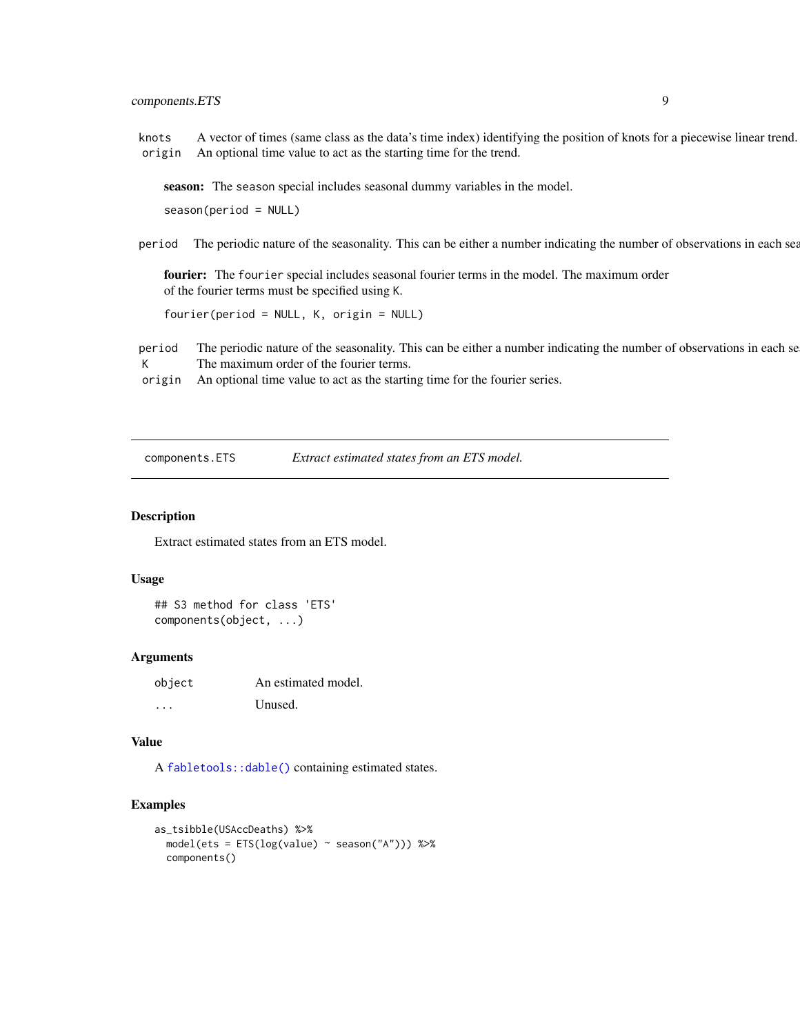## <span id="page-8-0"></span>components.ETS 9

knots A vector of times (same class as the data's time index) identifying the position of knots for a piecewise linear trend. origin An optional time value to act as the starting time for the trend.

season: The season special includes seasonal dummy variables in the model.

season(period = NULL)

period The periodic nature of the seasonality. This can be either a number indicating the number of observations in each sea

fourier: The fourier special includes seasonal fourier terms in the model. The maximum order of the fourier terms must be specified using K.

fourier(period = NULL, K, origin = NULL)

period The periodic nature of the seasonality. This can be either a number indicating the number of observations in each se K The maximum order of the fourier terms.

origin An optional time value to act as the starting time for the fourier series.

components.ETS *Extract estimated states from an ETS model.*

#### **Description**

Extract estimated states from an ETS model.

#### Usage

```
## S3 method for class 'ETS'
components(object, ...)
```
#### Arguments

| object | An estimated model. |
|--------|---------------------|
| .      | Unused.             |

#### Value

A [fabletools::dable\(\)](#page-0-0) containing estimated states.

```
as_tsibble(USAccDeaths) %>%
 model(ets = ETS(log(value) ~ season("A"))) %>%
 components()
```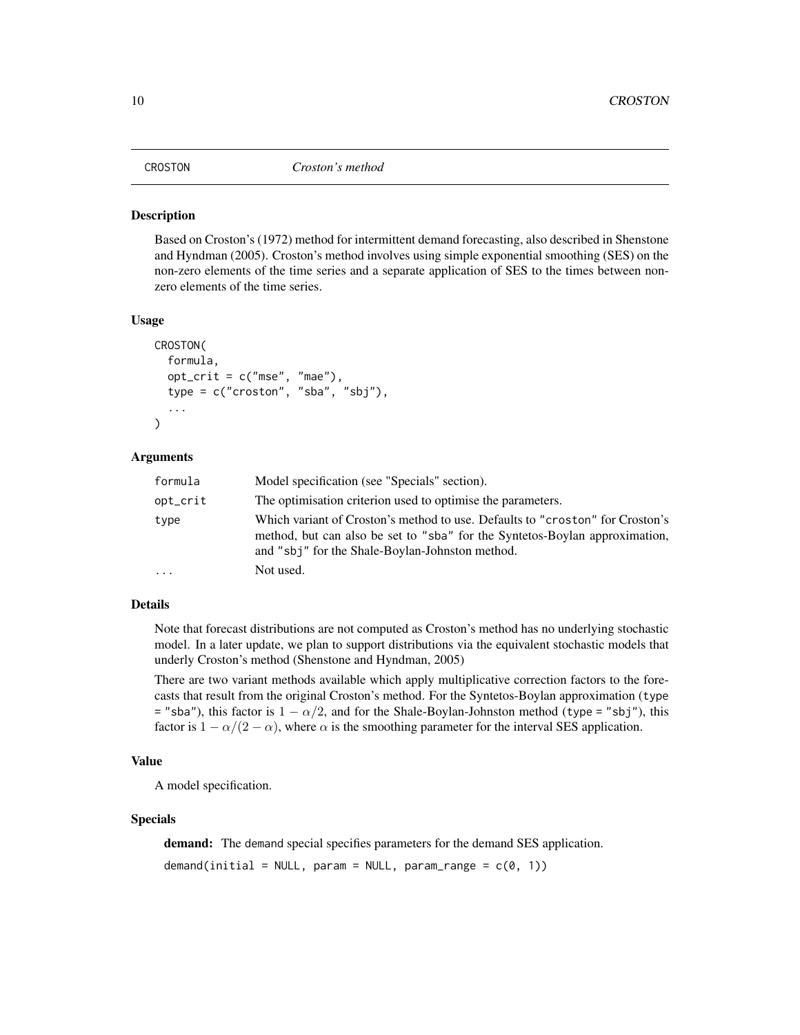<span id="page-9-0"></span>Based on Croston's (1972) method for intermittent demand forecasting, also described in Shenstone and Hyndman (2005). Croston's method involves using simple exponential smoothing (SES) on the non-zero elements of the time series and a separate application of SES to the times between nonzero elements of the time series.

#### Usage

```
CROSTON(
  formula,
  opt\_crit = c("mse", "mae"),type = c("croston", "sba", "sbj"),
  ...
```
#### Arguments

)

| formula  | Model specification (see "Specials" section).                                                                                                                                                                   |  |
|----------|-----------------------------------------------------------------------------------------------------------------------------------------------------------------------------------------------------------------|--|
| opt_crit | The optimisation criterion used to optimise the parameters.                                                                                                                                                     |  |
| type     | Which variant of Croston's method to use. Defaults to "croston" for Croston's<br>method, but can also be set to "sba" for the Syntetos-Boylan approximation,<br>and "sbj" for the Shale-Boylan-Johnston method. |  |
| $\cdot$  | Not used.                                                                                                                                                                                                       |  |

## Details

Note that forecast distributions are not computed as Croston's method has no underlying stochastic model. In a later update, we plan to support distributions via the equivalent stochastic models that underly Croston's method (Shenstone and Hyndman, 2005)

There are two variant methods available which apply multiplicative correction factors to the forecasts that result from the original Croston's method. For the Syntetos-Boylan approximation (type = "sba"), this factor is  $1 - \alpha/2$ , and for the Shale-Boylan-Johnston method (type = "sbj"), this factor is  $1 - \alpha/(2 - \alpha)$ , where  $\alpha$  is the smoothing parameter for the interval SES application.

#### Value

A model specification.

#### Specials

demand: The demand special specifies parameters for the demand SES application.

demand(initial = NULL, param = NULL, param\_range =  $c(0, 1)$ )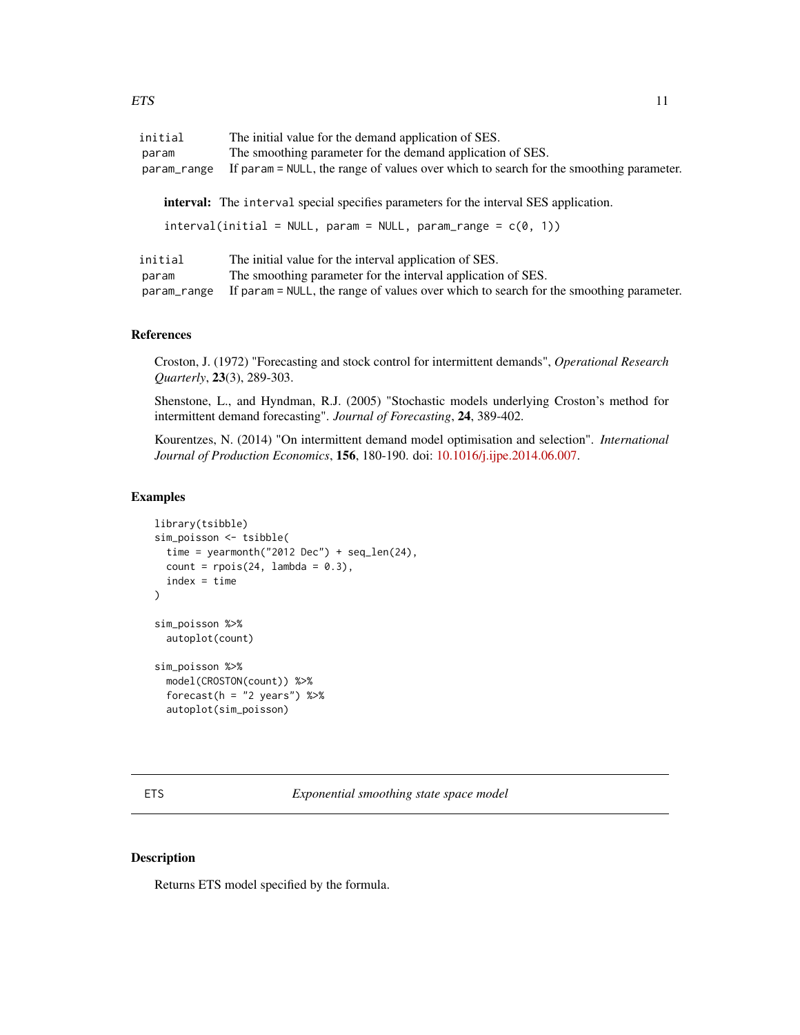<span id="page-10-0"></span>

| initial<br>The initial value for the demand application of SES.<br>The smoothing parameter for the demand application of SES.<br>param<br>If param = NULL, the range of values over which to search for the smoothing parameter.<br>param_range |                                                                                                                        |
|-------------------------------------------------------------------------------------------------------------------------------------------------------------------------------------------------------------------------------------------------|------------------------------------------------------------------------------------------------------------------------|
|                                                                                                                                                                                                                                                 | <b>interval:</b> The interval special specifies parameters for the interval SES application.                           |
|                                                                                                                                                                                                                                                 | $interval (initial = NULL, param = NULL, param_range = c(0, 1))$                                                       |
| initial                                                                                                                                                                                                                                         | The initial value for the interval application of SES.<br>The smoothing parameter for the interval application of SES. |
| param<br>If param = NULL, the range of values over which to search for the smoothing parameter.<br>param_range                                                                                                                                  |                                                                                                                        |

#### References

Croston, J. (1972) "Forecasting and stock control for intermittent demands", *Operational Research Quarterly*, 23(3), 289-303.

Shenstone, L., and Hyndman, R.J. (2005) "Stochastic models underlying Croston's method for intermittent demand forecasting". *Journal of Forecasting*, 24, 389-402.

Kourentzes, N. (2014) "On intermittent demand model optimisation and selection". *International Journal of Production Economics*, 156, 180-190. doi: [10.1016/j.ijpe.2014.06.007.](https://doi.org/10.1016/j.ijpe.2014.06.007)

## Examples

```
library(tsibble)
sim_poisson <- tsibble(
 time = yearmonth("2012 Dec") + seq_len(24),
 count = \text{rpois}(24, \text{ lambda} = 0.3),index = time)
sim_poisson %>%
 autoplot(count)
sim_poisson %>%
 model(CROSTON(count)) %>%
 forecast(h = "2 years") %>%
 autoplot(sim_poisson)
```
ETS *Exponential smoothing state space model*

#### Description

Returns ETS model specified by the formula.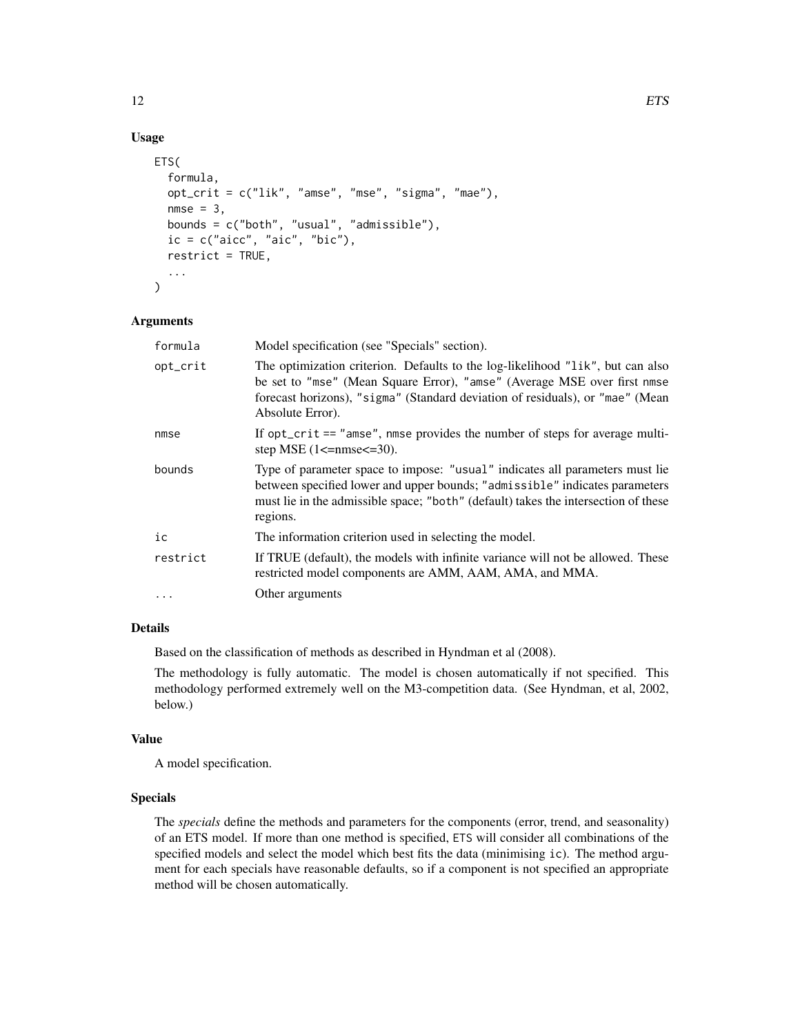## Usage

```
ETS(
  formula,
  opt_crit = c("lik", "amse", "mse", "sigma", "mae"),
  nmse = 3,
  bounds = c("both", "usual", "admissible"),
  ic = c("aicc", "aic", "bic"),restrict = TRUE,
  ...
\mathcal{L}
```
#### Arguments

| formula  | Model specification (see "Specials" section).                                                                                                                                                                                                                   |  |
|----------|-----------------------------------------------------------------------------------------------------------------------------------------------------------------------------------------------------------------------------------------------------------------|--|
| opt_crit | The optimization criterion. Defaults to the log-likelihood "lik", but can also<br>be set to "mse" (Mean Square Error), "amse" (Average MSE over first nmse<br>forecast horizons), "sigma" (Standard deviation of residuals), or "mae" (Mean<br>Absolute Error). |  |
| nmse     | If opt_crit == "amse", nmse provides the number of steps for average multi-<br>step MSE $(1 \leq$ =nmse $\leq$ =30).                                                                                                                                            |  |
| bounds   | Type of parameter space to impose: "usual" indicates all parameters must lie<br>between specified lower and upper bounds; "admissible" indicates parameters<br>must lie in the admissible space; "both" (default) takes the intersection of these<br>regions.   |  |
| iс       | The information criterion used in selecting the model.                                                                                                                                                                                                          |  |
| restrict | If TRUE (default), the models with infinite variance will not be allowed. These<br>restricted model components are AMM, AAM, AMA, and MMA.                                                                                                                      |  |
| $\cdots$ | Other arguments                                                                                                                                                                                                                                                 |  |

#### Details

Based on the classification of methods as described in Hyndman et al (2008).

The methodology is fully automatic. The model is chosen automatically if not specified. This methodology performed extremely well on the M3-competition data. (See Hyndman, et al, 2002, below.)

#### Value

A model specification.

## Specials

The *specials* define the methods and parameters for the components (error, trend, and seasonality) of an ETS model. If more than one method is specified, ETS will consider all combinations of the specified models and select the model which best fits the data (minimising ic). The method argument for each specials have reasonable defaults, so if a component is not specified an appropriate method will be chosen automatically.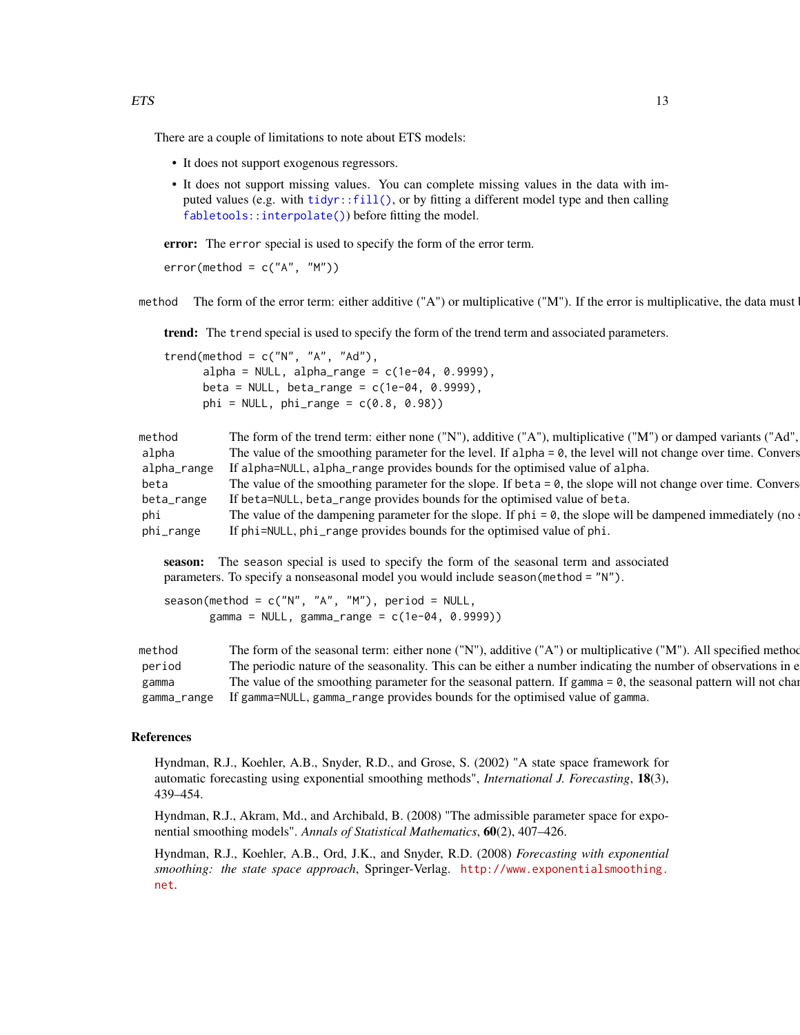- It does not support exogenous regressors.
- It does not support missing values. You can complete missing values in the data with imputed values (e.g. with  $\text{tidyr}: \text{fil}(1)$ , or by fitting a different model type and then calling [fabletools::interpolate\(\)](#page-0-0)) before fitting the model.

error: The error special is used to specify the form of the error term.

 $error(method = c("A", "M"))$ 

method The form of the error term: either additive ("A") or multiplicative ("M"). If the error is multiplicative, the data must

trend: The trend special is used to specify the form of the trend term and associated parameters.

trend(method =  $c("N", "A", "Ad")$ ,  $alpha = NULL$ ,  $alpha\_range = c(1e-04, 0.9999)$ , beta = NULL, beta\_range =  $c(1e-04, 0.9999)$ ,  $phi = NULL$ ,  $phi\_range = c(0.8, 0.98)$ 

| The form of the trend term: either none ("N"), additive ("A"), multiplicative ("M") or damped variants ("Ad",     |
|-------------------------------------------------------------------------------------------------------------------|
| The value of the smoothing parameter for the level. If alpha $= 0$ , the level will not change over time. Convers |
| If alpha=NULL, alpha_range provides bounds for the optimised value of alpha.                                      |
| The value of the smoothing parameter for the slope. If beta $= 0$ , the slope will not change over time. Convers  |
| If beta=NULL, beta_range provides bounds for the optimised value of beta.                                         |
| The value of the dampening parameter for the slope. If $phi = 0$ , the slope will be dampened immediately (no     |
| If phi=NULL, phi_range provides bounds for the optimised value of phi.                                            |
|                                                                                                                   |

season: The season special is used to specify the form of the seasonal term and associated parameters. To specify a nonseasonal model you would include season(method = "N").

season(method =  $c("N", "A", "M")$ , period = NULL, gamma = NULL, gamma\_range =  $c(1e-04, 0.9999)$ )

method The form of the seasonal term: either none ("N"), additive ("A") or multiplicative ("M"). All specified method period The periodic nature of the seasonality. This can be either a number indicating the number of observations in e gamma The value of the smoothing parameter for the seasonal pattern. If gamma  $= 0$ , the seasonal pattern will not change of the seasonal periods. gamma\_range If gamma=NULL, gamma\_range provides bounds for the optimised value of gamma.

#### References

Hyndman, R.J., Koehler, A.B., Snyder, R.D., and Grose, S. (2002) "A state space framework for automatic forecasting using exponential smoothing methods", *International J. Forecasting*, 18(3), 439–454.

Hyndman, R.J., Akram, Md., and Archibald, B. (2008) "The admissible parameter space for exponential smoothing models". *Annals of Statistical Mathematics*, 60(2), 407–426.

Hyndman, R.J., Koehler, A.B., Ord, J.K., and Snyder, R.D. (2008) *Forecasting with exponential smoothing: the state space approach*, Springer-Verlag. [http://www.exponentialsmoothing.](http://www.exponentialsmoothing.net) [net](http://www.exponentialsmoothing.net).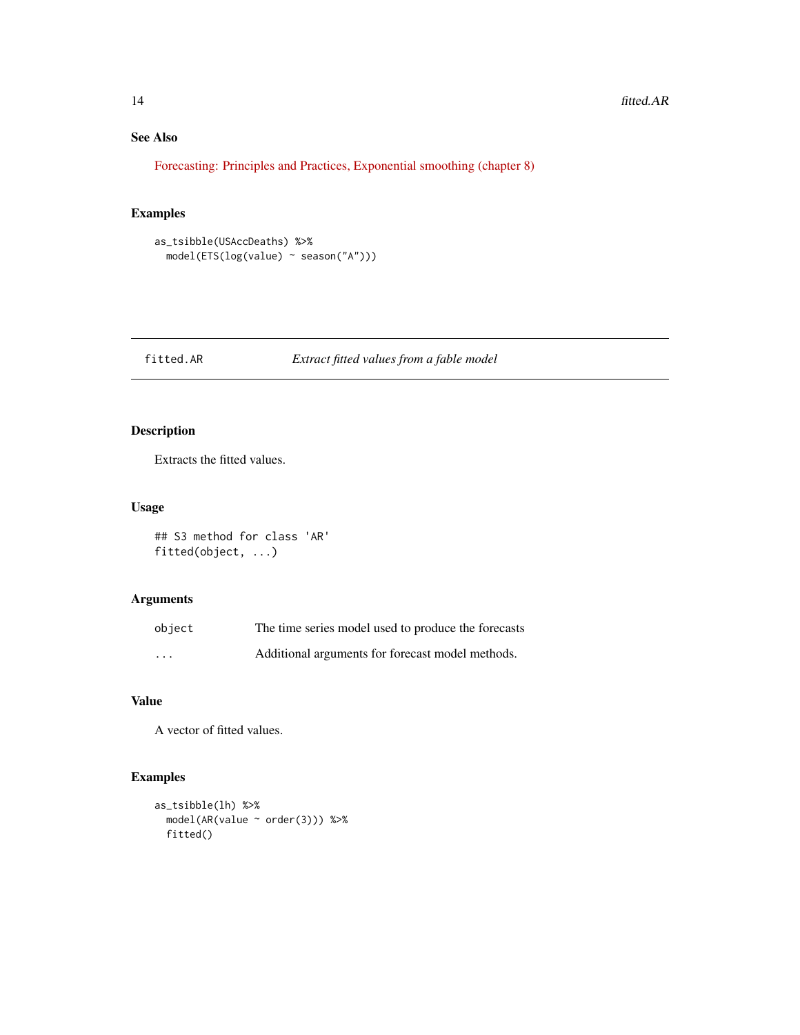## See Also

[Forecasting: Principles and Practices, Exponential smoothing \(chapter 8\)](https://otexts.com/fpp3/expsmooth.html)

## Examples

```
as_tsibble(USAccDeaths) %>%
  model(ETS(log(value) ~ season("A")))
```
## fitted.AR *Extract fitted values from a fable model*

## Description

Extracts the fitted values.

## Usage

## S3 method for class 'AR' fitted(object, ...)

#### Arguments

| object   | The time series model used to produce the forecasts |
|----------|-----------------------------------------------------|
| $\cdots$ | Additional arguments for forecast model methods.    |

## Value

A vector of fitted values.

```
as_tsibble(lh) %>%
  model(AR(value ~ order(3))) %>%
  fitted()
```
<span id="page-13-0"></span>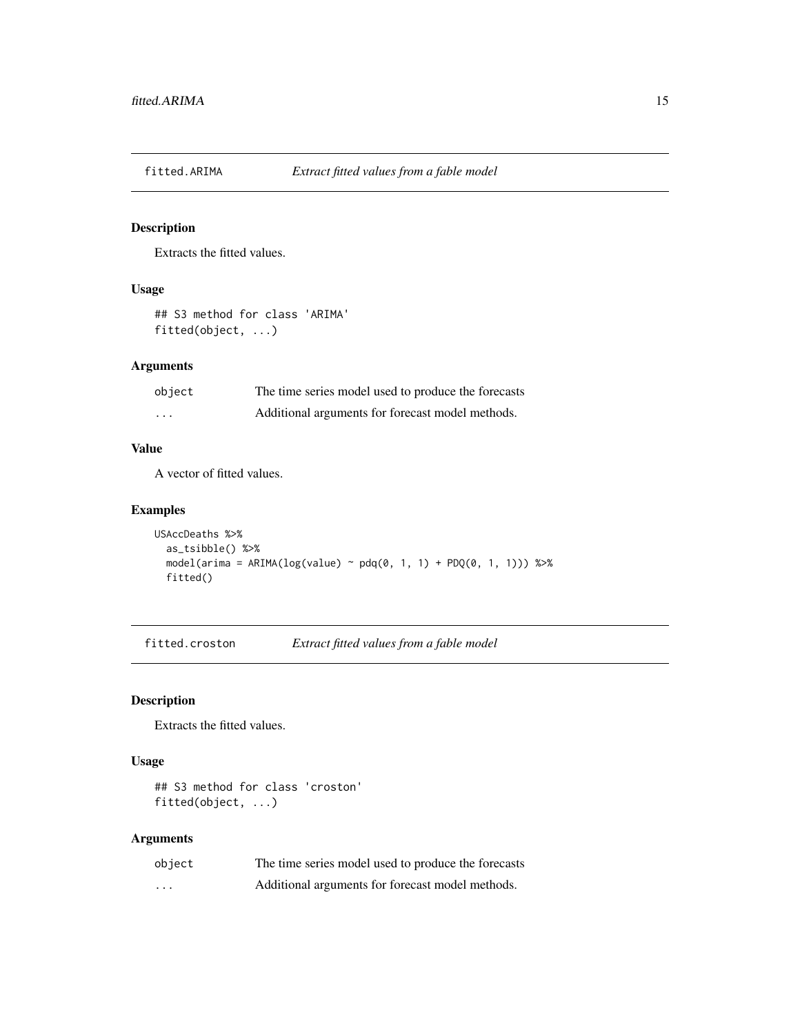<span id="page-14-0"></span>

Extracts the fitted values.

#### Usage

## S3 method for class 'ARIMA' fitted(object, ...)

## Arguments

| object   | The time series model used to produce the forecasts |
|----------|-----------------------------------------------------|
| $\cdots$ | Additional arguments for forecast model methods.    |

#### Value

A vector of fitted values.

## Examples

```
USAccDeaths %>%
  as_tsibble() %>%
  model( \text{arima} = \text{ARIMA}(\text{log}(\text{value}) \sim \text{pdq}(0, 1, 1) + \text{PDQ}(0, 1, 1))) %>%
  fitted()
```
fitted.croston *Extract fitted values from a fable model*

#### Description

Extracts the fitted values.

## Usage

```
## S3 method for class 'croston'
fitted(object, ...)
```
## Arguments

| object   | The time series model used to produce the forecasts |
|----------|-----------------------------------------------------|
| $\cdots$ | Additional arguments for forecast model methods.    |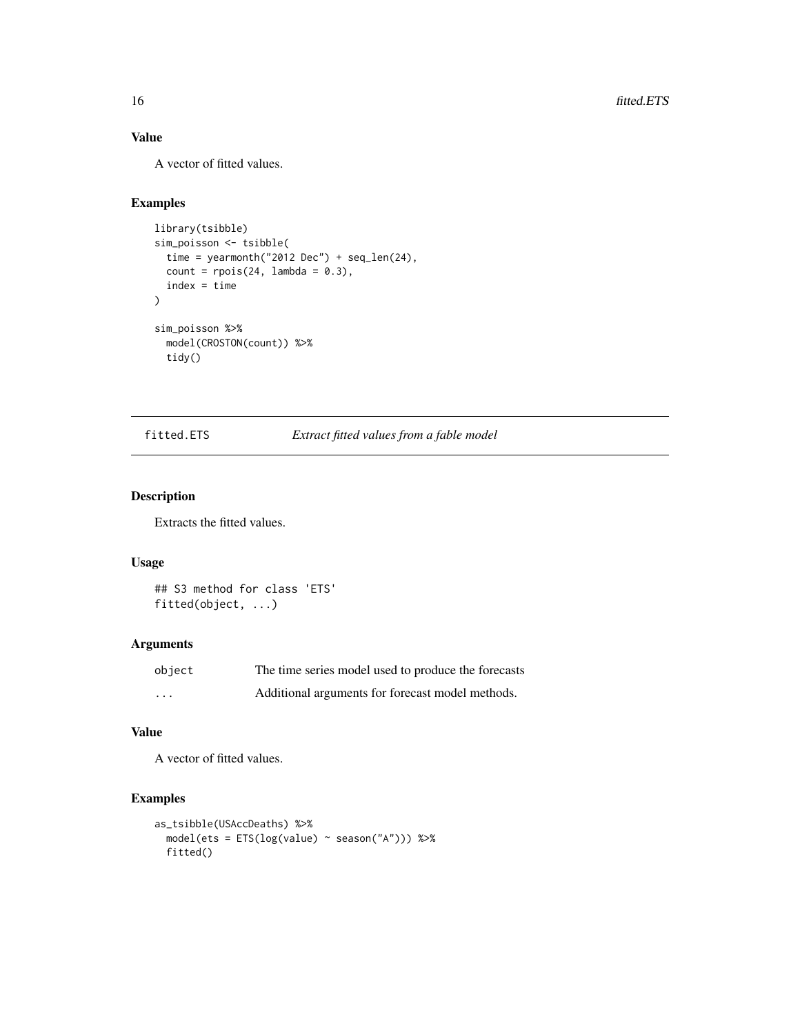## Value

A vector of fitted values.

## Examples

```
library(tsibble)
sim_poisson <- tsibble(
  time = yearmonth("2012 Dec") + seq_len(24),
  count = \text{rpois}(24, \text{ lambda} = 0.3),index = time
\mathcal{L}sim_poisson %>%
  model(CROSTON(count)) %>%
  tidy()
```
#### fitted.ETS *Extract fitted values from a fable model*

#### Description

Extracts the fitted values.

#### Usage

```
## S3 method for class 'ETS'
fitted(object, ...)
```
## Arguments

| object   | The time series model used to produce the forecasts |
|----------|-----------------------------------------------------|
| $\cdots$ | Additional arguments for forecast model methods.    |

## Value

A vector of fitted values.

```
as_tsibble(USAccDeaths) %>%
 model(ets = ETS(log(value) ~ season("A"))) %>%
 fitted()
```
<span id="page-15-0"></span>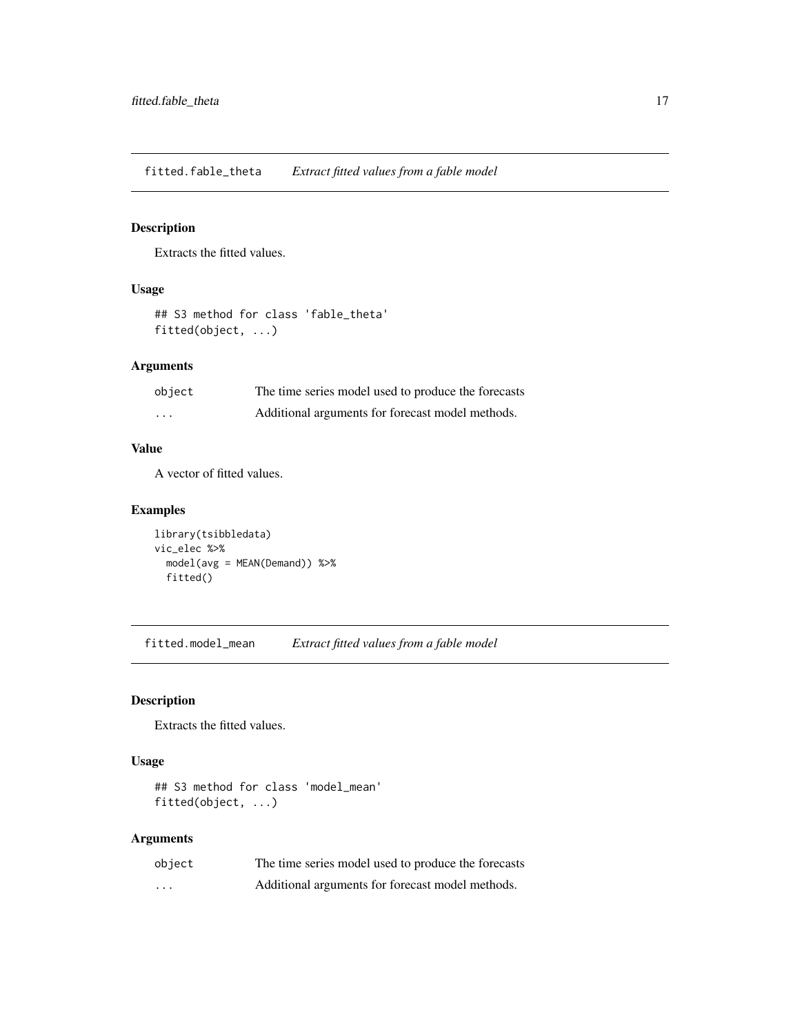<span id="page-16-0"></span>fitted.fable\_theta *Extract fitted values from a fable model*

## Description

Extracts the fitted values.

## Usage

```
## S3 method for class 'fable_theta'
fitted(object, ...)
```
## Arguments

| object   | The time series model used to produce the forecasts |
|----------|-----------------------------------------------------|
| $\cdots$ | Additional arguments for forecast model methods.    |

#### Value

A vector of fitted values.

## Examples

```
library(tsibbledata)
vic_elec %>%
  model(avg = MEAN(Demand)) %>%
  fitted()
```
fitted.model\_mean *Extract fitted values from a fable model*

#### Description

Extracts the fitted values.

## Usage

```
## S3 method for class 'model_mean'
fitted(object, ...)
```
## Arguments

| object | The time series model used to produce the forecasts |
|--------|-----------------------------------------------------|
| .      | Additional arguments for forecast model methods.    |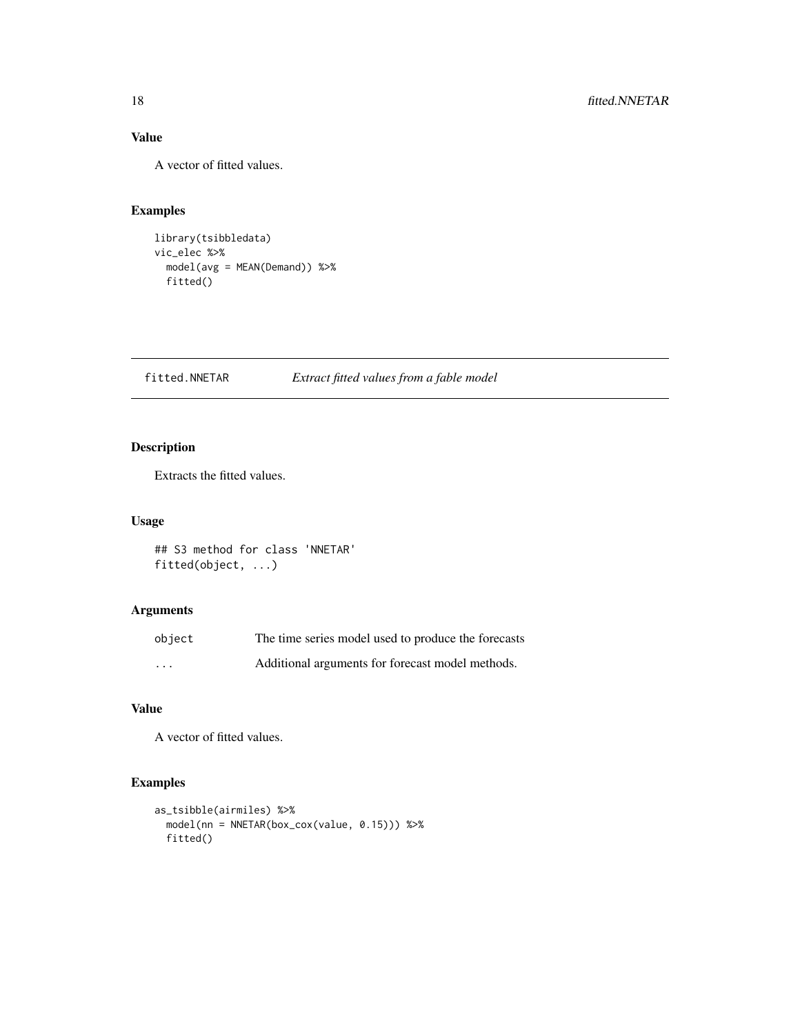## Value

A vector of fitted values.

## Examples

```
library(tsibbledata)
vic_elec %>%
  model(avg = MEAN(Demand)) %>%
  fitted()
```
fitted.NNETAR *Extract fitted values from a fable model*

## Description

Extracts the fitted values.

## Usage

```
## S3 method for class 'NNETAR'
fitted(object, ...)
```
## Arguments

| object   | The time series model used to produce the forecasts |
|----------|-----------------------------------------------------|
| $\cdots$ | Additional arguments for forecast model methods.    |

## Value

A vector of fitted values.

```
as_tsibble(airmiles) %>%
  model(nn = NNETAR(box_cox(value, 0.15))) %>%
  fitted()
```
<span id="page-17-0"></span>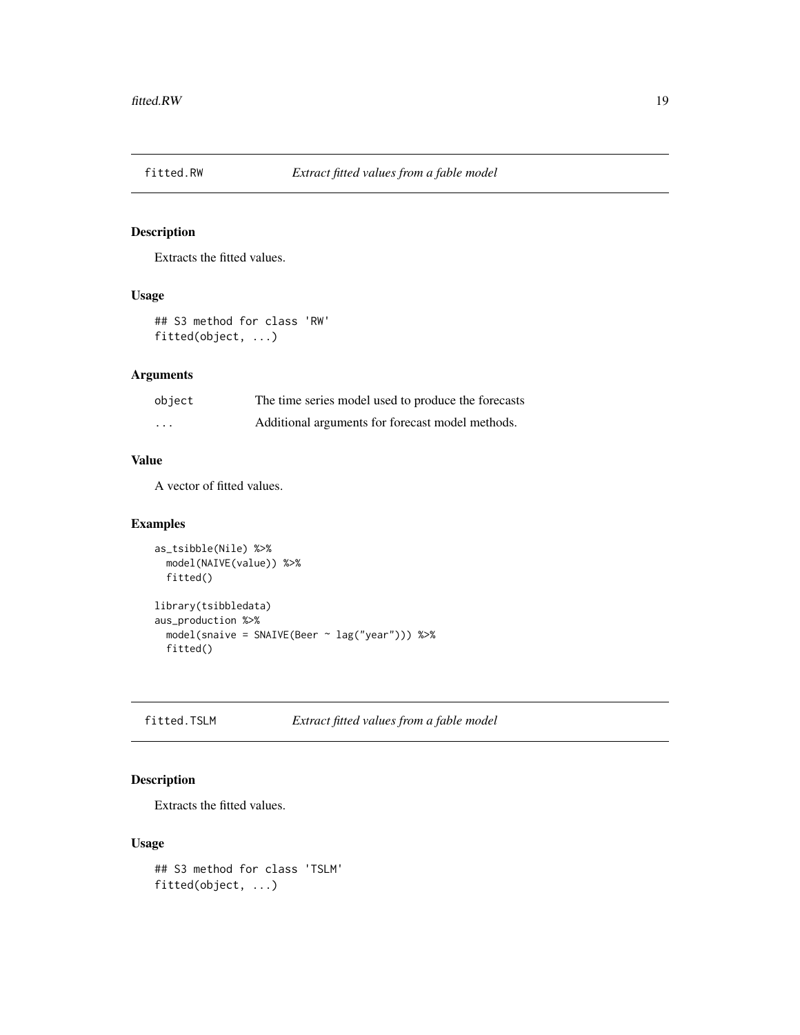<span id="page-18-0"></span>

Extracts the fitted values.

#### Usage

## S3 method for class 'RW' fitted(object, ...)

## Arguments

| object   | The time series model used to produce the forecasts |
|----------|-----------------------------------------------------|
| $\cdots$ | Additional arguments for forecast model methods.    |

## Value

A vector of fitted values.

## Examples

```
as_tsibble(Nile) %>%
  model(NAIVE(value)) %>%
  fitted()
library(tsibbledata)
aus_production %>%
  model(snaive = SNAIVE(Beer ~ lag("year"))) %>%
  fitted()
```
fitted.TSLM *Extract fitted values from a fable model*

## Description

Extracts the fitted values.

#### Usage

```
## S3 method for class 'TSLM'
fitted(object, ...)
```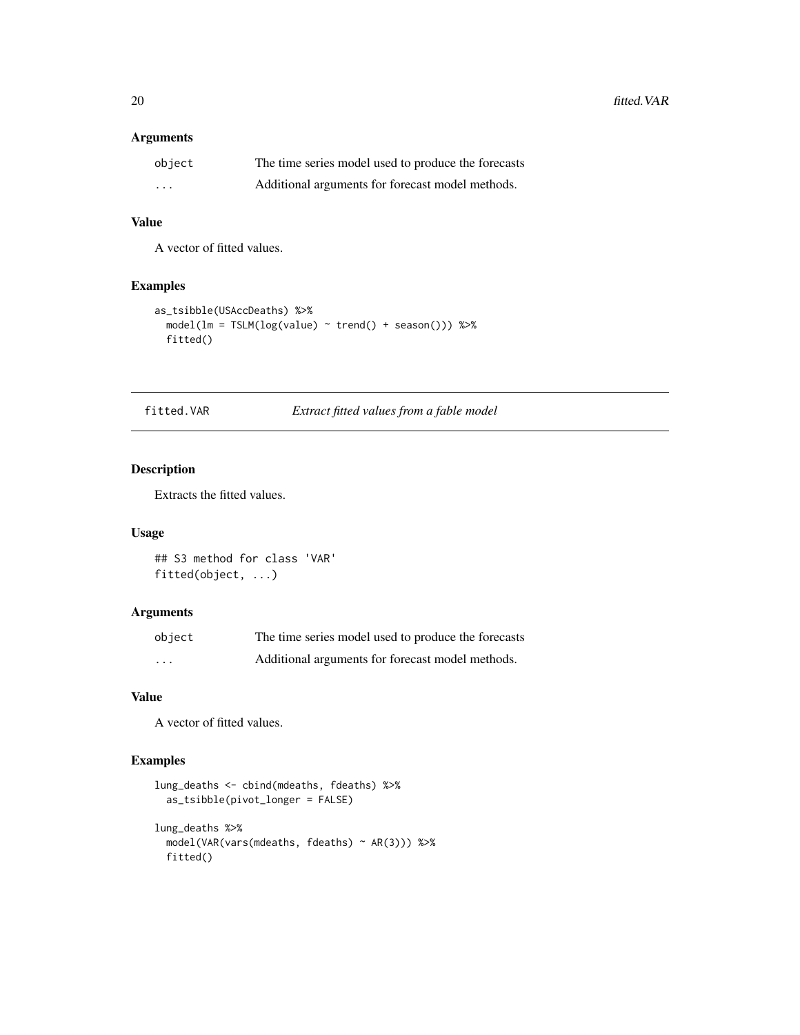## <span id="page-19-0"></span>Arguments

| object   | The time series model used to produce the forecasts |
|----------|-----------------------------------------------------|
| $\cdots$ | Additional arguments for forecast model methods.    |

## Value

A vector of fitted values.

## Examples

```
as_tsibble(USAccDeaths) %>%
  model(lm = TSLM(log(value) \sim trend() + season()) %>%
  fitted()
```
fitted.VAR *Extract fitted values from a fable model*

#### Description

Extracts the fitted values.

## Usage

## S3 method for class 'VAR' fitted(object, ...)

#### Arguments

| object   | The time series model used to produce the forecasts |
|----------|-----------------------------------------------------|
| $\cdots$ | Additional arguments for forecast model methods.    |

## Value

A vector of fitted values.

```
lung_deaths <- cbind(mdeaths, fdeaths) %>%
  as_tsibble(pivot_longer = FALSE)
lung_deaths %>%
  model(VAR(vars(mdeaths, fdeaths) ~ AR(3))) %>%
  fitted()
```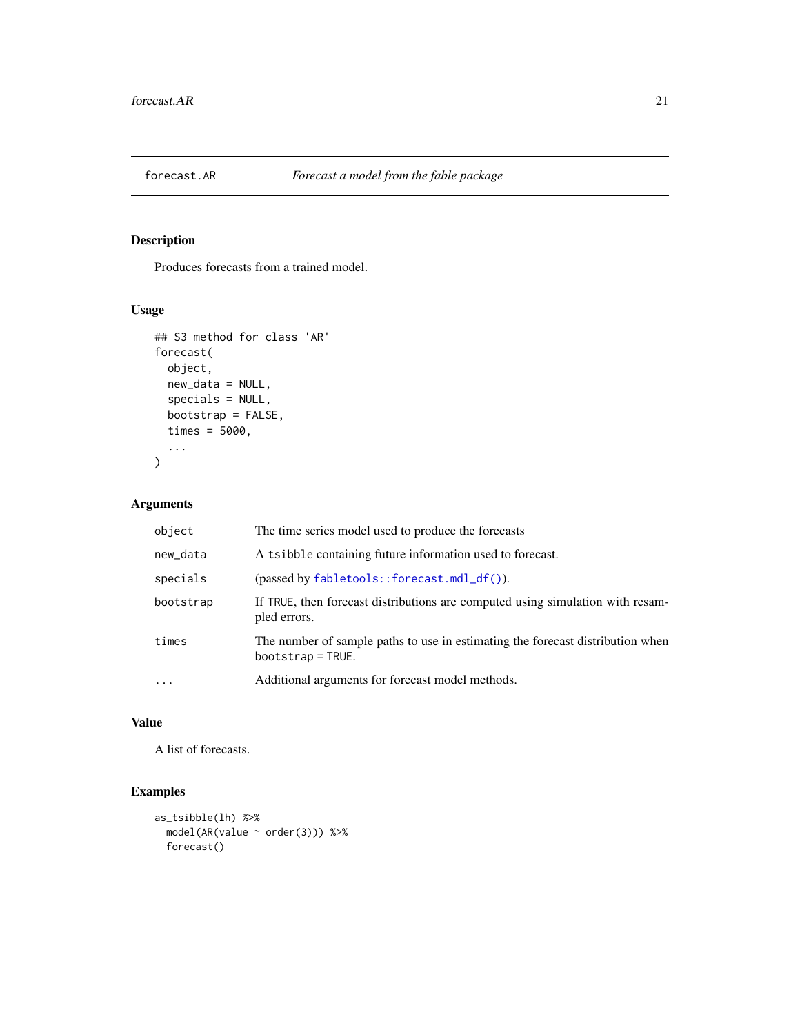<span id="page-20-0"></span>

Produces forecasts from a trained model.

## Usage

```
## S3 method for class 'AR'
forecast(
 object,
 new_data = NULL,
  specials = NULL,
 bootstrap = FALSE,
  times = 5000,
  ...
)
```
## Arguments

| object    | The time series model used to produce the forecasts                                                   |
|-----------|-------------------------------------------------------------------------------------------------------|
| new_data  | A tsibble containing future information used to forecast.                                             |
| specials  | $(\text{passed by } \text{fabletools} : \text{forecast} . \text{mdl}_df())$ .                         |
| bootstrap | If TRUE, then forecast distributions are computed using simulation with resam-<br>pled errors.        |
| times     | The number of sample paths to use in estimating the forecast distribution when<br>$bootstrap = TRUE.$ |
| $\cdots$  | Additional arguments for forecast model methods.                                                      |

## Value

A list of forecasts.

```
as_tsibble(lh) %>%
  model(AR(value ~ order(3))) %>%
  forecast()
```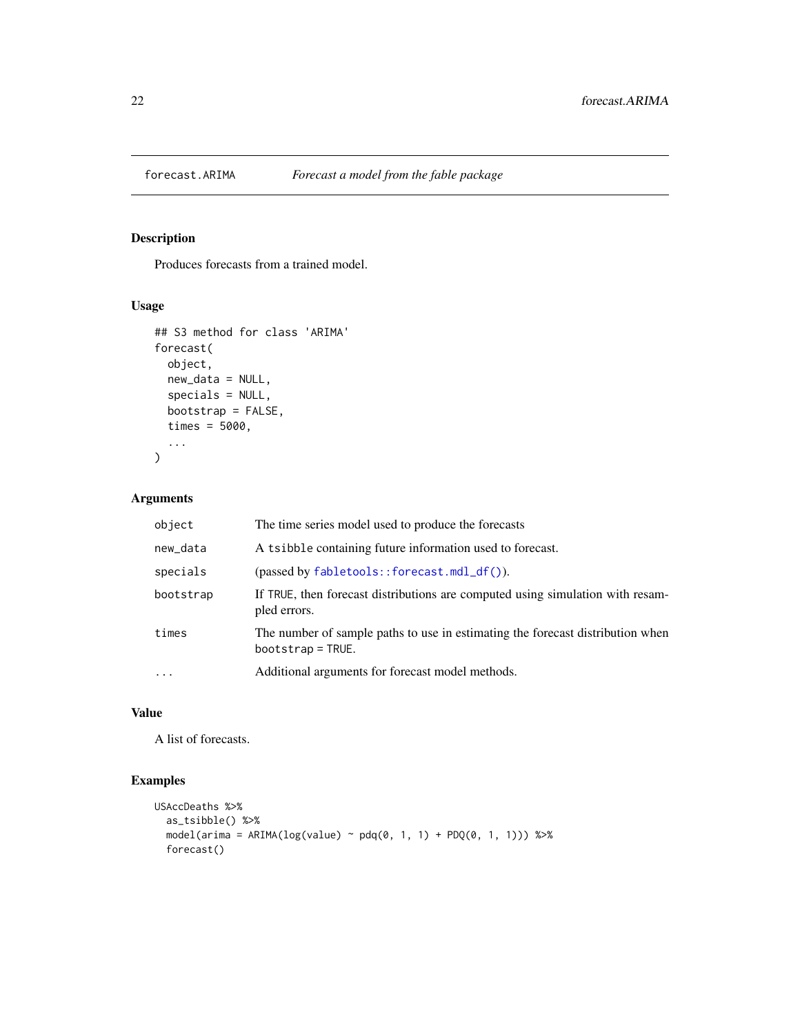<span id="page-21-0"></span>

Produces forecasts from a trained model.

## Usage

```
## S3 method for class 'ARIMA'
forecast(
  object,
  new_data = NULL,
  specials = NULL,
  bootstrap = FALSE,
  times = 5000,
  ...
\mathcal{L}
```
## Arguments

| object    | The time series model used to produce the forecasts                                                   |
|-----------|-------------------------------------------------------------------------------------------------------|
| new_data  | A tsibble containing future information used to forecast.                                             |
| specials  | $(\text{passed by } \text{fabletools} : \text{forecast} . \text{mdl}_df())$ .                         |
| bootstrap | If TRUE, then forecast distributions are computed using simulation with resam-<br>pled errors.        |
| times     | The number of sample paths to use in estimating the forecast distribution when<br>$bootstrap = TRUE.$ |
| $\cdot$   | Additional arguments for forecast model methods.                                                      |

## Value

A list of forecasts.

```
USAccDeaths %>%
   as_tsibble() %>%
   model( \text{arima} = \text{ARIMA}(\text{log}(\text{value}) \sim \text{pdq}(\emptyset, 1, 1) + \text{PDQ}(\emptyset, 1, 1))) %>%
   forecast()
```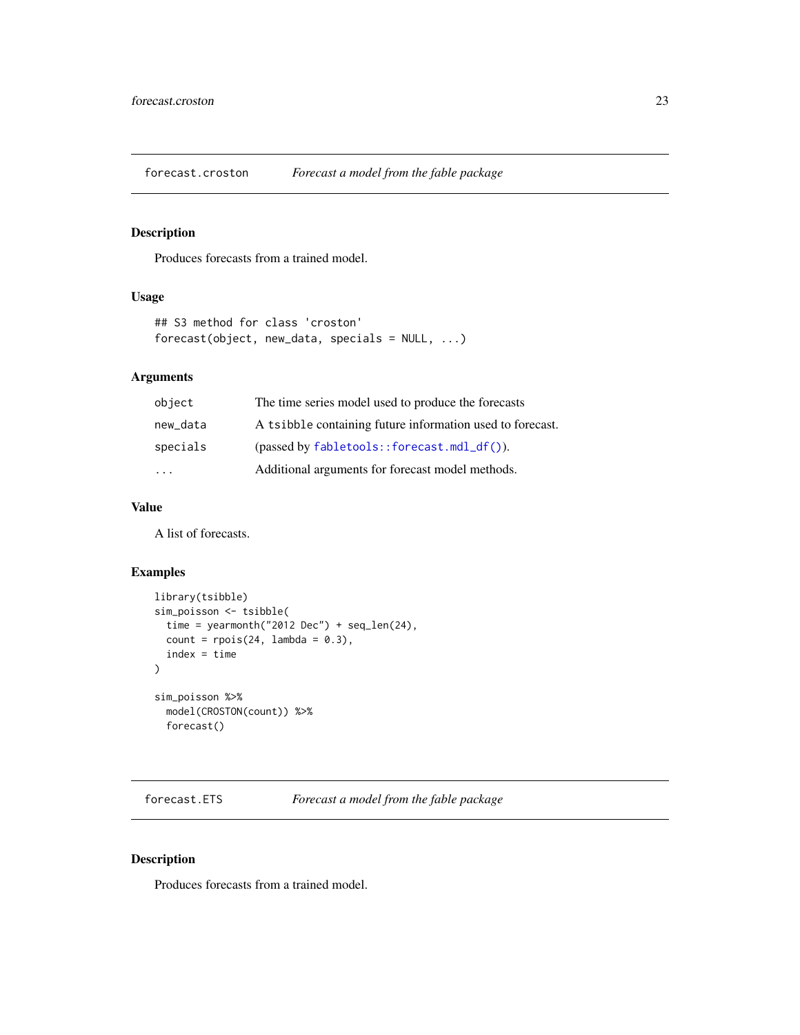<span id="page-22-0"></span>forecast.croston *Forecast a model from the fable package*

#### Description

Produces forecasts from a trained model.

## Usage

```
## S3 method for class 'croston'
forecast(object, new_data, specials = NULL, ...)
```
## Arguments

| object   | The time series model used to produce the forecasts                           |
|----------|-------------------------------------------------------------------------------|
| new_data | A tsibble containing future information used to forecast.                     |
| specials | $(\text{passed by } \text{fabletools} : \text{forecast} . \text{mdl}_df())$ . |
| .        | Additional arguments for forecast model methods.                              |

#### Value

A list of forecasts.

#### Examples

```
library(tsibble)
sim_poisson <- tsibble(
  time = yearmonth("2012 Dec") + seq_len(24),
  count = \text{rpois}(24, \text{ lambda} = 0.3),index = time
\mathcal{L}sim_poisson %>%
  model(CROSTON(count)) %>%
  forecast()
```
forecast.ETS *Forecast a model from the fable package*

#### Description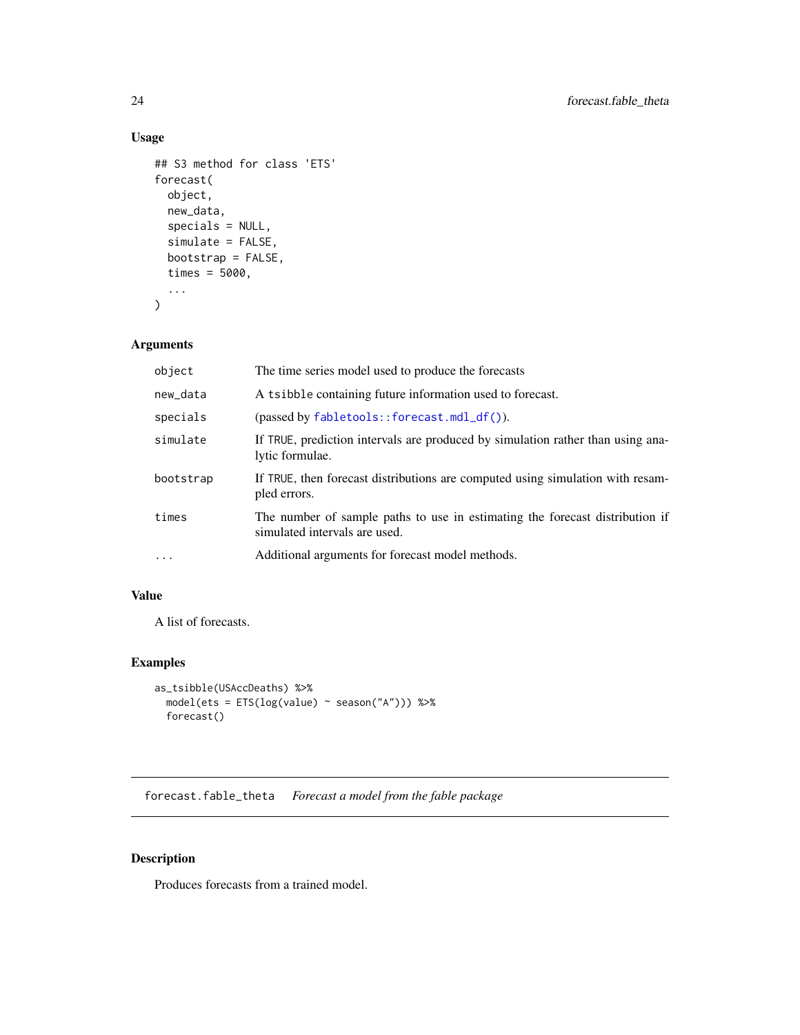## <span id="page-23-0"></span>Usage

```
## S3 method for class 'ETS'
forecast(
 object,
 new_data,
  specials = NULL,
  simulate = FALSE,
 bootstrap = FALSE,
  times = 5000,
  ...
)
```
## Arguments

| object    | The time series model used to produce the forecasts                                                           |
|-----------|---------------------------------------------------------------------------------------------------------------|
| new_data  | A tsibble containing future information used to forecast.                                                     |
| specials  | $(\text{passed by } \text{fabletools} : \text{forecast} . \text{mdl}_df())$ .                                 |
| simulate  | If TRUE, prediction intervals are produced by simulation rather than using ana-<br>lytic formulae.            |
| bootstrap | If TRUE, then forecast distributions are computed using simulation with resam-<br>pled errors.                |
| times     | The number of sample paths to use in estimating the forecast distribution if<br>simulated intervals are used. |
| $\cdots$  | Additional arguments for forecast model methods.                                                              |

#### Value

A list of forecasts.

## Examples

```
as_tsibble(USAccDeaths) %>%
 model(ets = ETS(log(value) ~ season("A"))) %>%
  forecast()
```
forecast.fable\_theta *Forecast a model from the fable package*

## Description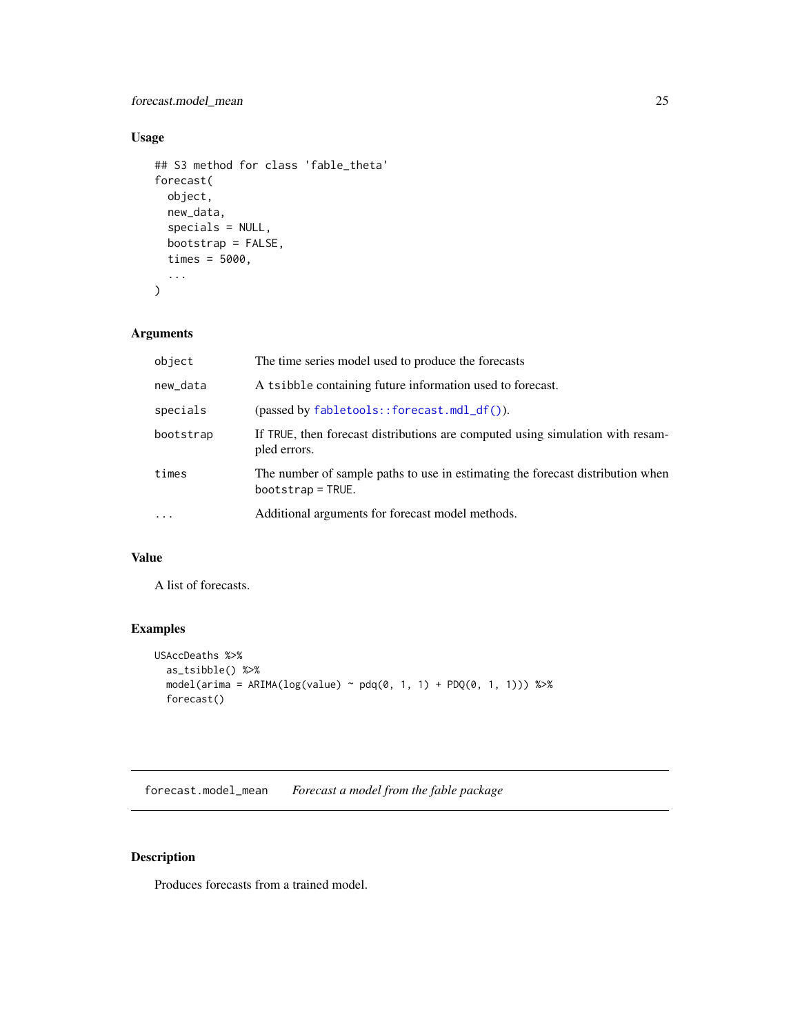## <span id="page-24-0"></span>forecast.model\_mean 25

## Usage

```
## S3 method for class 'fable_theta'
forecast(
 object,
 new_data,
  specials = NULL,
 bootstrap = FALSE,
 times = 5000,
  ...
)
```
## Arguments

| object    | The time series model used to produce the forecasts                                                   |
|-----------|-------------------------------------------------------------------------------------------------------|
| new_data  | A tsibble containing future information used to forecast.                                             |
| specials  | $(passed by fabletools::forecast.mdl_df())$ .                                                         |
| bootstrap | If TRUE, then forecast distributions are computed using simulation with resam-<br>pled errors.        |
| times     | The number of sample paths to use in estimating the forecast distribution when<br>$bootstrap = TRUE.$ |
| $\ddotsc$ | Additional arguments for forecast model methods.                                                      |

## Value

A list of forecasts.

## Examples

```
USAccDeaths %>%
  as_tsibble() %>%
  model(arima = ARIMA(log(value) ~ pdq(0, 1, 1) + PDQ(0, 1, 1))) %>%
  forecast()
```
forecast.model\_mean *Forecast a model from the fable package*

## Description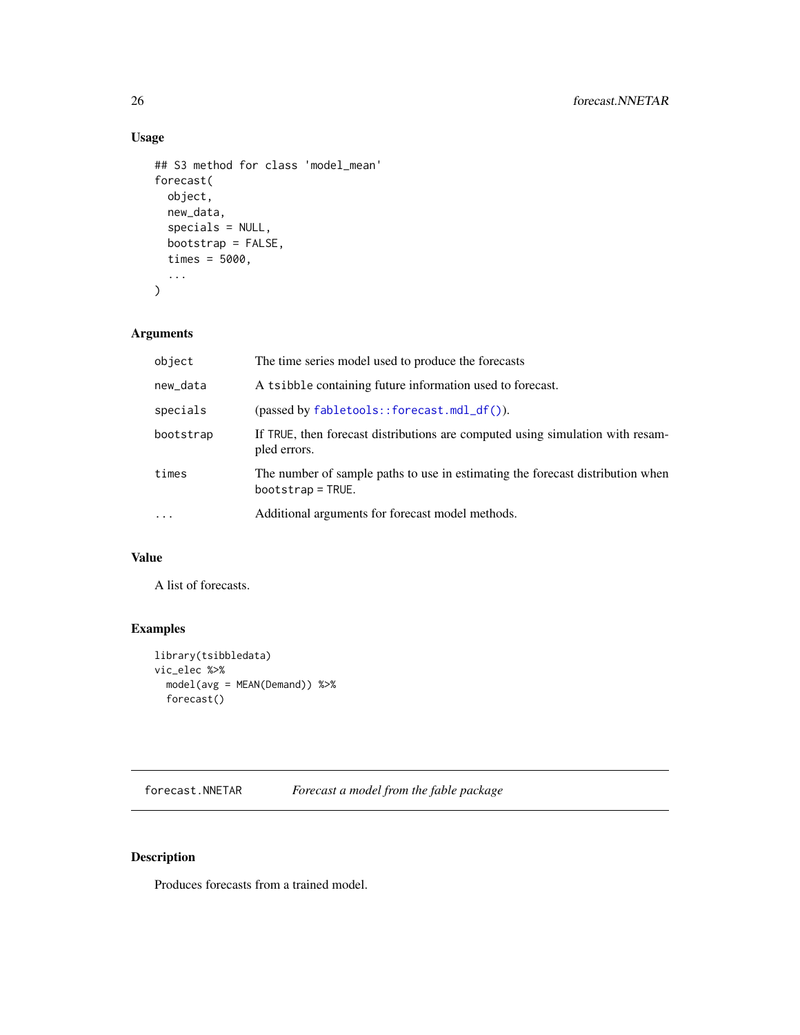## Usage

```
## S3 method for class 'model_mean'
forecast(
 object,
 new_data,
  specials = NULL,
 bootstrap = FALSE,
  times = 5000,
  ...
)
```
## Arguments

| object    | The time series model used to produce the forecasts                                                   |
|-----------|-------------------------------------------------------------------------------------------------------|
| new_data  | A tsibble containing future information used to forecast.                                             |
| specials  | $(\text{passed by } \text{fabletools}: \text{forecast}.\text{mdl}_df()$ ).                            |
| bootstrap | If TRUE, then forecast distributions are computed using simulation with resam-<br>pled errors.        |
| times     | The number of sample paths to use in estimating the forecast distribution when<br>$bootstrap = TRUE.$ |
| $\cdots$  | Additional arguments for forecast model methods.                                                      |

## Value

A list of forecasts.

## Examples

```
library(tsibbledata)
vic_elec %>%
  model(avg = MEAN(Demand)) %>%
  forecast()
```
forecast.NNETAR *Forecast a model from the fable package*

## Description

<span id="page-25-0"></span>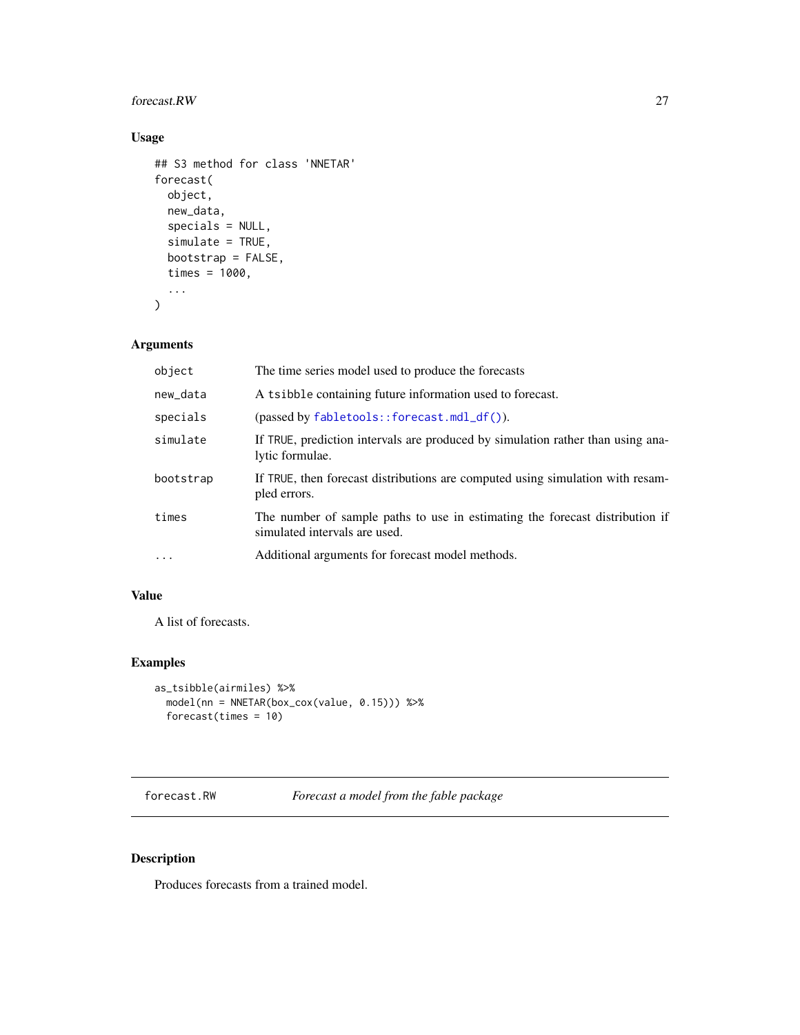## <span id="page-26-0"></span>forecast.RW 27

## Usage

```
## S3 method for class 'NNETAR'
forecast(
 object,
 new_data,
  specials = NULL,
  simulate = TRUE,
 bootstrap = FALSE,
  times = 1000,
  ...
)
```
## Arguments

| object    | The time series model used to produce the forecasts                                                           |
|-----------|---------------------------------------------------------------------------------------------------------------|
| new_data  | A tsibble containing future information used to forecast.                                                     |
| specials  | $(\text{passed by } \text{fabletools}: \text{forecast.mdl\_df}()$ ).                                          |
| simulate  | If TRUE, prediction intervals are produced by simulation rather than using ana-<br>lytic formulae.            |
| bootstrap | If TRUE, then forecast distributions are computed using simulation with resam-<br>pled errors.                |
| times     | The number of sample paths to use in estimating the forecast distribution if<br>simulated intervals are used. |
| $\cdot$   | Additional arguments for forecast model methods.                                                              |

## Value

A list of forecasts.

## Examples

```
as_tsibble(airmiles) %>%
 model(nn = NNETAR(box_cox(value, 0.15))) %>%
  forecast(times = 10)
```
forecast.RW *Forecast a model from the fable package*

## Description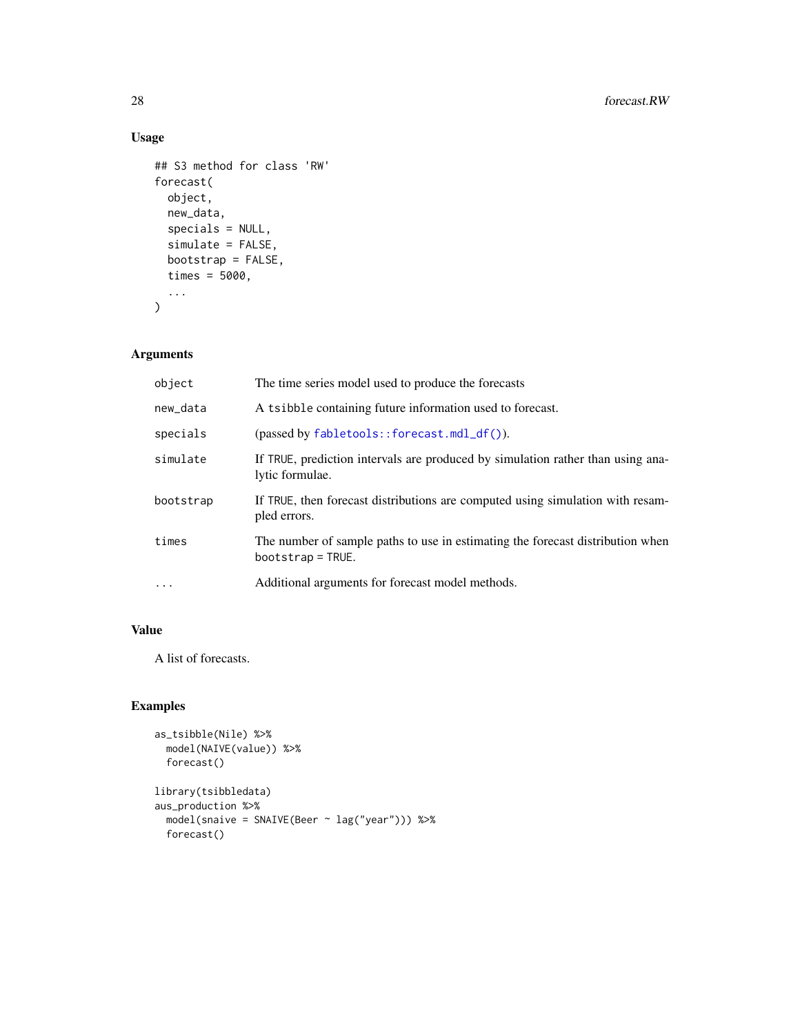## Usage

```
## S3 method for class 'RW'
forecast(
 object,
 new_data,
 specials = NULL,
 simulate = FALSE,
 bootstrap = FALSE,
 times = 5000,
  ...
\mathcal{L}
```
## Arguments

| object    | The time series model used to produce the forecasts                                                   |
|-----------|-------------------------------------------------------------------------------------------------------|
| new_data  | A tsibble containing future information used to forecast.                                             |
| specials  | $(\text{passed by } \text{fabletools}: \text{forecast.mdl\_df}()$ ).                                  |
| simulate  | If TRUE, prediction intervals are produced by simulation rather than using ana-<br>lytic formulae.    |
| bootstrap | If TRUE, then forecast distributions are computed using simulation with resam-<br>pled errors.        |
| times     | The number of sample paths to use in estimating the forecast distribution when<br>$bootstrap = TRUE.$ |
| $\ddotsc$ | Additional arguments for forecast model methods.                                                      |

## Value

A list of forecasts.

```
as_tsibble(Nile) %>%
 model(NAIVE(value)) %>%
  forecast()
library(tsibbledata)
aus_production %>%
  model(snaive = SNAIVE(Beer ~ lag("year"))) %>%
  forecast()
```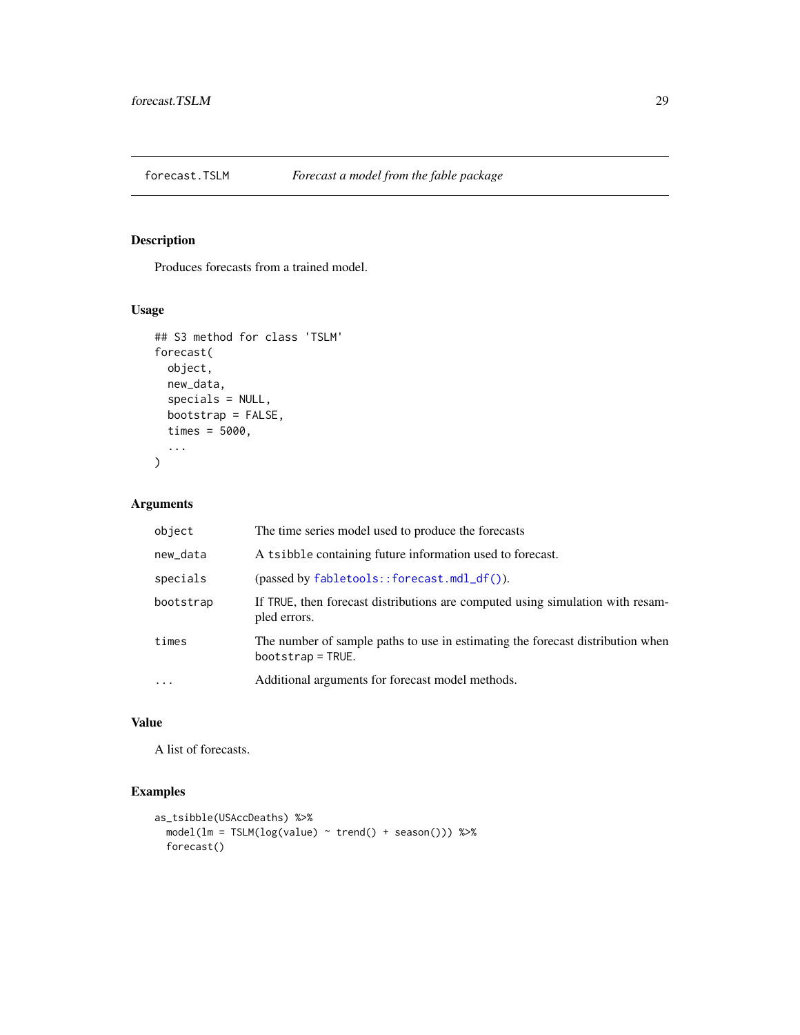<span id="page-28-0"></span>

Produces forecasts from a trained model.

## Usage

```
## S3 method for class 'TSLM'
forecast(
 object,
 new_data,
  specials = NULL,
 bootstrap = FALSE,
  times = 5000,
  ...
)
```
## Arguments

| object     | The time series model used to produce the forecasts                                                   |
|------------|-------------------------------------------------------------------------------------------------------|
| new_data   | A tsibble containing future information used to forecast.                                             |
| specials   | $(\text{passed by } \text{fabletools}: \text{forecast}.\text{mdl}_df()$ ).                            |
| bootstrap  | If TRUE, then forecast distributions are computed using simulation with resam-<br>pled errors.        |
| times      | The number of sample paths to use in estimating the forecast distribution when<br>$bootstrap = TRUE.$ |
| $\ddots$ . | Additional arguments for forecast model methods.                                                      |

#### Value

A list of forecasts.

```
as_tsibble(USAccDeaths) %>%
  model(lm = TSLM(log(value) ~ trend() + season())) %>%
  forecast()
```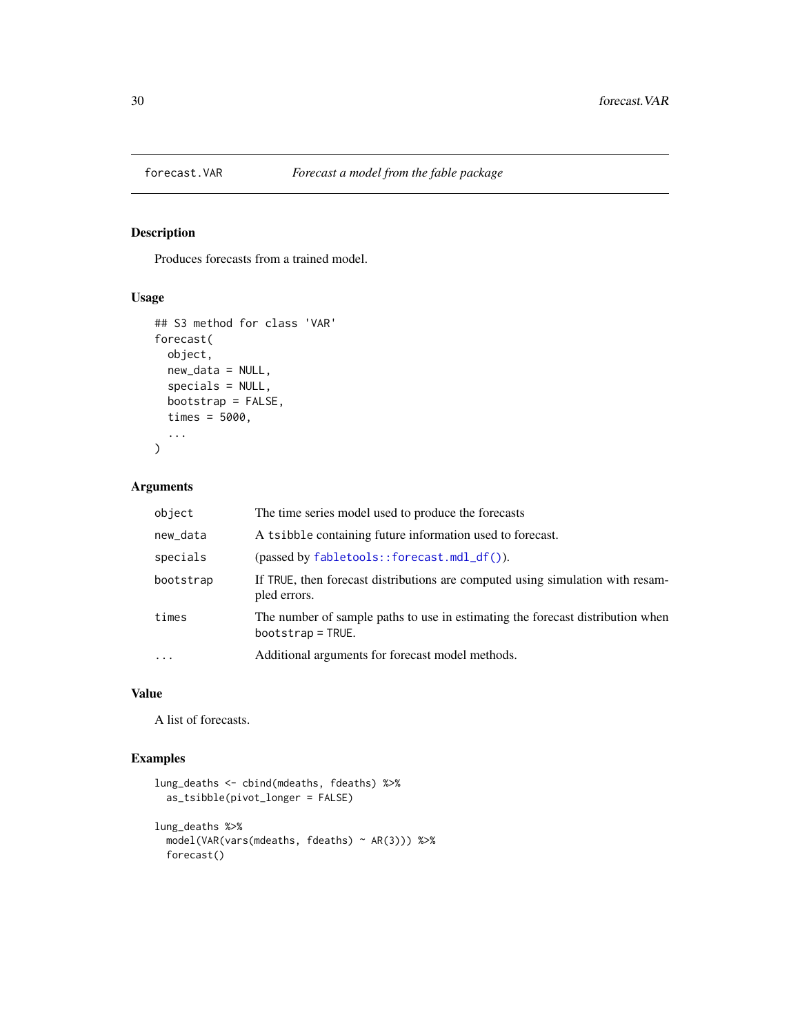<span id="page-29-0"></span>

Produces forecasts from a trained model.

#### Usage

```
## S3 method for class 'VAR'
forecast(
 object,
 new_data = NULL,
  specials = NULL,
 bootstrap = FALSE,
  times = 5000,
  ...
)
```
## Arguments

| object    | The time series model used to produce the forecasts                                                   |
|-----------|-------------------------------------------------------------------------------------------------------|
| new_data  | A tsibble containing future information used to forecast.                                             |
| specials  | $(\text{passed by } \text{fabletools} : \text{forecast.mdl\_df}()$ ).                                 |
| bootstrap | If TRUE, then forecast distributions are computed using simulation with resam-<br>pled errors.        |
| times     | The number of sample paths to use in estimating the forecast distribution when<br>$bootstrap = TRUE.$ |
| $\cdots$  | Additional arguments for forecast model methods.                                                      |

#### Value

A list of forecasts.

```
lung_deaths <- cbind(mdeaths, fdeaths) %>%
  as_tsibble(pivot_longer = FALSE)
lung_deaths %>%
  model(VAR(vars(mdeaths, fdeaths) ~ AR(3))) %>%
  forecast()
```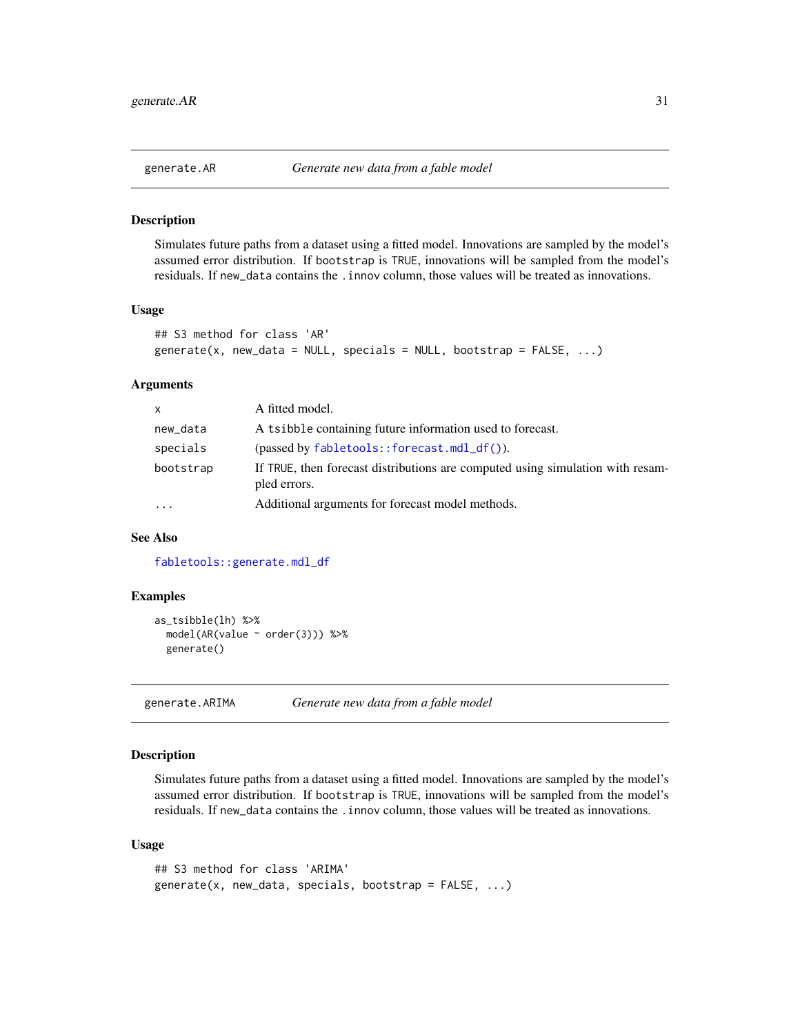<span id="page-30-0"></span>

Simulates future paths from a dataset using a fitted model. Innovations are sampled by the model's assumed error distribution. If bootstrap is TRUE, innovations will be sampled from the model's residuals. If new\_data contains the .innov column, those values will be treated as innovations.

#### Usage

```
## S3 method for class 'AR'
generate(x, new_data = NULL, specials = NULL, bootstrap = FALSE, \ldots)
```
#### **Arguments**

| $\mathsf{x}$ | A fitted model.                                                                                |
|--------------|------------------------------------------------------------------------------------------------|
| new_data     | A tsibble containing future information used to forecast.                                      |
| specials     | $(\text{passed by } \text{fabletools}:$ forecast.mdl_df()).                                    |
| bootstrap    | If TRUE, then forecast distributions are computed using simulation with resam-<br>pled errors. |
|              | Additional arguments for forecast model methods.                                               |

#### See Also

[fabletools::generate.mdl\\_df](#page-0-0)

#### Examples

```
as_tsibble(lh) %>%
 model(AR(value ~ order(3))) %>%
 generate()
```
generate.ARIMA *Generate new data from a fable model*

#### Description

Simulates future paths from a dataset using a fitted model. Innovations are sampled by the model's assumed error distribution. If bootstrap is TRUE, innovations will be sampled from the model's residuals. If new\_data contains the .innov column, those values will be treated as innovations.

#### Usage

```
## S3 method for class 'ARIMA'
generate(x, new_data, specials, bootstrap = FALSE, ...)
```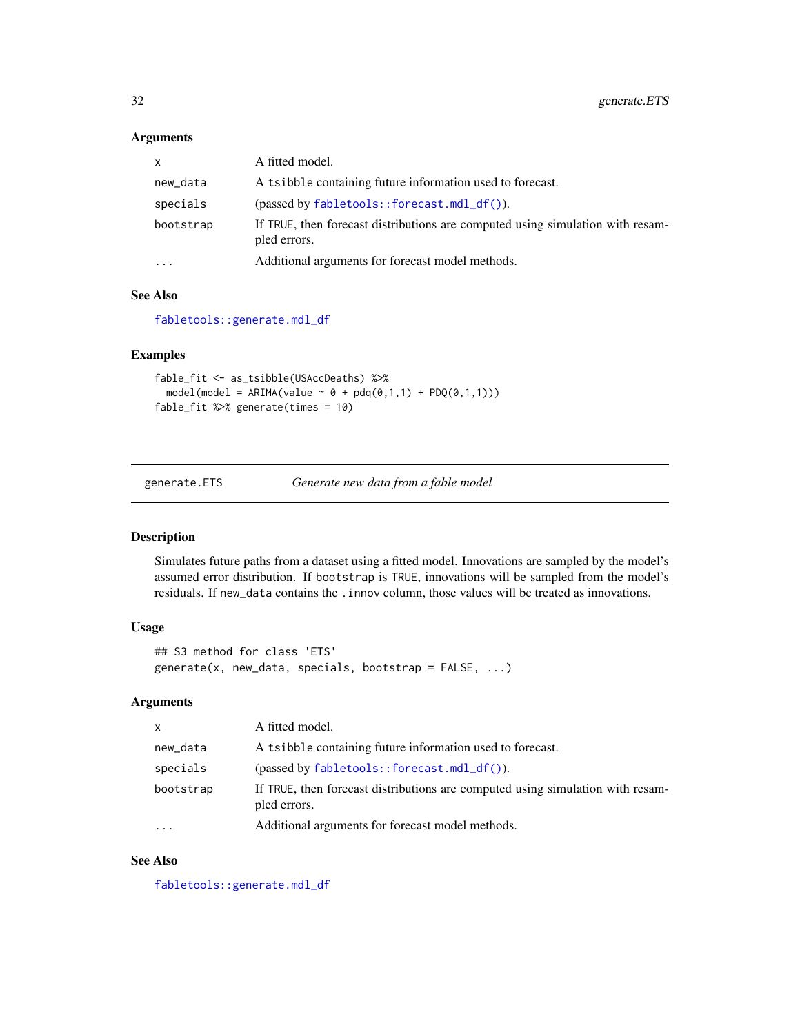## <span id="page-31-0"></span>Arguments

| $\mathsf{x}$            | A fitted model.                                                                                |
|-------------------------|------------------------------------------------------------------------------------------------|
| new_data                | A tsibble containing future information used to forecast.                                      |
| specials                | $(\text{passed by } \text{fabletools}:$ forecast.mdl_df()).                                    |
| bootstrap               | If TRUE, then forecast distributions are computed using simulation with resam-<br>pled errors. |
| $\cdot$ $\cdot$ $\cdot$ | Additional arguments for forecast model methods.                                               |

## See Also

[fabletools::generate.mdl\\_df](#page-0-0)

#### Examples

```
fable_fit <- as_tsibble(USAccDeaths) %>%
  model(model = ARIMA(value \sim \emptyset + pdq(0,1,1) + PDQ(0,1,1)))
fable_fit %>% generate(times = 10)
```
generate.ETS *Generate new data from a fable model*

#### Description

Simulates future paths from a dataset using a fitted model. Innovations are sampled by the model's assumed error distribution. If bootstrap is TRUE, innovations will be sampled from the model's residuals. If new\_data contains the .innov column, those values will be treated as innovations.

#### Usage

```
## S3 method for class 'ETS'
generate(x, new_data, specials, bootstrap = FALSE, ...)
```
#### Arguments

| $\mathsf{x}$ | A fitted model.                                                                                |
|--------------|------------------------------------------------------------------------------------------------|
| new_data     | A tsibble containing future information used to forecast.                                      |
| specials     | $(\text{passed by } \text{fabletools}: \text{forecast.mdl\_df}()$ ).                           |
| bootstrap    | If TRUE, then forecast distributions are computed using simulation with resam-<br>pled errors. |
| $\cdots$     | Additional arguments for forecast model methods.                                               |

## See Also

[fabletools::generate.mdl\\_df](#page-0-0)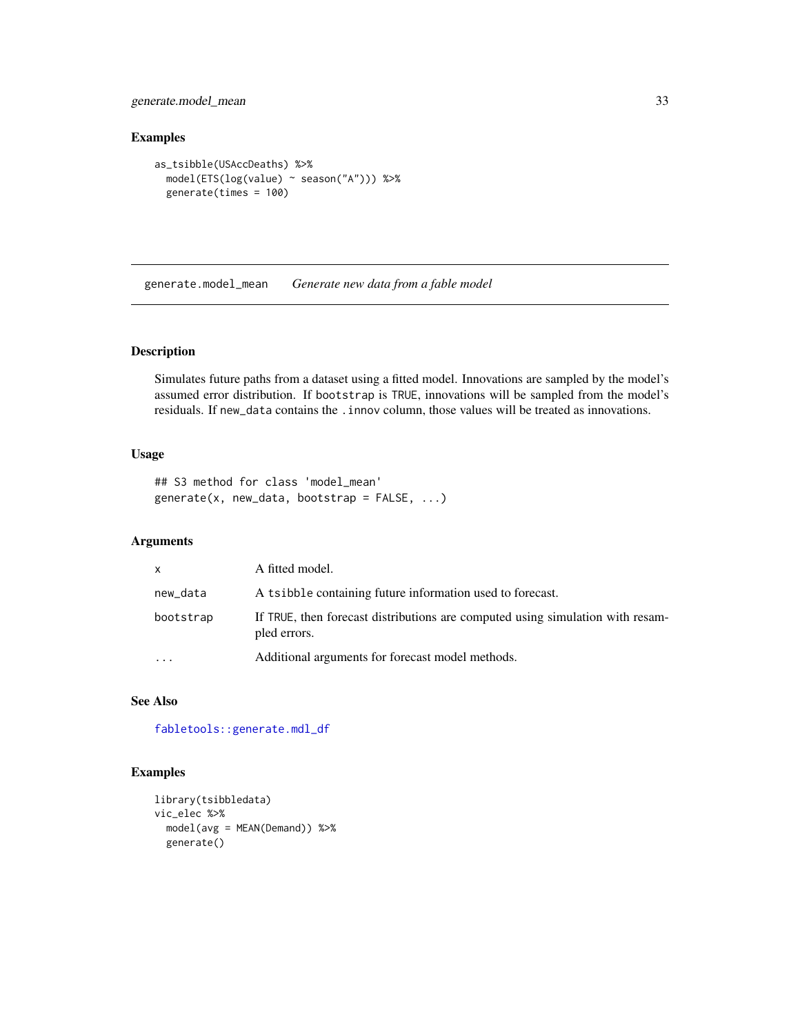<span id="page-32-0"></span>generate.model\_mean 33

#### Examples

```
as_tsibble(USAccDeaths) %>%
  model(ETS(log(value) ~ season("A"))) %>%
  generate(times = 100)
```
generate.model\_mean *Generate new data from a fable model*

## Description

Simulates future paths from a dataset using a fitted model. Innovations are sampled by the model's assumed error distribution. If bootstrap is TRUE, innovations will be sampled from the model's residuals. If new\_data contains the .innov column, those values will be treated as innovations.

#### Usage

## S3 method for class 'model\_mean' generate(x, new\_data, bootstrap = FALSE, ...)

## Arguments

| $\times$  | A fitted model.                                                                                |
|-----------|------------------------------------------------------------------------------------------------|
| new_data  | A tsibble containing future information used to forecast.                                      |
| bootstrap | If TRUE, then forecast distributions are computed using simulation with resam-<br>pled errors. |
| $\cdots$  | Additional arguments for forecast model methods.                                               |

## See Also

[fabletools::generate.mdl\\_df](#page-0-0)

```
library(tsibbledata)
vic_elec %>%
  model(avg = MEAN(Demand)) %>%
  generate()
```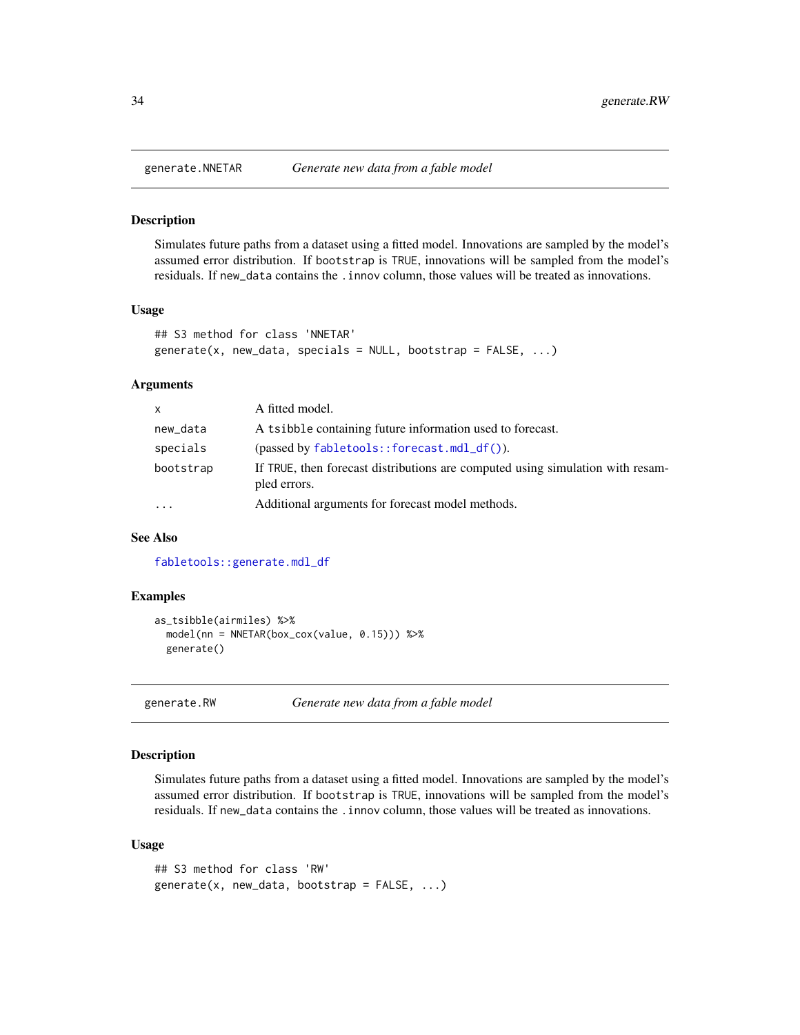<span id="page-33-0"></span>

Simulates future paths from a dataset using a fitted model. Innovations are sampled by the model's assumed error distribution. If bootstrap is TRUE, innovations will be sampled from the model's residuals. If new\_data contains the .innov column, those values will be treated as innovations.

#### Usage

```
## S3 method for class 'NNETAR'
generate(x, new_data, specials = NULL, bootstrap = FALSE, ...)
```
#### **Arguments**

| $\mathsf{x}$ | A fitted model.                                                                                |
|--------------|------------------------------------------------------------------------------------------------|
| new_data     | A tsibble containing future information used to forecast.                                      |
| specials     | $(\text{passed by } \text{fabletools} : \text{forecast} . \text{mdl}_df())$ .                  |
| bootstrap    | If TRUE, then forecast distributions are computed using simulation with resam-<br>pled errors. |
| $\cdots$     | Additional arguments for forecast model methods.                                               |

#### See Also

[fabletools::generate.mdl\\_df](#page-0-0)

#### Examples

```
as_tsibble(airmiles) %>%
 model(nn = NNETAR(box_cox(value, 0.15))) %>%
 generate()
```
generate.RW *Generate new data from a fable model*

#### Description

Simulates future paths from a dataset using a fitted model. Innovations are sampled by the model's assumed error distribution. If bootstrap is TRUE, innovations will be sampled from the model's residuals. If new\_data contains the .innov column, those values will be treated as innovations.

#### Usage

```
## S3 method for class 'RW'
generate(x, new_data, bootstrap = FALSE, ...)
```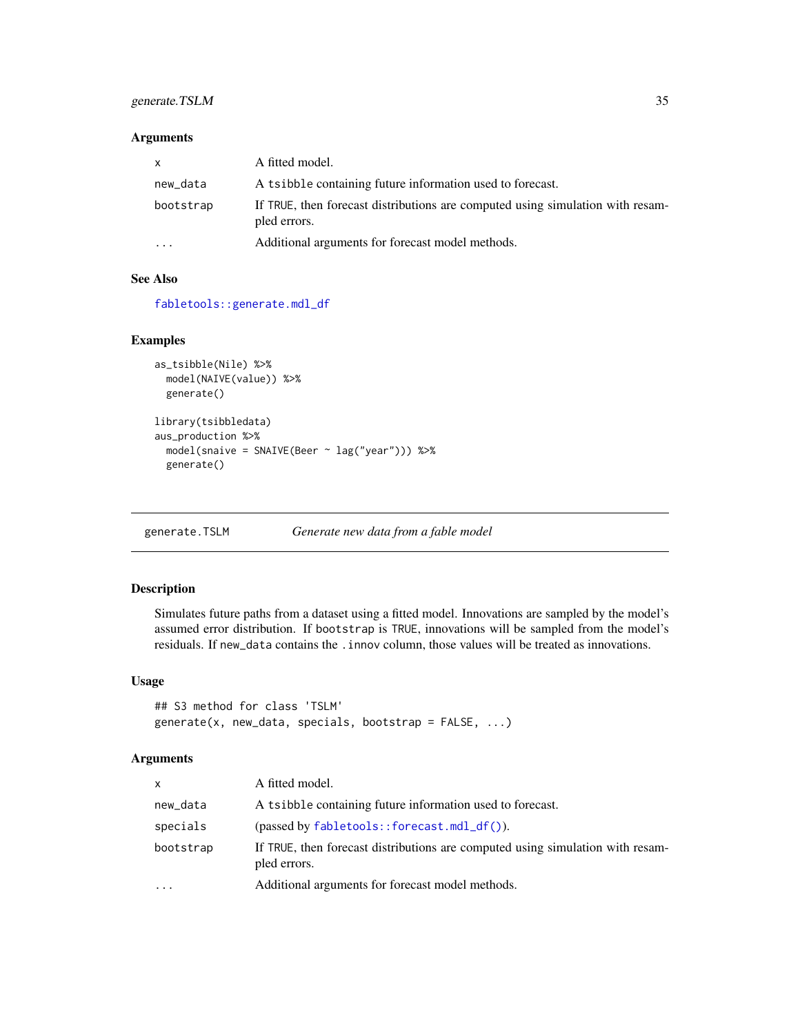## <span id="page-34-0"></span>generate.TSLM 35

#### Arguments

| $\mathsf{x}$ | A fitted model.                                                                                |
|--------------|------------------------------------------------------------------------------------------------|
| new_data     | A tsibble containing future information used to forecast.                                      |
| bootstrap    | If TRUE, then forecast distributions are computed using simulation with resam-<br>pled errors. |
| $\cdots$     | Additional arguments for forecast model methods.                                               |

#### See Also

[fabletools::generate.mdl\\_df](#page-0-0)

#### Examples

```
as_tsibble(Nile) %>%
  model(NAIVE(value)) %>%
  generate()
library(tsibbledata)
aus_production %>%
  model(snaive = SNAIVE(Beer ~ lag("year"))) %>%
  generate()
```
generate.TSLM *Generate new data from a fable model*

## Description

Simulates future paths from a dataset using a fitted model. Innovations are sampled by the model's assumed error distribution. If bootstrap is TRUE, innovations will be sampled from the model's residuals. If new\_data contains the .innov column, those values will be treated as innovations.

#### Usage

```
## S3 method for class 'TSLM'
generate(x, new_data, specials, bootstrap = FALSE, ...)
```
#### Arguments

| <b>x</b>  | A fitted model.                                                                                |
|-----------|------------------------------------------------------------------------------------------------|
| new_data  | A tsibble containing future information used to forecast.                                      |
| specials  | $(\text{passed by } \text{fabletools}: \text{forecast.mdl\_df}()$ ).                           |
| bootstrap | If TRUE, then forecast distributions are computed using simulation with resam-<br>pled errors. |
| $\cdots$  | Additional arguments for forecast model methods.                                               |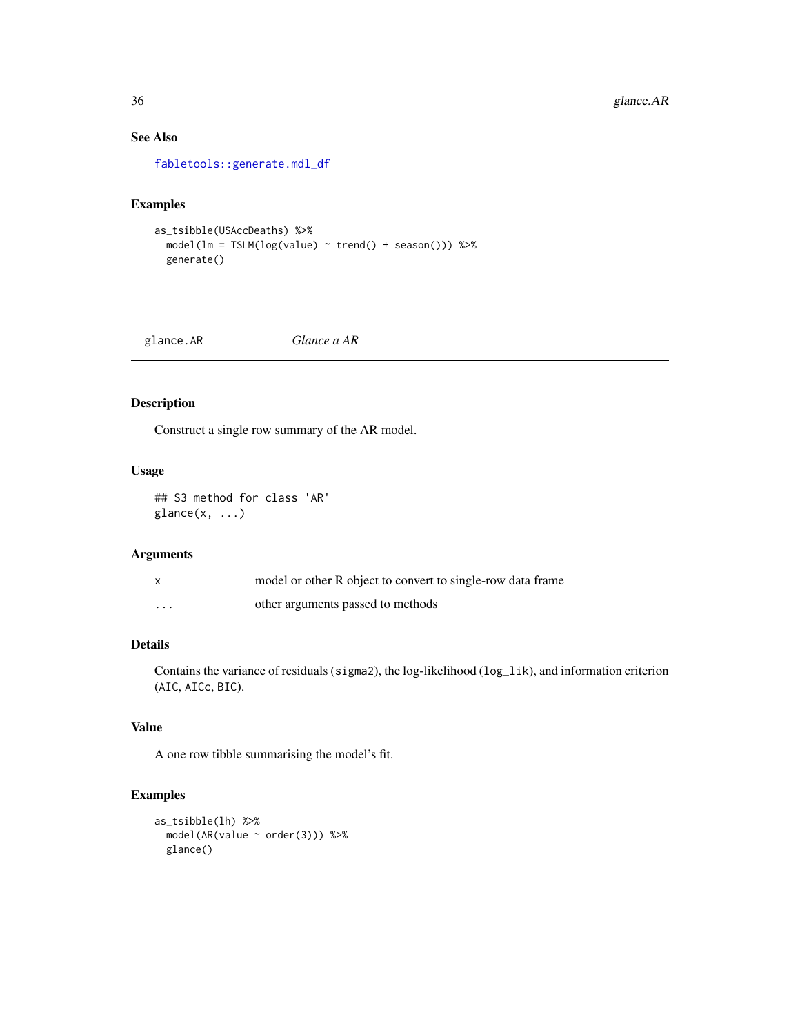## See Also

[fabletools::generate.mdl\\_df](#page-0-0)

#### Examples

```
as_tsibble(USAccDeaths) %>%
  model(lm = TSLM(log(value) ~ trend() + season())) %>%
  generate()
```
glance.AR *Glance a AR*

## Description

Construct a single row summary of the AR model.

#### Usage

## S3 method for class 'AR'  $\text{glance}(x, \ldots)$ 

#### Arguments

|          | model or other R object to convert to single-row data frame |
|----------|-------------------------------------------------------------|
| $\cdots$ | other arguments passed to methods                           |

## Details

Contains the variance of residuals (sigma2), the log-likelihood (log\_lik), and information criterion (AIC, AICc, BIC).

#### Value

A one row tibble summarising the model's fit.

```
as_tsibble(lh) %>%
 model(AR(value ~ order(3))) %>%
 glance()
```
<span id="page-35-0"></span>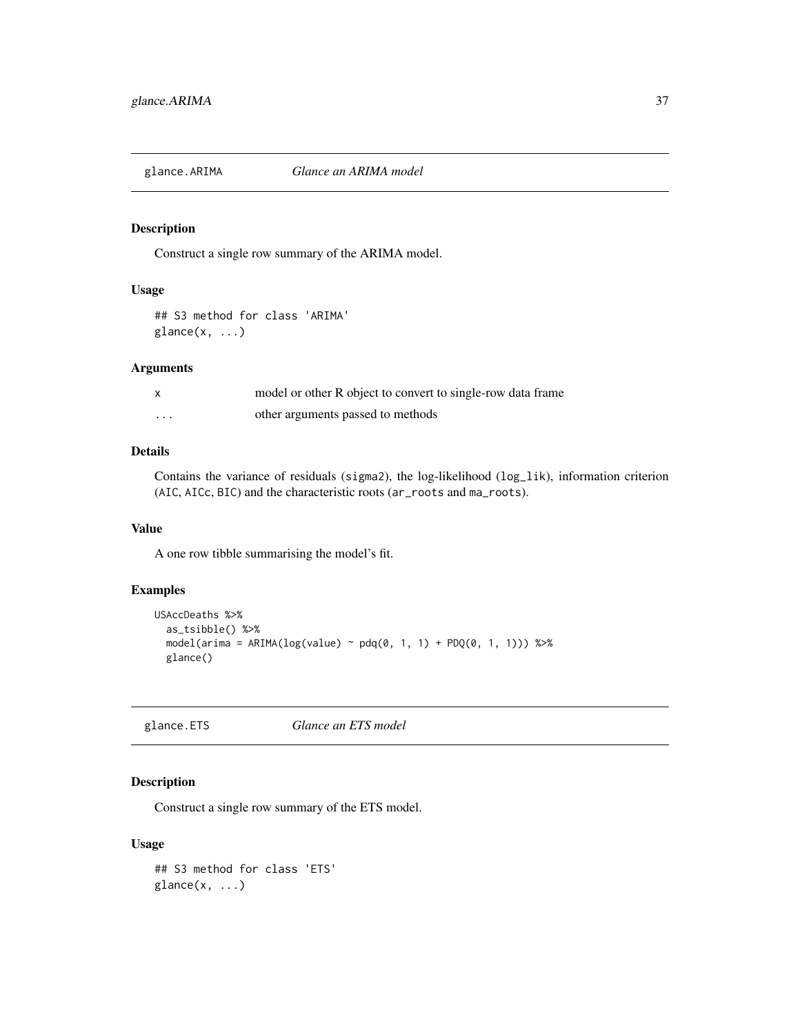Construct a single row summary of the ARIMA model.

### Usage

## S3 method for class 'ARIMA'  $\text{glance}(x, \ldots)$ 

### Arguments

|   | model or other R object to convert to single-row data frame |
|---|-------------------------------------------------------------|
| . | other arguments passed to methods                           |

### Details

Contains the variance of residuals (sigma2), the log-likelihood (log\_lik), information criterion (AIC, AICc, BIC) and the characteristic roots (ar\_roots and ma\_roots).

### Value

A one row tibble summarising the model's fit.

# Examples

```
USAccDeaths %>%
  as_tsibble() %>%
  model( \text{arima} = \text{ARIMA}(\text{log}(\text{value}) \sim \text{pdq}(0, 1, 1) + \text{PDQ}(0, 1, 1))) %>%
  glance()
```
glance.ETS *Glance an ETS model*

# Description

Construct a single row summary of the ETS model.

```
## S3 method for class 'ETS'
\text{glance}(x, \ldots)
```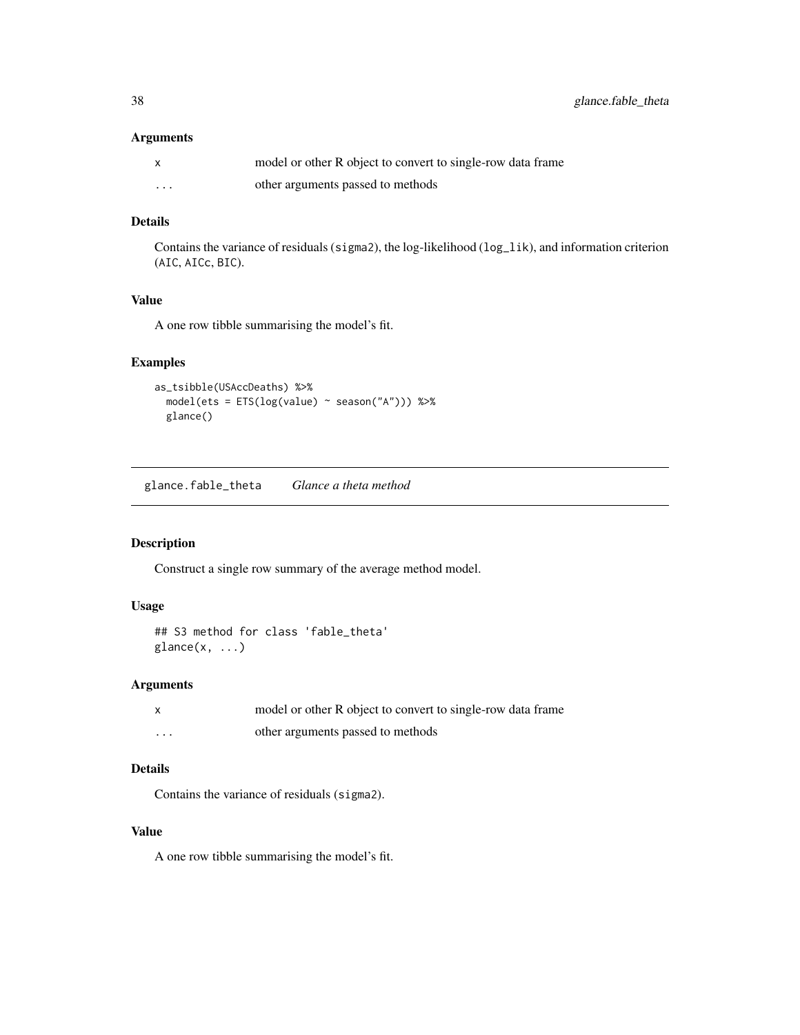### Arguments

|          | model or other R object to convert to single-row data frame |
|----------|-------------------------------------------------------------|
| $\cdots$ | other arguments passed to methods                           |

# Details

Contains the variance of residuals (sigma2), the log-likelihood (log\_lik), and information criterion (AIC, AICc, BIC).

### Value

A one row tibble summarising the model's fit.

# Examples

```
as_tsibble(USAccDeaths) %>%
  model(ets = ETS(log(value) ~ season("A"))) %>%
  glance()
```
glance.fable\_theta *Glance a theta method*

# Description

Construct a single row summary of the average method model.

#### Usage

```
## S3 method for class 'fable_theta'
glance(x, \ldots)
```
### Arguments

|          | model or other R object to convert to single-row data frame |
|----------|-------------------------------------------------------------|
| $\cdots$ | other arguments passed to methods                           |

# Details

Contains the variance of residuals (sigma2).

#### Value

A one row tibble summarising the model's fit.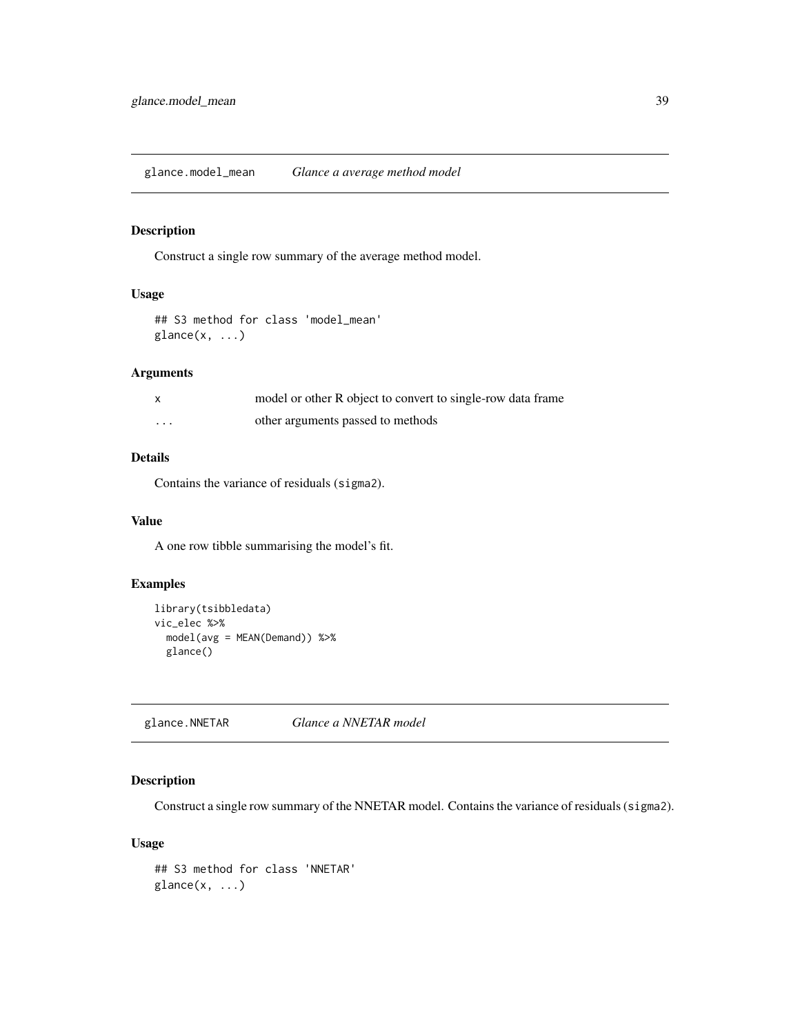glance.model\_mean *Glance a average method model*

# Description

Construct a single row summary of the average method model.

# Usage

```
## S3 method for class 'model_mean'
\text{glance}(x, \ldots)
```
# Arguments

|   | model or other R object to convert to single-row data frame |
|---|-------------------------------------------------------------|
| . | other arguments passed to methods                           |

# Details

Contains the variance of residuals (sigma2).

### Value

A one row tibble summarising the model's fit.

# Examples

```
library(tsibbledata)
vic_elec %>%
  model(avg = MEAN(Demand)) %>%
  glance()
```
glance.NNETAR *Glance a NNETAR model*

# Description

Construct a single row summary of the NNETAR model. Contains the variance of residuals (sigma2).

```
## S3 method for class 'NNETAR'
\text{glance}(x, \ldots)
```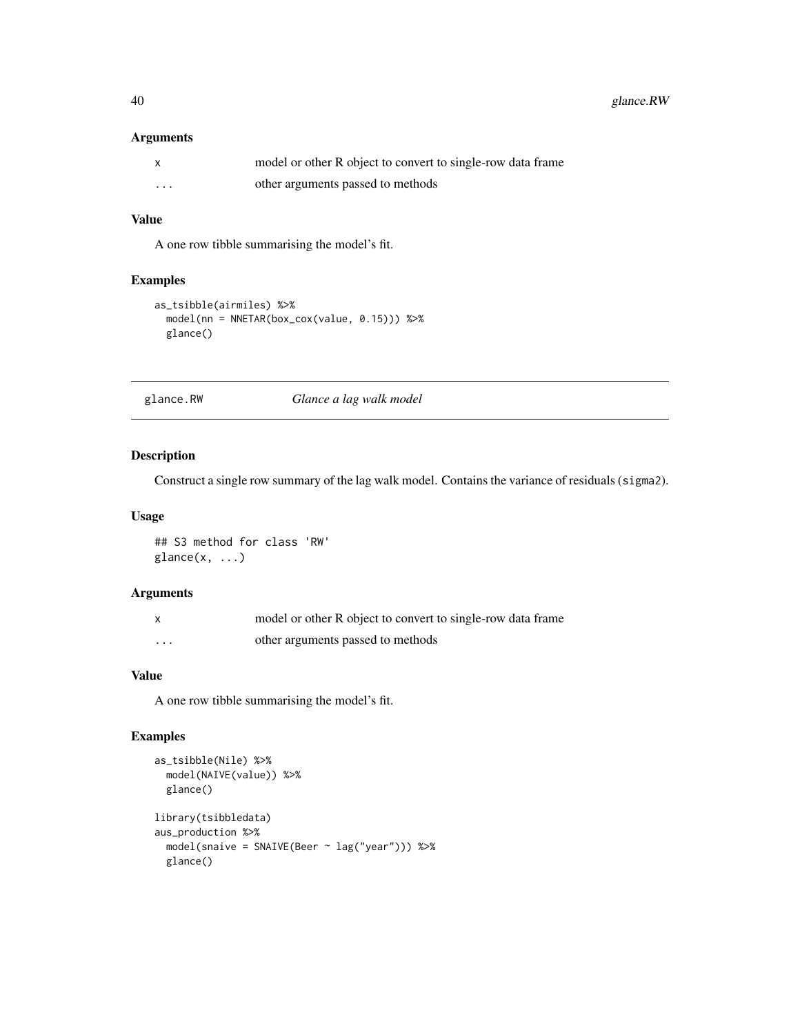# Arguments

|                         | model or other R object to convert to single-row data frame |
|-------------------------|-------------------------------------------------------------|
| $\cdot$ $\cdot$ $\cdot$ | other arguments passed to methods                           |

# Value

A one row tibble summarising the model's fit.

# Examples

```
as_tsibble(airmiles) %>%
  model(nn = NNETAR(box_cox(value, 0.15))) %>%
  glance()
```
glance.RW *Glance a lag walk model*

### Description

Construct a single row summary of the lag walk model. Contains the variance of residuals (sigma2).

### Usage

```
## S3 method for class 'RW'
glance(x, \ldots)
```
# Arguments

|   | model or other R object to convert to single-row data frame |
|---|-------------------------------------------------------------|
| . | other arguments passed to methods                           |

# Value

A one row tibble summarising the model's fit.

```
as_tsibble(Nile) %>%
  model(NAIVE(value)) %>%
  glance()
library(tsibbledata)
aus_production %>%
  model(snaive = SNAIVE(Beer ~ lag("year"))) %>%
  glance()
```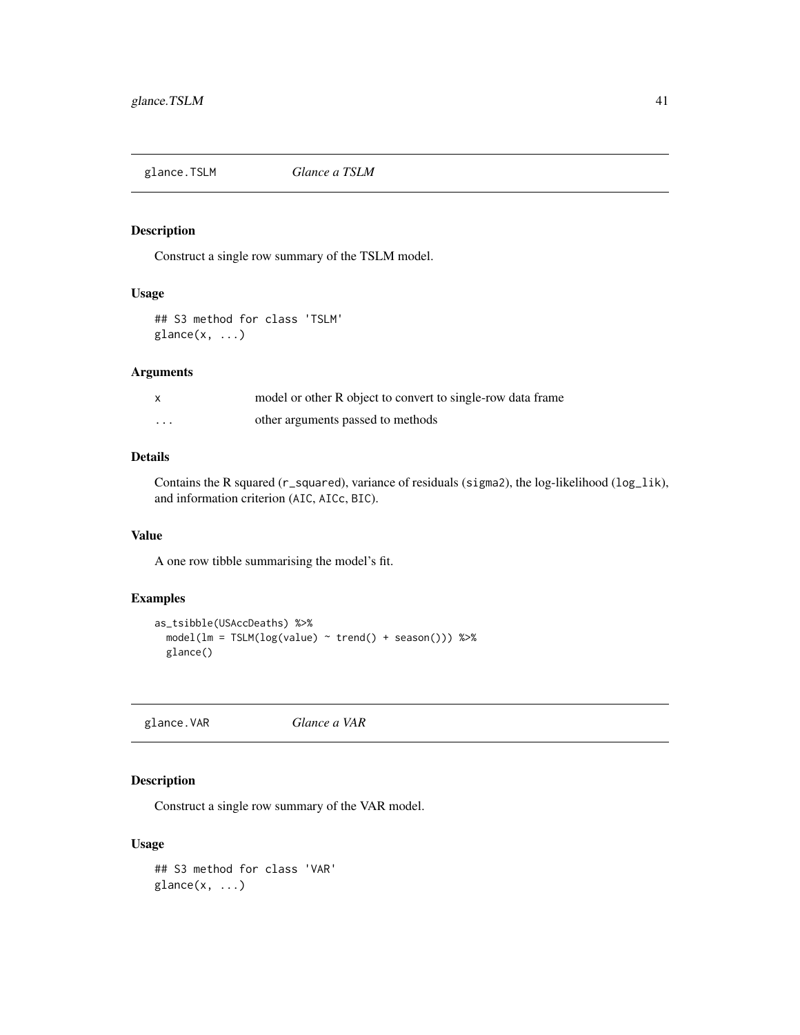glance.TSLM *Glance a TSLM*

# Description

Construct a single row summary of the TSLM model.

# Usage

## S3 method for class 'TSLM'  $\text{glance}(x, \ldots)$ 

#### Arguments

|          | model or other R object to convert to single-row data frame |
|----------|-------------------------------------------------------------|
| $\cdots$ | other arguments passed to methods                           |

# Details

Contains the R squared (r\_squared), variance of residuals (sigma2), the log-likelihood (log\_lik), and information criterion (AIC, AICc, BIC).

### Value

A one row tibble summarising the model's fit.

# Examples

```
as_tsibble(USAccDeaths) %>%
 model(lm = TSLM(log(value) \sim trend() + season()) %>%
 glance()
```
glance.VAR *Glance a VAR*

# Description

Construct a single row summary of the VAR model.

```
## S3 method for class 'VAR'
\text{glance}(x, \ldots)
```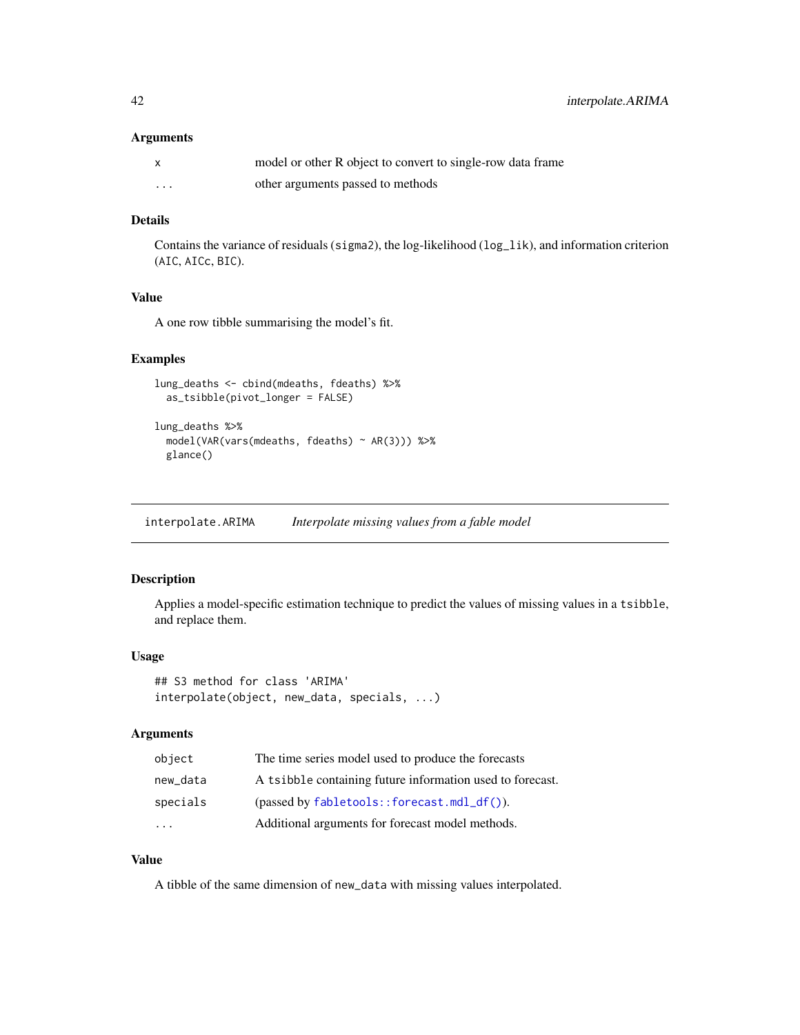#### Arguments

|          | model or other R object to convert to single-row data frame |
|----------|-------------------------------------------------------------|
| $\cdots$ | other arguments passed to methods                           |

### Details

Contains the variance of residuals (sigma2), the log-likelihood (log\_lik), and information criterion (AIC, AICc, BIC).

# Value

A one row tibble summarising the model's fit.

# Examples

```
lung_deaths <- cbind(mdeaths, fdeaths) %>%
  as_tsibble(pivot_longer = FALSE)
```

```
lung_deaths %>%
 model(VAR(vars(mdeaths, fdeaths) ~ AR(3))) %>%
 glance()
```
interpolate.ARIMA *Interpolate missing values from a fable model*

### Description

Applies a model-specific estimation technique to predict the values of missing values in a tsibble, and replace them.

#### Usage

```
## S3 method for class 'ARIMA'
interpolate(object, new_data, specials, ...)
```
# Arguments

| object    | The time series model used to produce the forecasts           |
|-----------|---------------------------------------------------------------|
| new data  | A tsibble containing future information used to forecast.     |
| specials  | $(\text{passed by } \text{fabletools}:$ : forecast.mdl_df()). |
| $\ddotsc$ | Additional arguments for forecast model methods.              |

# Value

A tibble of the same dimension of new\_data with missing values interpolated.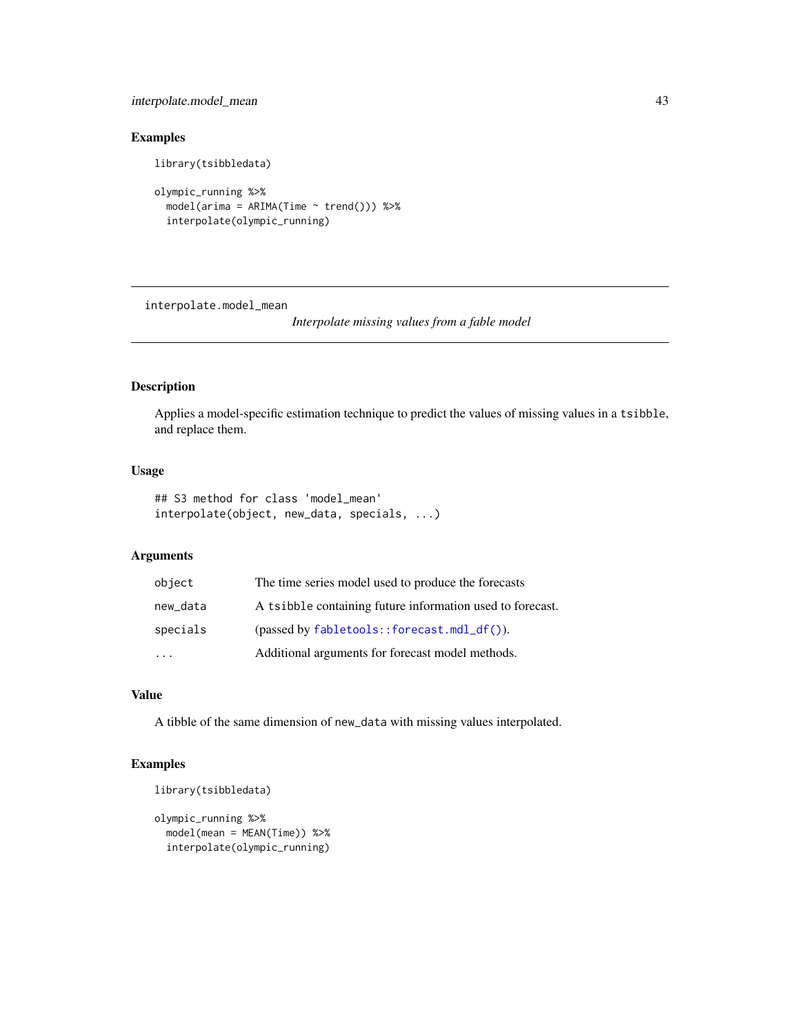# interpolate.model\_mean 43

# Examples

```
library(tsibbledata)
```

```
olympic_running %>%
  model(arima = ARIMA(Time ~ trend()) %>%
  interpolate(olympic_running)
```
interpolate.model\_mean

*Interpolate missing values from a fable model*

# Description

Applies a model-specific estimation technique to predict the values of missing values in a tsibble, and replace them.

# Usage

```
## S3 method for class 'model_mean'
interpolate(object, new_data, specials, ...)
```
# Arguments

| object   | The time series model used to produce the forecasts           |  |
|----------|---------------------------------------------------------------|--|
| new_data | A tsibble containing future information used to forecast.     |  |
| specials | $(\text{passed by } \text{fabletools}:$ : forecast.mdl_df()). |  |
| $\cdot$  | Additional arguments for forecast model methods.              |  |

# Value

A tibble of the same dimension of new\_data with missing values interpolated.

```
library(tsibbledata)
```

```
olympic_running %>%
 model(mean = MEAN(Time)) %>%
 interpolate(olympic_running)
```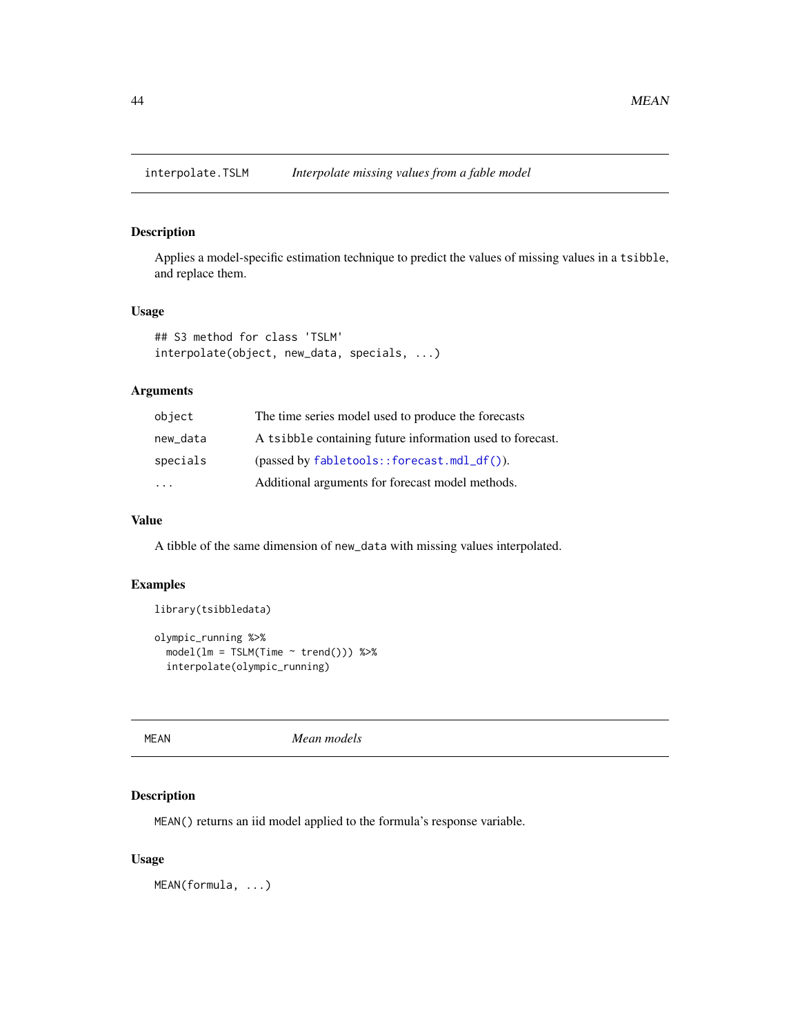Applies a model-specific estimation technique to predict the values of missing values in a tsibble, and replace them.

# Usage

```
## S3 method for class 'TSLM'
interpolate(object, new_data, specials, ...)
```
# Arguments

| object                  | The time series model used to produce the forecasts           |
|-------------------------|---------------------------------------------------------------|
| new data                | A tsibble containing future information used to forecast.     |
| specials                | $(\text{passed by } \text{fabletools}:$ : forecast.mdl_df()). |
| $\cdot$ $\cdot$ $\cdot$ | Additional arguments for forecast model methods.              |

### Value

A tibble of the same dimension of new\_data with missing values interpolated.

# Examples

```
library(tsibbledata)
```

```
olympic_running %>%
 model(lm = TSLM(Time ~ trend()) %>%
 interpolate(olympic_running)
```
MEAN *Mean models*

# Description

MEAN() returns an iid model applied to the formula's response variable.

### Usage

MEAN(formula, ...)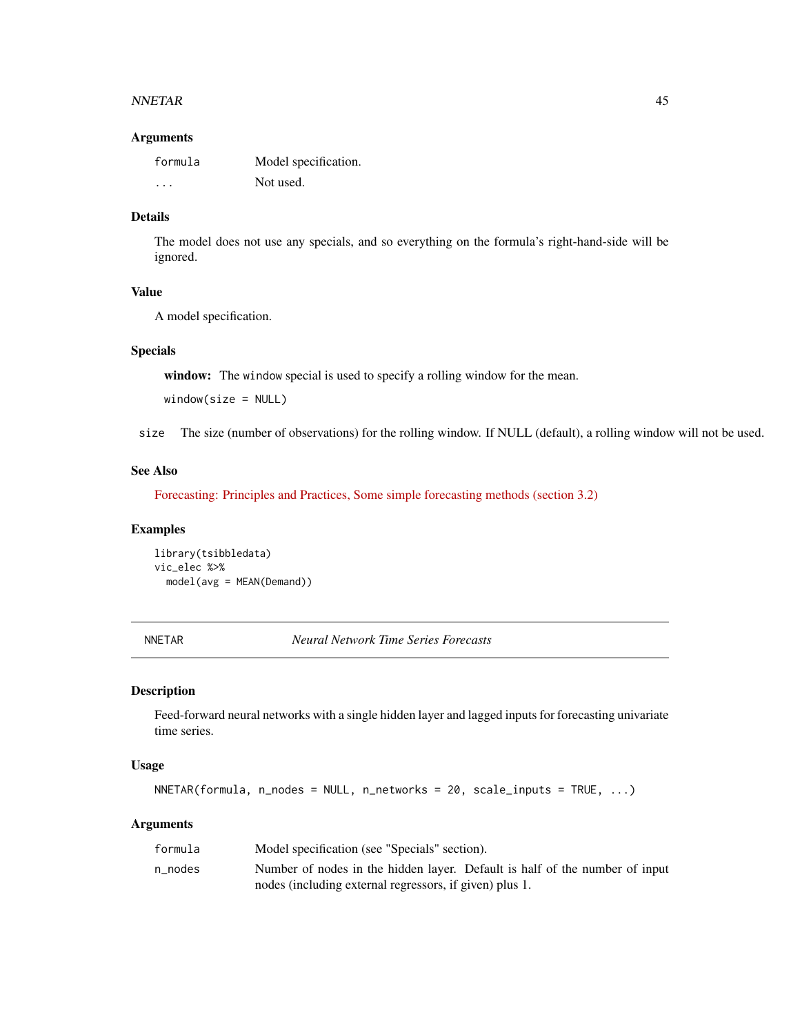#### NNETAR 45

#### Arguments

| formula | Model specification. |
|---------|----------------------|
| $\cdot$ | Not used.            |

# Details

The model does not use any specials, and so everything on the formula's right-hand-side will be ignored.

### Value

A model specification.

### Specials

window: The window special is used to specify a rolling window for the mean.

window(size = NULL)

size The size (number of observations) for the rolling window. If NULL (default), a rolling window will not be used.

# See Also

[Forecasting: Principles and Practices, Some simple forecasting methods \(section 3.2\)](https://otexts.com/fpp3/simple-methods.html)

#### Examples

library(tsibbledata) vic\_elec %>% model(avg = MEAN(Demand))

NNETAR *Neural Network Time Series Forecasts*

# Description

Feed-forward neural networks with a single hidden layer and lagged inputs for forecasting univariate time series.

#### Usage

```
NNETAR(formula, n_nodes = NULL, n_networks = 20, scale_inputs = TRUE, ...)
```
### Arguments

| formula | Model specification (see "Specials" section).                               |
|---------|-----------------------------------------------------------------------------|
| n nodes | Number of nodes in the hidden layer. Default is half of the number of input |
|         | nodes (including external regressors, if given) plus 1.                     |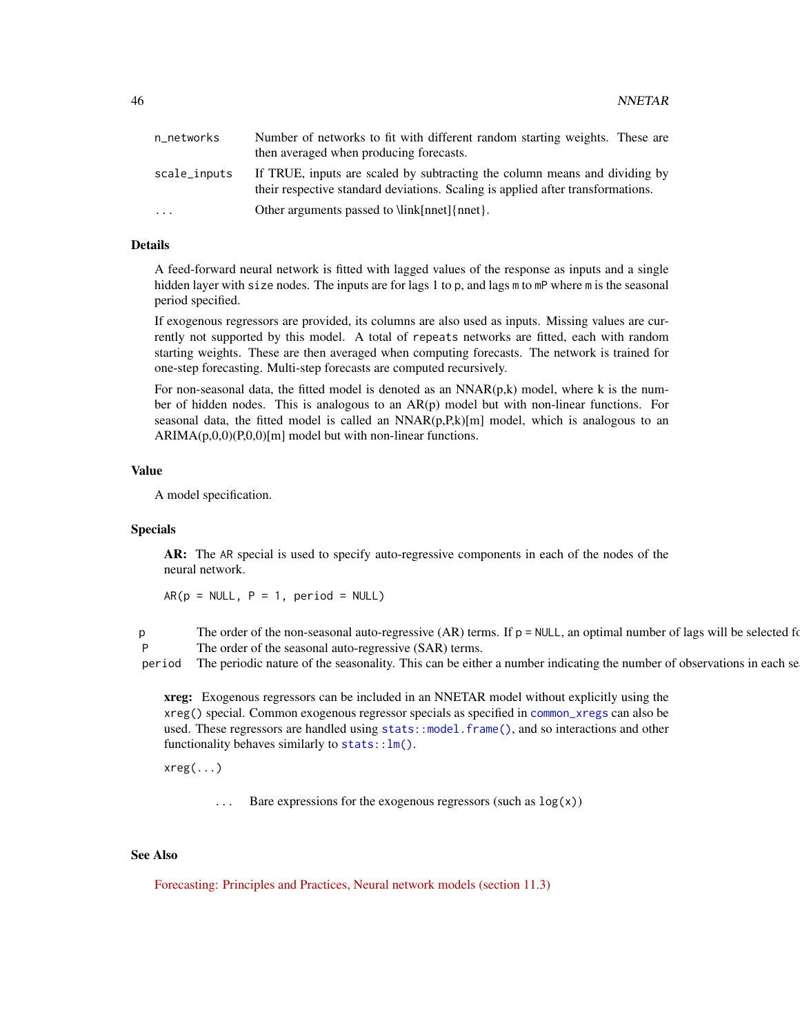| n_networks   | Number of networks to fit with different random starting weights. These are<br>then averaged when producing forecasts.                                        |
|--------------|---------------------------------------------------------------------------------------------------------------------------------------------------------------|
| scale_inputs | If TRUE, inputs are scaled by subtracting the column means and dividing by<br>their respective standard deviations. Scaling is applied after transformations. |
| .            | Other arguments passed to \link[nnet]{nnet}.                                                                                                                  |

# Details

A feed-forward neural network is fitted with lagged values of the response as inputs and a single hidden layer with size nodes. The inputs are for lags 1 to p, and lags m to mP where m is the seasonal period specified.

If exogenous regressors are provided, its columns are also used as inputs. Missing values are currently not supported by this model. A total of repeats networks are fitted, each with random starting weights. These are then averaged when computing forecasts. The network is trained for one-step forecasting. Multi-step forecasts are computed recursively.

For non-seasonal data, the fitted model is denoted as an  $NNAR(p,k)$  model, where k is the number of hidden nodes. This is analogous to an AR(p) model but with non-linear functions. For seasonal data, the fitted model is called an  $NNAR(p,P,k)[m]$  model, which is analogous to an  $ARIMA(p,0,0)(P,0,0)[m]$  model but with non-linear functions.

#### Value

A model specification.

#### Specials

AR: The AR special is used to specify auto-regressive components in each of the nodes of the neural network.

 $AR(p = NULL, P = 1, period = NULL)$ 

p The order of the non-seasonal auto-regressive  $(AR)$  terms. If  $p = NULL$ , an optimal number of lags will be selected for P The order of the seasonal auto-regressive (SAR) terms.

period The periodic nature of the seasonality. This can be either a number indicating the number of observations in each se

xreg: Exogenous regressors can be included in an NNETAR model without explicitly using the xreg() special. Common exogenous regressor specials as specified in [common\\_xregs](#page-7-0) can also be used. These regressors are handled using [stats::model.frame\(\)](#page-0-0), and so interactions and other functionality behaves similarly to [stats::lm\(\)](#page-0-0).

xreg(...)

 $\ldots$  Bare expressions for the exogenous regressors (such as  $\log(x)$ )

### See Also

[Forecasting: Principles and Practices, Neural network models \(section 11.3\)](https://otexts.com/fpp2/nnetar.html)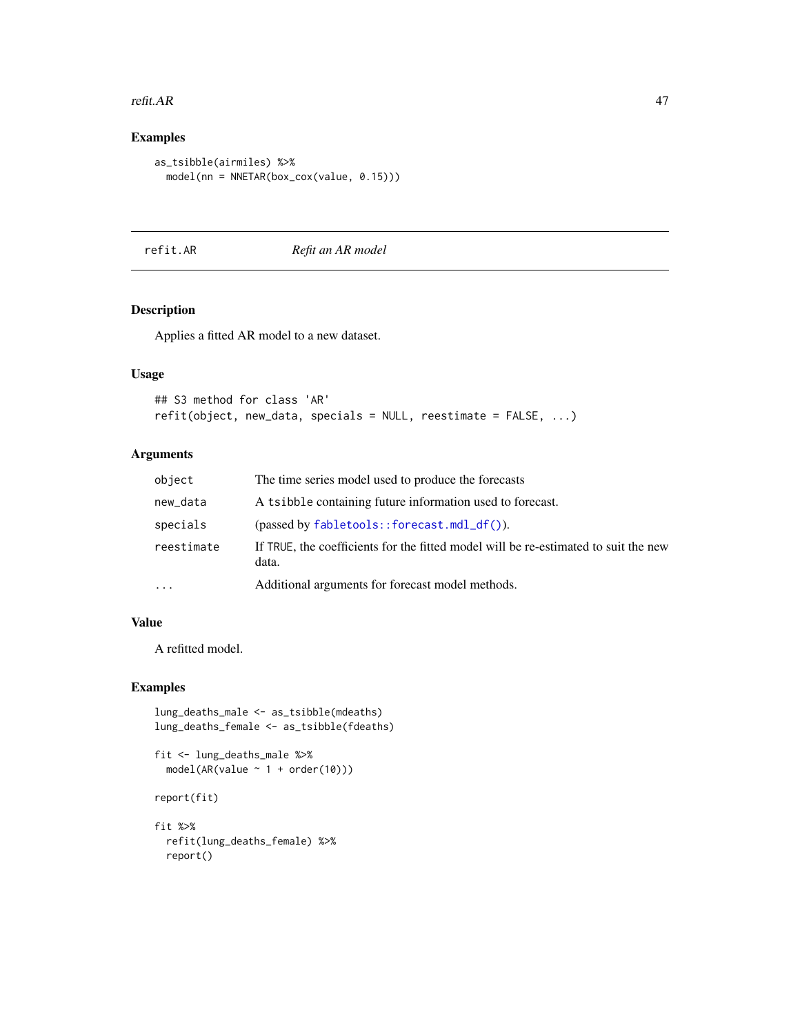#### refit. AR  $47$

# Examples

```
as_tsibble(airmiles) %>%
  model(nn = NNETAR(box_cox(value, 0.15)))
```
# refit.AR *Refit an AR model*

# Description

Applies a fitted AR model to a new dataset.

# Usage

```
## S3 method for class 'AR'
refit(object, new_data, specials = NULL, reestimate = FALSE, ...)
```
# Arguments

| object     | The time series model used to produce the forecasts                                          |
|------------|----------------------------------------------------------------------------------------------|
| new_data   | A tsibble containing future information used to forecast.                                    |
| specials   | $(\text{passed by } \text{fabletools} : \text{forecast} . \text{mdl}_df())$ .                |
| reestimate | If TRUE, the coefficients for the fitted model will be re-estimated to suit the new<br>data. |
|            | Additional arguments for forecast model methods.                                             |

## Value

A refitted model.

# Examples

```
lung_deaths_male <- as_tsibble(mdeaths)
lung_deaths_female <- as_tsibble(fdeaths)
```

```
fit <- lung_deaths_male %>%
  model(AR(value ~ 1 + order(10)))
report(fit)
```
fit %>% refit(lung\_deaths\_female) %>% report()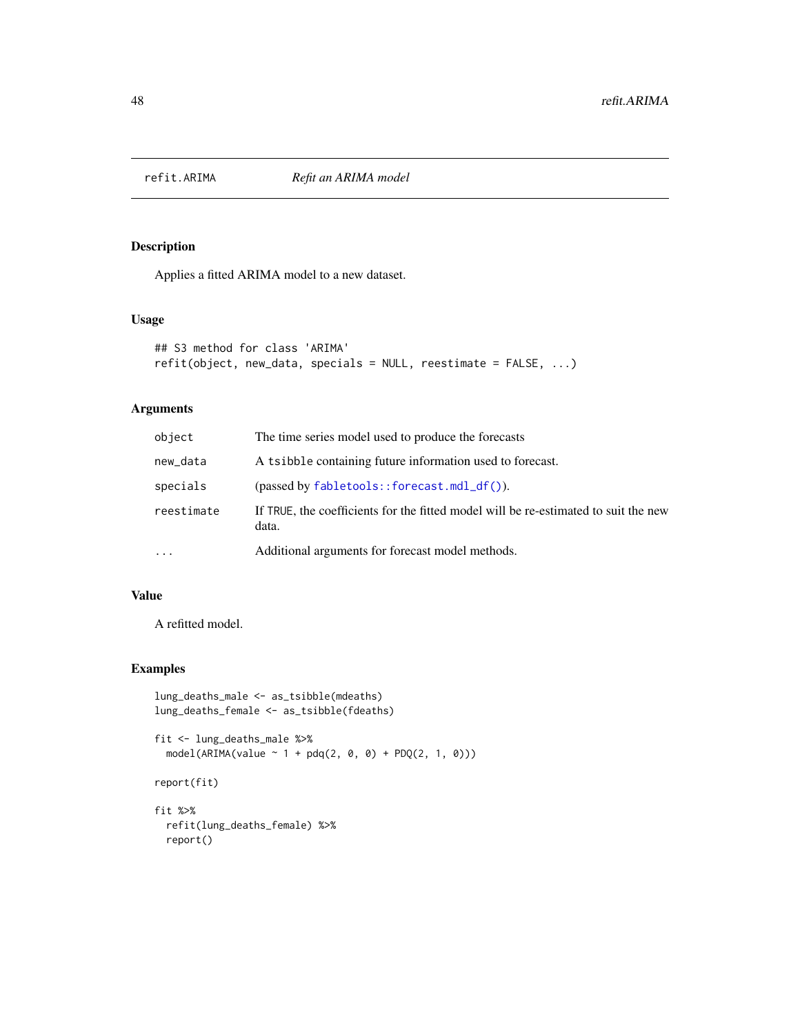Applies a fitted ARIMA model to a new dataset.

### Usage

```
## S3 method for class 'ARIMA'
refit(object, new_data, specials = NULL, reestimate = FALSE, ...)
```
# Arguments

| object     | The time series model used to produce the forecasts                                          |
|------------|----------------------------------------------------------------------------------------------|
| new_data   | A tsibble containing future information used to forecast.                                    |
| specials   | $(passed by fabletools::forecast.mdl_df())$ .                                                |
| reestimate | If TRUE, the coefficients for the fitted model will be re-estimated to suit the new<br>data. |
| $\cdots$   | Additional arguments for forecast model methods.                                             |

# Value

A refitted model.

```
lung_deaths_male <- as_tsibble(mdeaths)
lung_deaths_female <- as_tsibble(fdeaths)
fit <- lung_deaths_male %>%
  model(ARIMA(value ~ 1 + pdq(2, 0, 0) + PDQ(2, 1, 0)))report(fit)
fit %>%
  refit(lung_deaths_female) %>%
  report()
```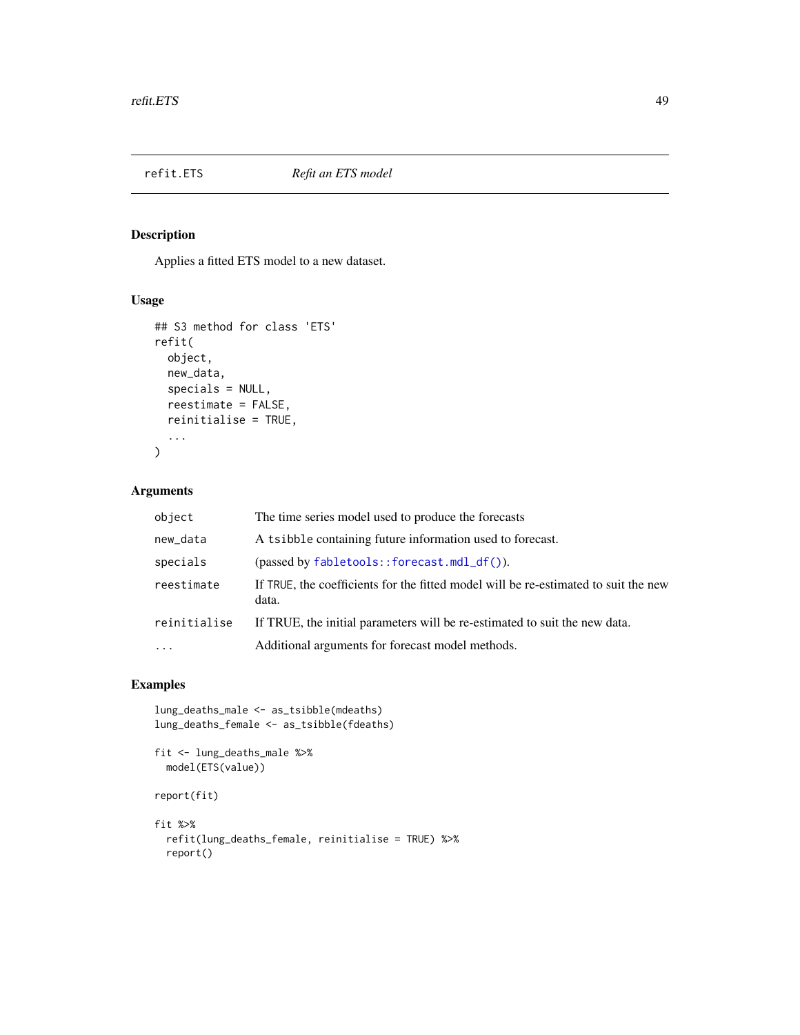Applies a fitted ETS model to a new dataset.

# Usage

```
## S3 method for class 'ETS'
refit(
  object,
  new_data,
  specials = NULL,
  reestimate = FALSE,
  reinitialise = TRUE,
  ...
\mathcal{L}
```
# Arguments

| object                  | The time series model used to produce the forecasts                                          |
|-------------------------|----------------------------------------------------------------------------------------------|
| new_data                | A tsibble containing future information used to forecast.                                    |
| specials                | $(\text{passed by } \text{fabletools} : \text{forecast.mdl\_df}()$ ).                        |
| reestimate              | If TRUE, the coefficients for the fitted model will be re-estimated to suit the new<br>data. |
| reinitialise            | If TRUE, the initial parameters will be re-estimated to suit the new data.                   |
| $\cdot$ $\cdot$ $\cdot$ | Additional arguments for forecast model methods.                                             |

```
lung_deaths_male <- as_tsibble(mdeaths)
lung_deaths_female <- as_tsibble(fdeaths)
fit <- lung_deaths_male %>%
  model(ETS(value))
report(fit)
fit %>%
```

```
refit(lung_deaths_female, reinitialise = TRUE) %>%
report()
```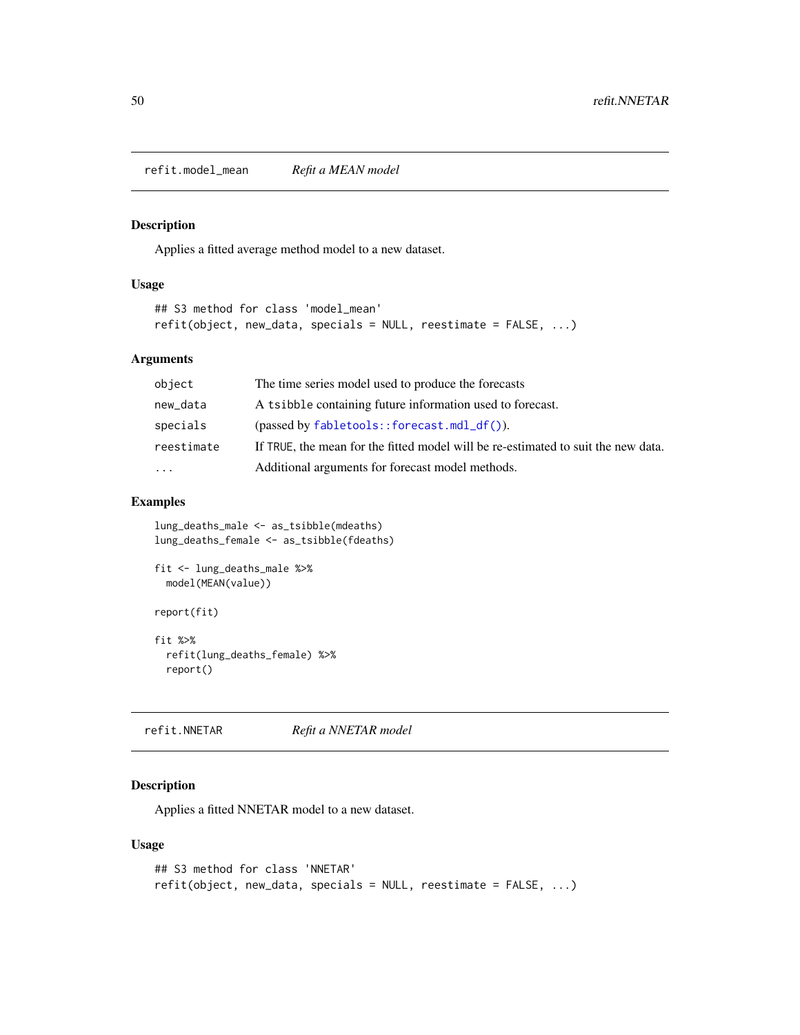refit.model\_mean *Refit a MEAN model*

# Description

Applies a fitted average method model to a new dataset.

### Usage

```
## S3 method for class 'model_mean'
refit(object, new_data, specials = NULL, reestimate = FALSE, ...)
```
# Arguments

| object              | The time series model used to produce the forecasts                               |
|---------------------|-----------------------------------------------------------------------------------|
| new_data            | A tsibble containing future information used to forecast.                         |
| specials            | $(\text{passed by } \text{fabletools}:$ : forecast.mdl_df()).                     |
| reestimate          | If TRUE, the mean for the fitted model will be re-estimated to suit the new data. |
| $\cdot \cdot \cdot$ | Additional arguments for forecast model methods.                                  |
|                     |                                                                                   |

# Examples

```
lung_deaths_male <- as_tsibble(mdeaths)
lung_deaths_female <- as_tsibble(fdeaths)
fit <- lung_deaths_male %>%
  model(MEAN(value))
report(fit)
fit %>%
  refit(lung_deaths_female) %>%
  report()
```
refit.NNETAR *Refit a NNETAR model*

# Description

Applies a fitted NNETAR model to a new dataset.

```
## S3 method for class 'NNETAR'
refit(object, new_data, specials = NULL, reestimate = FALSE, ...)
```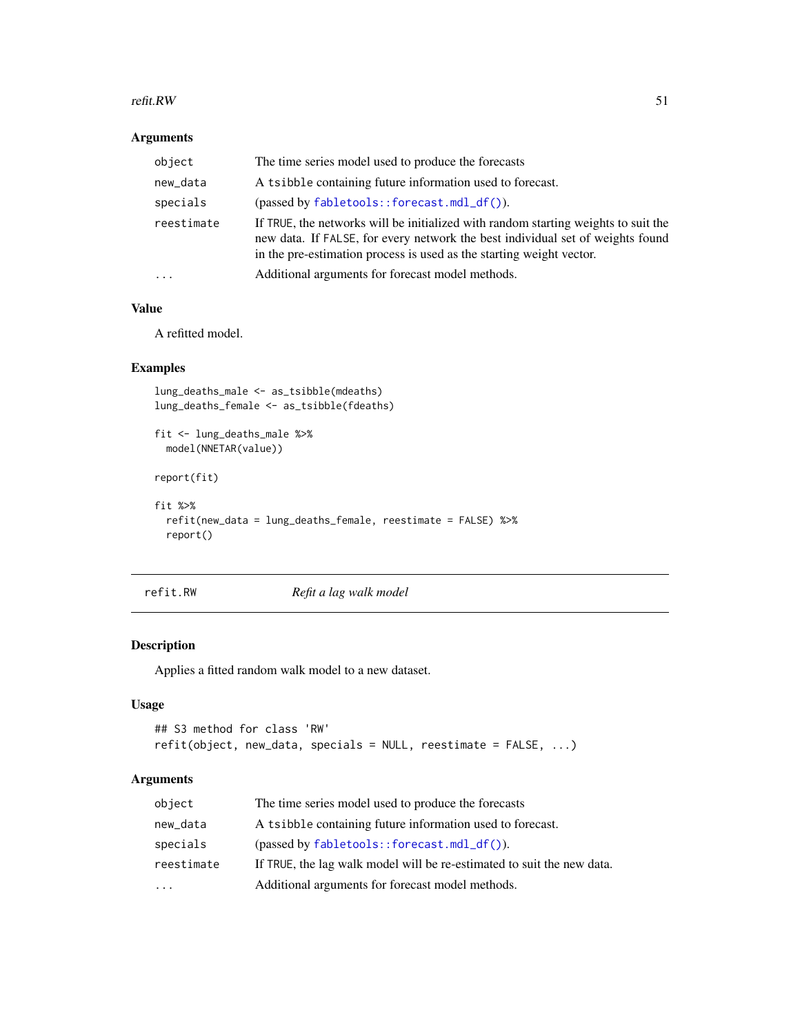#### refit.RW 51

# Arguments

| object     | The time series model used to produce the forecasts                                                                                                                                                                                          |
|------------|----------------------------------------------------------------------------------------------------------------------------------------------------------------------------------------------------------------------------------------------|
| new_data   | A tsibble containing future information used to forecast.                                                                                                                                                                                    |
| specials   | $(\text{passed by } \text{fabletools}:$ forecast.mdl_df()).                                                                                                                                                                                  |
| reestimate | If TRUE, the networks will be initialized with random starting weights to suit the<br>new data. If FALSE, for every network the best individual set of weights found<br>in the pre-estimation process is used as the starting weight vector. |
| $\ddots$   | Additional arguments for forecast model methods.                                                                                                                                                                                             |

# Value

A refitted model.

# Examples

```
lung_deaths_male <- as_tsibble(mdeaths)
lung_deaths_female <- as_tsibble(fdeaths)
fit <- lung_deaths_male %>%
  model(NNETAR(value))
report(fit)
fit %>%
  refit(new_data = lung_deaths_female, reestimate = FALSE) %>%
  report()
```
refit.RW *Refit a lag walk model*

# Description

Applies a fitted random walk model to a new dataset.

# Usage

```
## S3 method for class 'RW'
refit(object, new_data, specials = NULL, reestimate = FALSE, ...)
```
# Arguments

| object     | The time series model used to produce the forecasts                        |
|------------|----------------------------------------------------------------------------|
| new_data   | A tsibble containing future information used to forecast.                  |
| specials   | $(\text{passed by } \text{fabletools}: \text{forecast}.\text{mdl}_df()$ ). |
| reestimate | If TRUE, the lag walk model will be re-estimated to suit the new data.     |
| $\cdots$   | Additional arguments for forecast model methods.                           |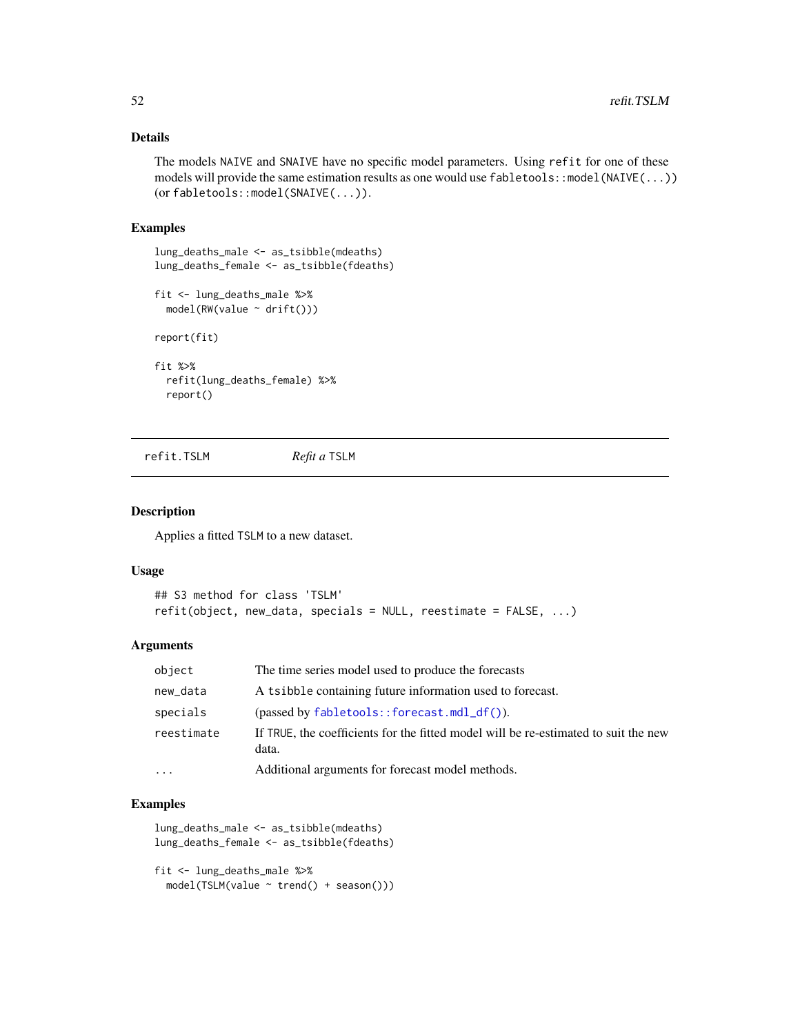# Details

The models NAIVE and SNAIVE have no specific model parameters. Using refit for one of these models will provide the same estimation results as one would use fabletools::model(NAIVE(...)) (or fabletools::model(SNAIVE(...)).

### Examples

```
lung_deaths_male <- as_tsibble(mdeaths)
lung_deaths_female <- as_tsibble(fdeaths)
```

```
fit <- lung_deaths_male %>%
 model(RW(value ~ drift()))
```
report(fit)

```
fit %>%
 refit(lung_deaths_female) %>%
 report()
```
refit.TSLM *Refit a* TSLM

### Description

Applies a fitted TSLM to a new dataset.

#### Usage

```
## S3 method for class 'TSLM'
refit(object, new_data, specials = NULL, reestimate = FALSE, ...)
```
# Arguments

| object     | The time series model used to produce the forecasts                                          |
|------------|----------------------------------------------------------------------------------------------|
| new_data   | A tsibble containing future information used to forecast.                                    |
| specials   | $(passet by fabletools::forecast.mdl_df())$ .                                                |
| reestimate | If TRUE, the coefficients for the fitted model will be re-estimated to suit the new<br>data. |
| $\cdot$    | Additional arguments for forecast model methods.                                             |

```
lung_deaths_male <- as_tsibble(mdeaths)
lung_deaths_female <- as_tsibble(fdeaths)
```

```
fit <- lung_deaths_male %>%
 model(TSLM(value ~ trend() + season()))
```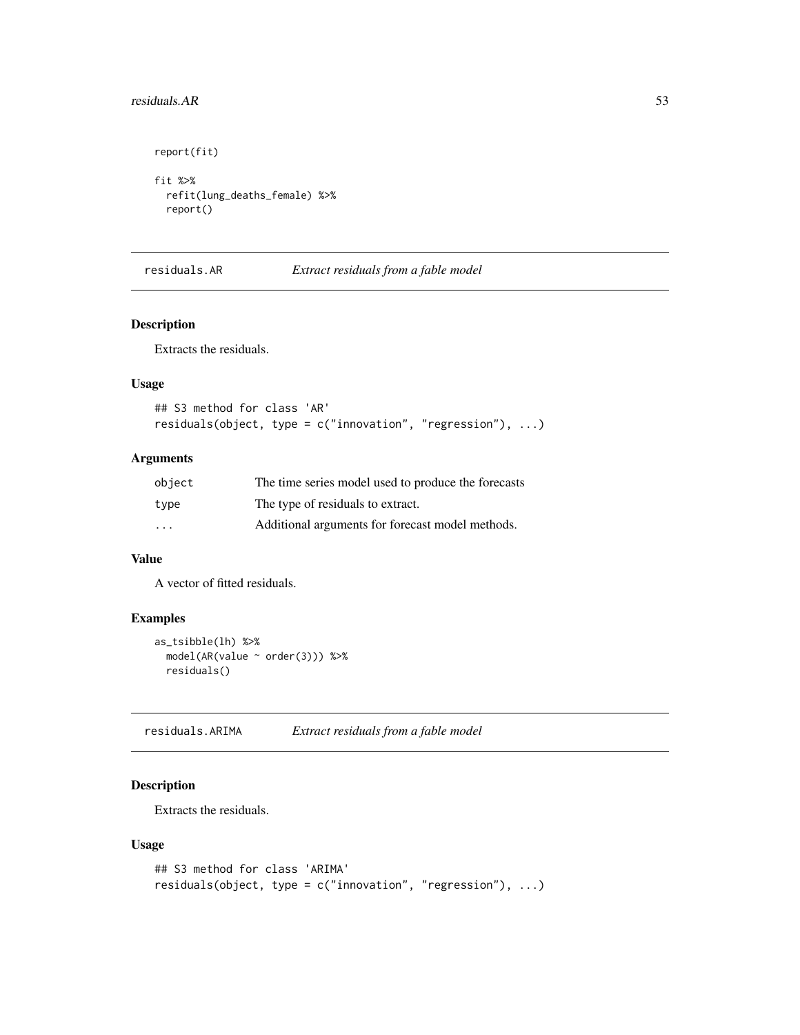# residuals.AR 53

```
report(fit)
fit %>%
  refit(lung_deaths_female) %>%
  report()
```
residuals.AR *Extract residuals from a fable model*

# Description

Extracts the residuals.

# Usage

```
## S3 method for class 'AR'
residuals(object, type = c("innovation", "regression"), ...)
```
### Arguments

| object  | The time series model used to produce the forecasts |
|---------|-----------------------------------------------------|
| type    | The type of residuals to extract.                   |
| $\cdot$ | Additional arguments for forecast model methods.    |

# Value

A vector of fitted residuals.

# Examples

```
as_tsibble(lh) %>%
  model(AR(value ~ order(3))) %>%
  residuals()
```
residuals.ARIMA *Extract residuals from a fable model*

# Description

Extracts the residuals.

```
## S3 method for class 'ARIMA'
residuals(object, type = c("innovation", "regression"), ...)
```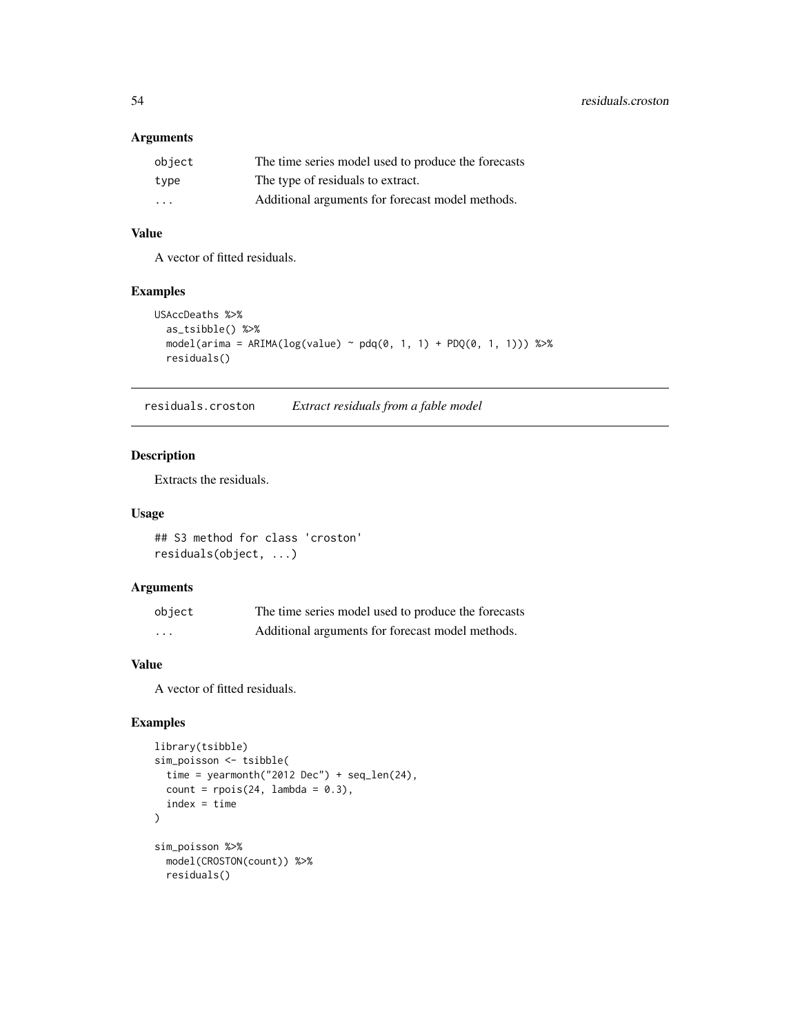# Arguments

| object            | The time series model used to produce the forecasts |
|-------------------|-----------------------------------------------------|
| type              | The type of residuals to extract.                   |
| $\cdot\cdot\cdot$ | Additional arguments for forecast model methods.    |

# Value

A vector of fitted residuals.

## Examples

```
USAccDeaths %>%
  as_tsibble() %>%
  model( \text{arima} = \text{ARIMA}(\text{log}(\text{value}) \sim \text{pdq}(0, 1, 1) + \text{PDQ}(0, 1, 1))) %>%
  residuals()
```
residuals.croston *Extract residuals from a fable model*

# Description

Extracts the residuals.

#### Usage

## S3 method for class 'croston' residuals(object, ...)

# Arguments

| object | The time series model used to produce the forecasts |
|--------|-----------------------------------------------------|
| .      | Additional arguments for forecast model methods.    |

# Value

A vector of fitted residuals.

```
library(tsibble)
sim_poisson <- tsibble(
 time = yearmonth("2012 Dec") + seq_len(24),
  count = \text{rpois}(24, \text{ lambda} = 0.3),index = time
\lambdasim_poisson %>%
  model(CROSTON(count)) %>%
  residuals()
```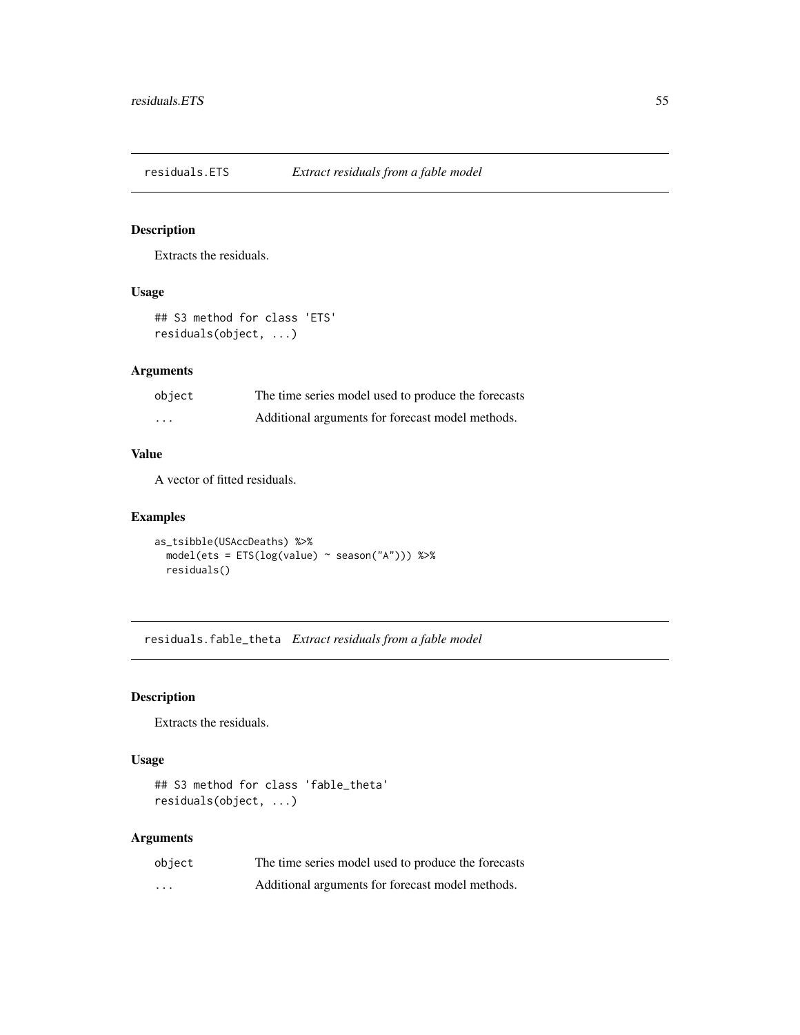residuals.ETS *Extract residuals from a fable model*

# Description

Extracts the residuals.

### Usage

```
## S3 method for class 'ETS'
residuals(object, ...)
```
# Arguments

| object   | The time series model used to produce the forecasts |
|----------|-----------------------------------------------------|
| $\cdots$ | Additional arguments for forecast model methods.    |

# Value

A vector of fitted residuals.

# Examples

```
as_tsibble(USAccDeaths) %>%
  model(ets = ETS(log(value) ~ season("A"))) %>%
  residuals()
```
residuals.fable\_theta *Extract residuals from a fable model*

# Description

Extracts the residuals.

# Usage

```
## S3 method for class 'fable_theta'
residuals(object, ...)
```
# Arguments

| object | The time series model used to produce the forecasts |
|--------|-----------------------------------------------------|
| .      | Additional arguments for forecast model methods.    |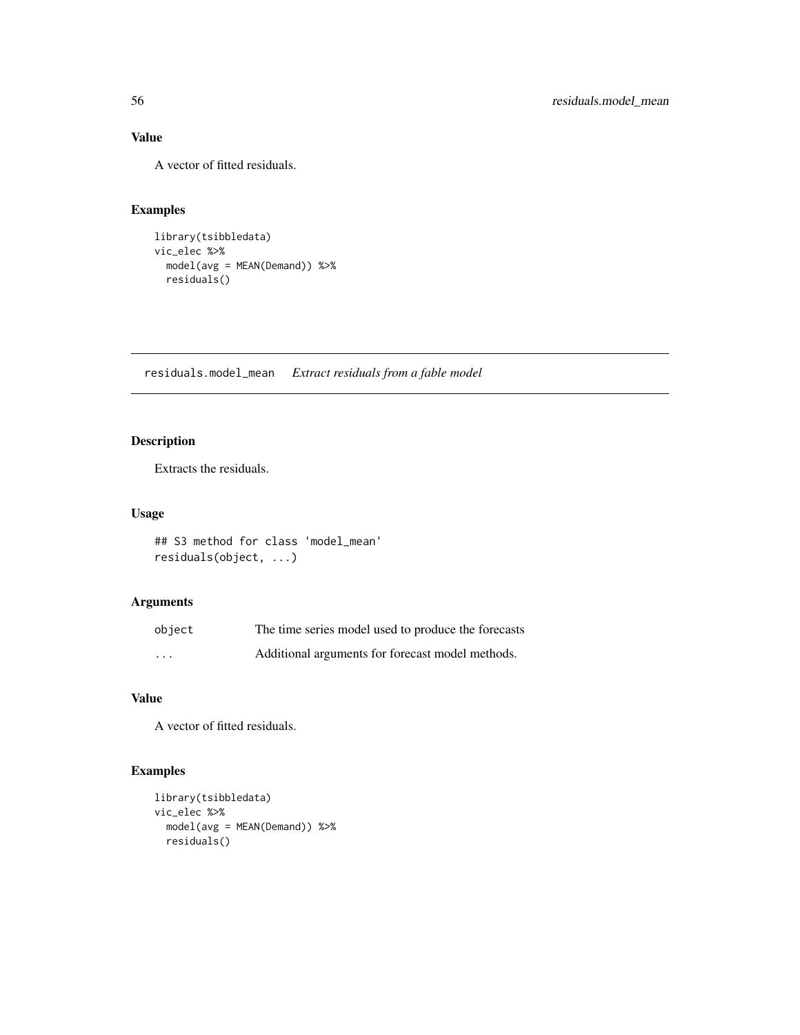# Value

A vector of fitted residuals.

# Examples

```
library(tsibbledata)
vic_elec %>%
 model(avg = MEAN(Demand)) %>%
  residuals()
```
residuals.model\_mean *Extract residuals from a fable model*

# Description

Extracts the residuals.

# Usage

```
## S3 method for class 'model_mean'
residuals(object, ...)
```
# Arguments

| object  | The time series model used to produce the forecasts |
|---------|-----------------------------------------------------|
| $\cdot$ | Additional arguments for forecast model methods.    |

# Value

A vector of fitted residuals.

```
library(tsibbledata)
vic_elec %>%
 model(avg = MEAN(Demand)) %>%
 residuals()
```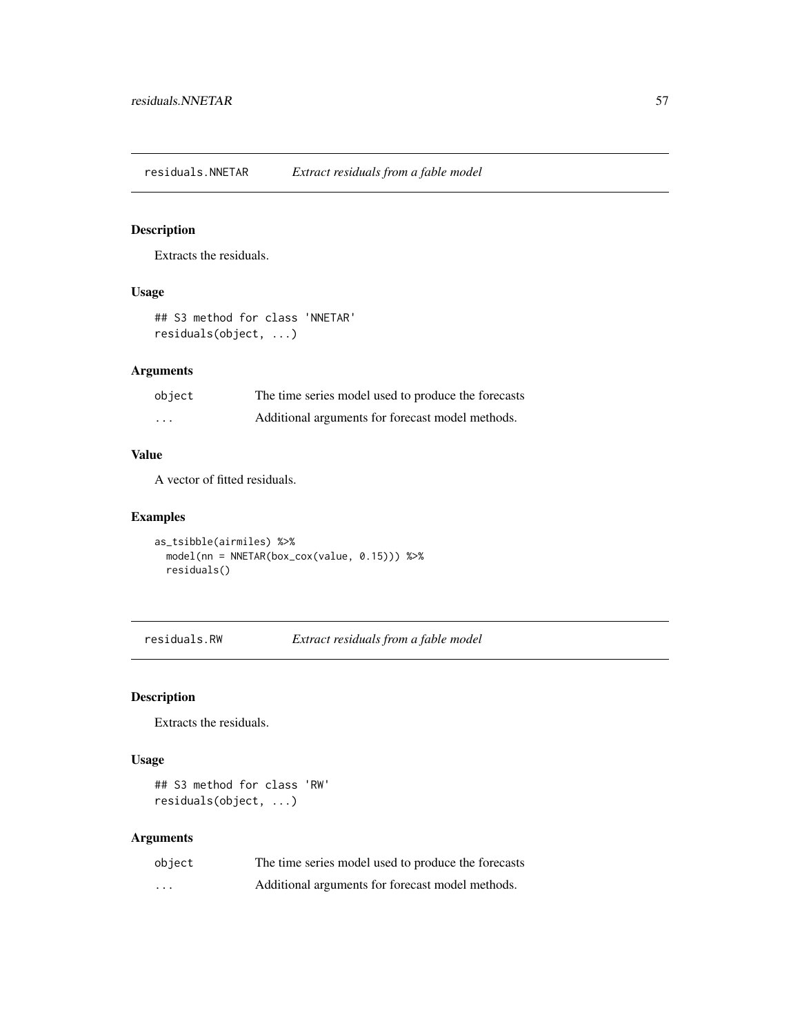residuals.NNETAR *Extract residuals from a fable model*

# Description

Extracts the residuals.

# Usage

```
## S3 method for class 'NNETAR'
residuals(object, ...)
```
# Arguments

| object   | The time series model used to produce the forecasts |
|----------|-----------------------------------------------------|
| $\cdots$ | Additional arguments for forecast model methods.    |

# Value

A vector of fitted residuals.

# Examples

as\_tsibble(airmiles) %>% model(nn = NNETAR(box\_cox(value, 0.15))) %>% residuals()

residuals.RW *Extract residuals from a fable model*

# Description

Extracts the residuals.

# Usage

```
## S3 method for class 'RW'
residuals(object, ...)
```
# Arguments

| object | The time series model used to produce the forecasts |
|--------|-----------------------------------------------------|
| .      | Additional arguments for forecast model methods.    |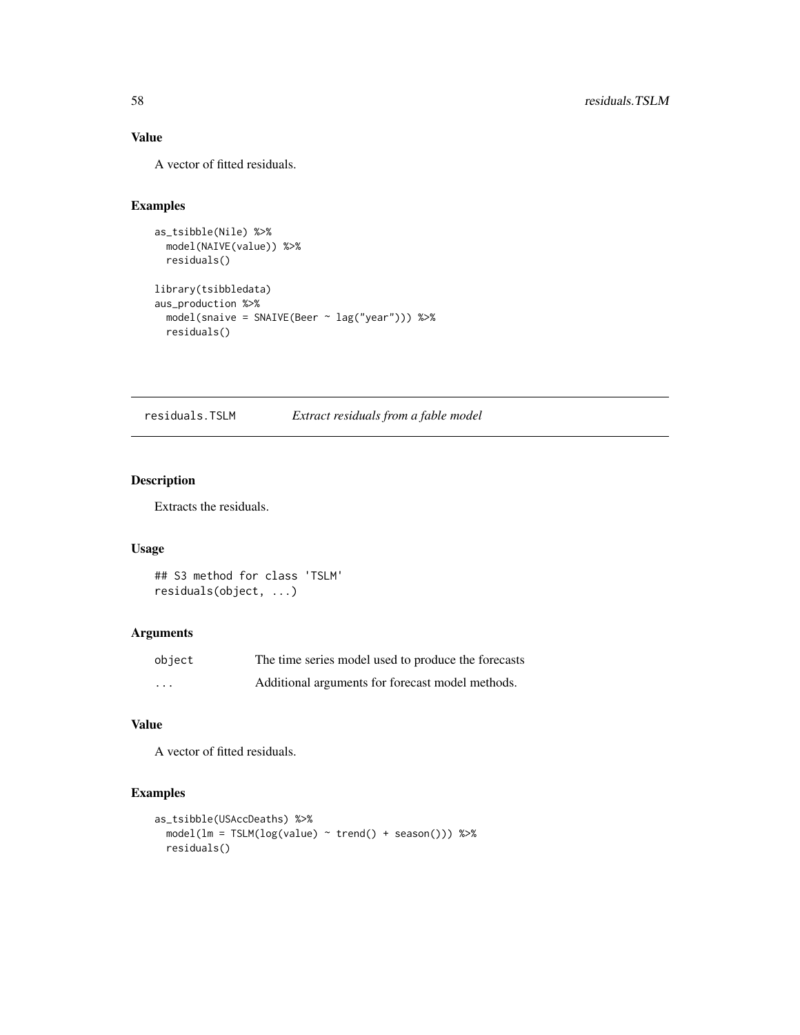# Value

A vector of fitted residuals.

# Examples

```
as_tsibble(Nile) %>%
  model(NAIVE(value)) %>%
  residuals()
library(tsibbledata)
aus_production %>%
  model(snaive = SNAIVE(Beer ~ lag("year"))) %>%
  residuals()
```
residuals.TSLM *Extract residuals from a fable model*

# Description

Extracts the residuals.

# Usage

```
## S3 method for class 'TSLM'
residuals(object, ...)
```
# Arguments

| object   | The time series model used to produce the forecasts |
|----------|-----------------------------------------------------|
| $\cdots$ | Additional arguments for forecast model methods.    |

# Value

A vector of fitted residuals.

```
as_tsibble(USAccDeaths) %>%
 model(lm = TSLM(log(value) ~ trend() + season())) %>%
 residuals()
```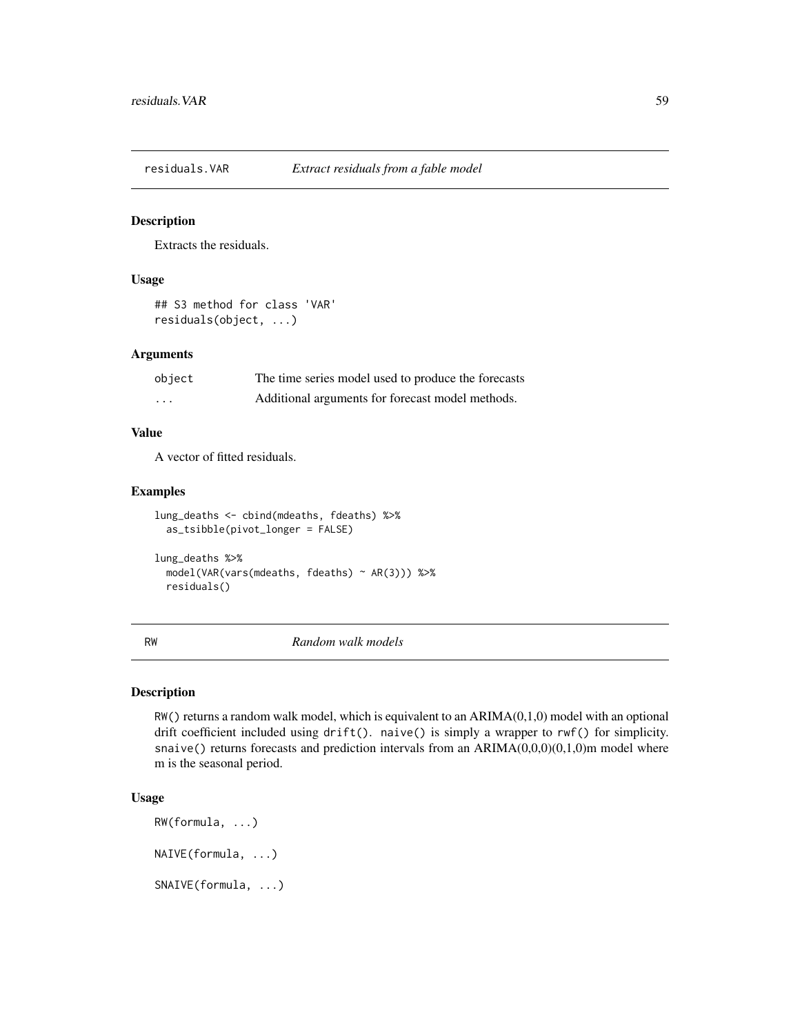Extracts the residuals.

# Usage

## S3 method for class 'VAR' residuals(object, ...)

# Arguments

| object   | The time series model used to produce the forecasts |
|----------|-----------------------------------------------------|
| $\cdots$ | Additional arguments for forecast model methods.    |

### Value

A vector of fitted residuals.

residuals()

### Examples

```
lung_deaths <- cbind(mdeaths, fdeaths) %>%
  as_tsibble(pivot_longer = FALSE)
lung_deaths %>%
  model(VAR(vars(mdeaths, fdeaths) ~ AR(3))) %>%
```
RW *Random walk models*

#### Description

 $RW()$  returns a random walk model, which is equivalent to an  $ARIMA(0,1,0)$  model with an optional drift coefficient included using drift(). naive() is simply a wrapper to rwf() for simplicity. snaive() returns forecasts and prediction intervals from an ARIMA(0,0,0)(0,1,0)m model where m is the seasonal period.

```
RW(formula, ...)
NAIVE(formula, ...)
SNAIVE(formula, ...)
```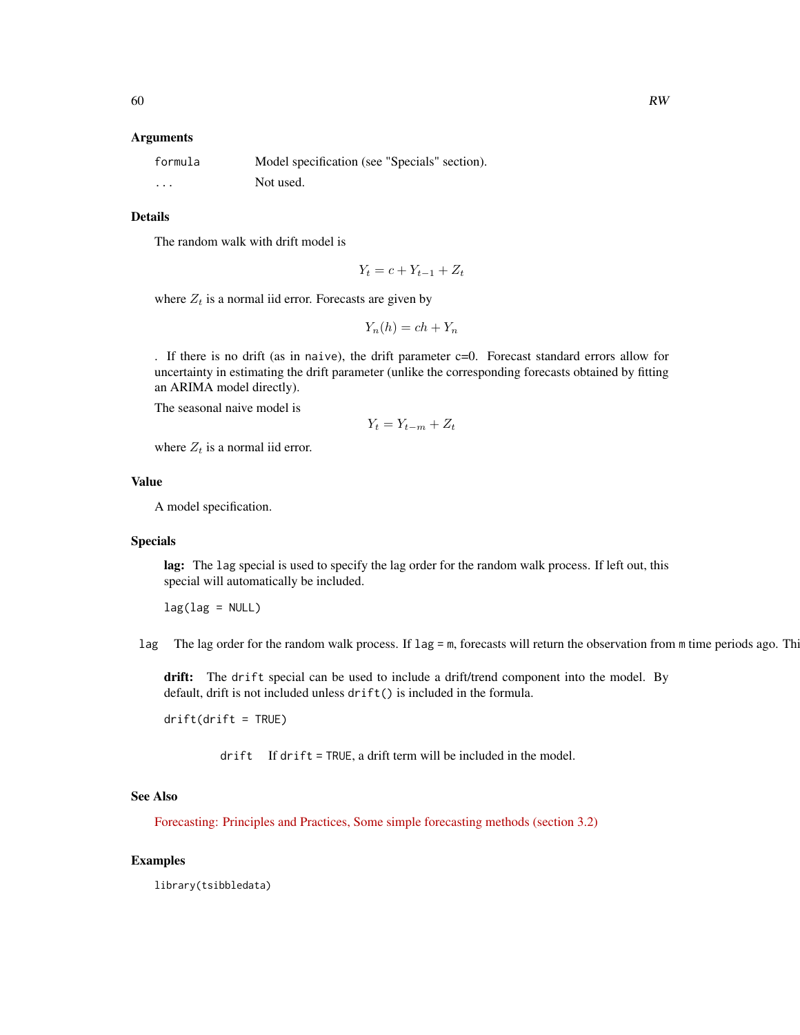### Arguments

| formula  | Model specification (see "Specials" section). |
|----------|-----------------------------------------------|
| $\cdots$ | Not used.                                     |

### Details

The random walk with drift model is

$$
Y_t = c + Y_{t-1} + Z_t
$$

where 
$$
Z_t
$$
 is a normal iid error. Forecasts are given by

$$
Y_n(h) = ch + Y_n
$$

. If there is no drift (as in naive), the drift parameter  $c=0$ . Forecast standard errors allow for uncertainty in estimating the drift parameter (unlike the corresponding forecasts obtained by fitting an ARIMA model directly).

The seasonal naive model is

$$
Y_t = Y_{t-m} + Z_t
$$

where  $Z_t$  is a normal iid error.

# Value

A model specification.

#### Specials

lag: The lag special is used to specify the lag order for the random walk process. If left out, this special will automatically be included.

 $lag(lag = NULL)$ 

lag The lag order for the random walk process. If lag = m, forecasts will return the observation from m time periods ago. This

drift: The drift special can be used to include a drift/trend component into the model. By default, drift is not included unless drift() is included in the formula.

 $drift(drift = TRUE)$ 

drift If drift = TRUE, a drift term will be included in the model.

# See Also

[Forecasting: Principles and Practices, Some simple forecasting methods \(section 3.2\)](https://otexts.com/fpp3/simple-methods.html)

### Examples

library(tsibbledata)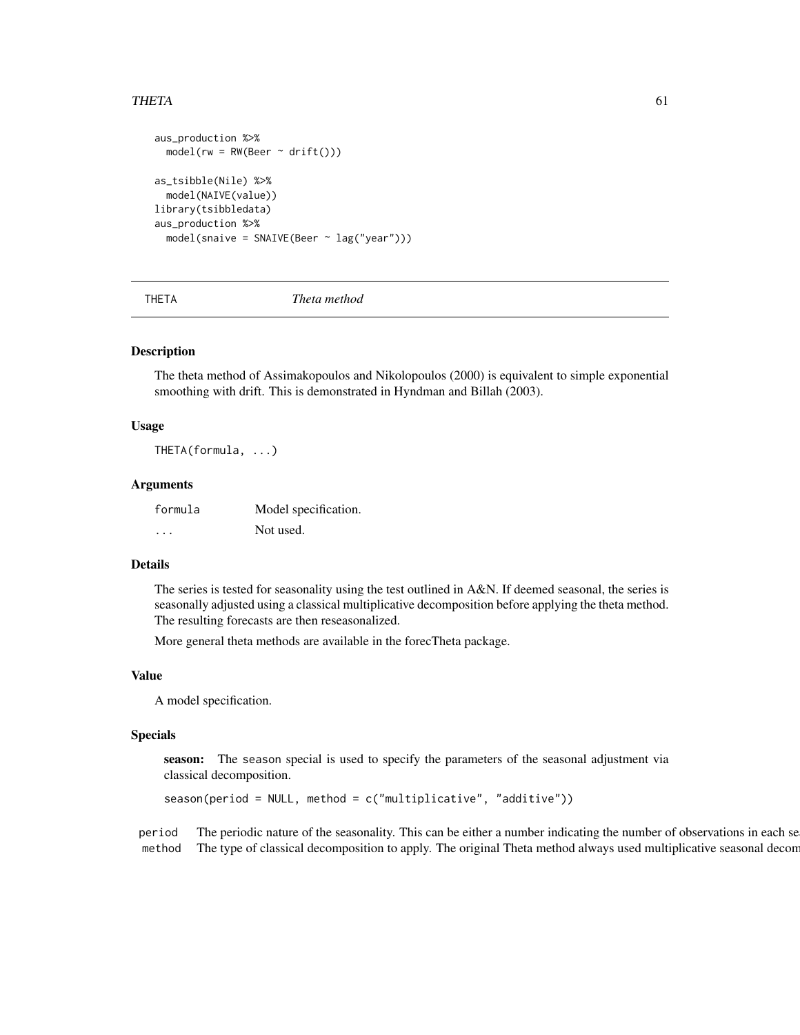### THETA 61

```
aus_production %>%
 model(rw = RW(Beer ~ drift())as_tsibble(Nile) %>%
 model(NAIVE(value))
library(tsibbledata)
aus_production %>%
 model(snaive = SNAIVE(Beer ~ lag("year")))
```
THETA *Theta method*

### Description

The theta method of Assimakopoulos and Nikolopoulos (2000) is equivalent to simple exponential smoothing with drift. This is demonstrated in Hyndman and Billah (2003).

# Usage

THETA(formula, ...)

### Arguments

| formula  | Model specification. |
|----------|----------------------|
| $\cdots$ | Not used.            |

### Details

The series is tested for seasonality using the test outlined in A&N. If deemed seasonal, the series is seasonally adjusted using a classical multiplicative decomposition before applying the theta method. The resulting forecasts are then reseasonalized.

More general theta methods are available in the forecTheta package.

#### Value

A model specification.

### Specials

season: The season special is used to specify the parameters of the seasonal adjustment via classical decomposition.

 $s$ eason(period = NULL, method = c("multiplicative", "additive"))

period The periodic nature of the seasonality. This can be either a number indicating the number of observations in each se method The type of classical decomposition to apply. The original Theta method always used multiplicative seasonal decom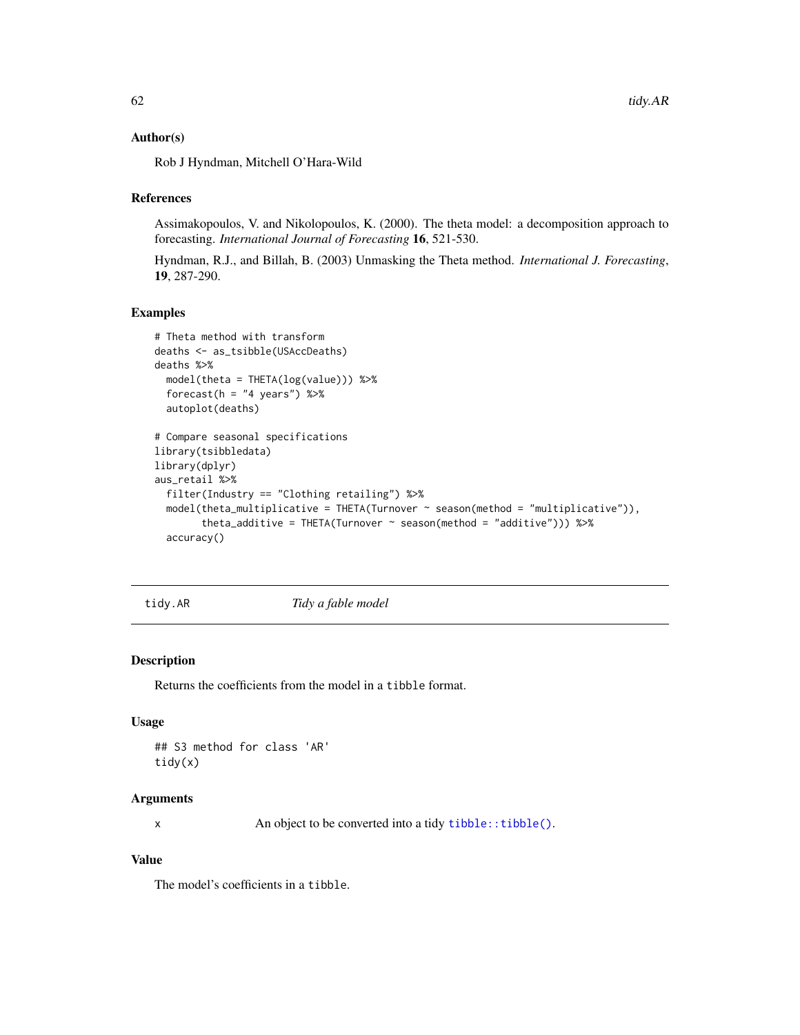### Author(s)

Rob J Hyndman, Mitchell O'Hara-Wild

### References

Assimakopoulos, V. and Nikolopoulos, K. (2000). The theta model: a decomposition approach to forecasting. *International Journal of Forecasting* 16, 521-530.

Hyndman, R.J., and Billah, B. (2003) Unmasking the Theta method. *International J. Forecasting*, 19, 287-290.

### Examples

```
# Theta method with transform
deaths <- as_tsibble(USAccDeaths)
deaths %>%
 model(theta = THETA(log(value))) %>%
 forecast(h = "4 years") %>%
 autoplot(deaths)
# Compare seasonal specifications
library(tsibbledata)
library(dplyr)
aus_retail %>%
 filter(Industry == "Clothing retailing") %>%
 model(theta_multiplicative = THETA(Turnover ~ season(method = "multiplicative")),
        theta_additive = THETA(Turnover \sim season(method = "additive"))) %\gg%
 accuracy()
```
tidy.AR *Tidy a fable model*

### Description

Returns the coefficients from the model in a tibble format.

#### Usage

```
## S3 method for class 'AR'
tidy(x)
```
# Arguments

x An object to be converted into a tidy [tibble::tibble\(\)](#page-0-0).

# Value

The model's coefficients in a tibble.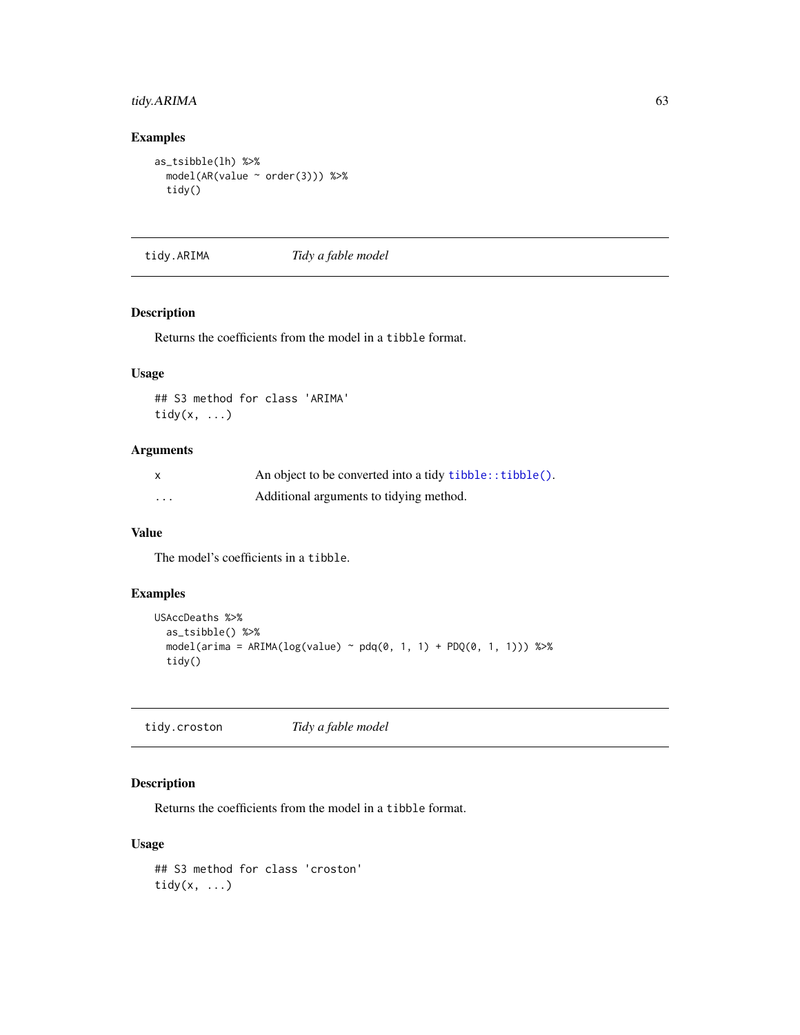# tidy.ARIMA 63

# Examples

```
as_tsibble(lh) %>%
  model(AR(value ~ order(3))) %>%
  tidy()
```
tidy.ARIMA *Tidy a fable model*

# Description

Returns the coefficients from the model in a tibble format.

# Usage

## S3 method for class 'ARIMA' tidy(x, ...)

# Arguments

| $\mathsf{x}$ | An object to be converted into a tidy $tibble::tibble()$ . |
|--------------|------------------------------------------------------------|
| $\cdots$     | Additional arguments to tidying method.                    |

# Value

The model's coefficients in a tibble.

# Examples

```
USAccDeaths %>%
  as_tsibble() %>%
  model(arima = ARIMA(log(value) ~ pdq(0, 1, 1) + PDQ(0, 1, 1))) %>%
  tidy()
```
tidy.croston *Tidy a fable model*

# Description

Returns the coefficients from the model in a tibble format.

### Usage

## S3 method for class 'croston' tidy $(x, \ldots)$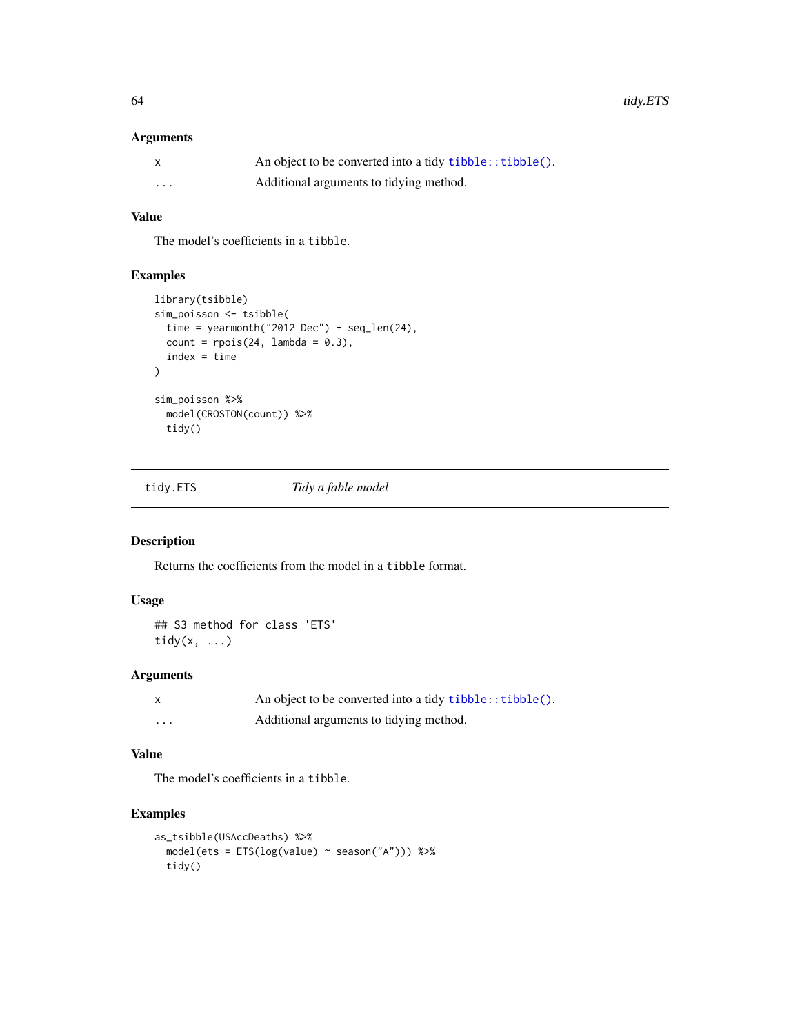# Arguments

| X        | An object to be converted into a tidy tibble:: tibble(). |
|----------|----------------------------------------------------------|
| $\cdots$ | Additional arguments to tidying method.                  |

# Value

The model's coefficients in a tibble.

# Examples

```
library(tsibble)
sim_poisson <- tsibble(
  time = yearmonth("2012 Dec") + seq_len(24),
  count = \text{rpois}(24, \text{ lambda} = 0.3),index = time
\lambdasim_poisson %>%
  model(CROSTON(count)) %>%
  tidy()
```
tidy.ETS *Tidy a fable model*

### Description

Returns the coefficients from the model in a tibble format.

### Usage

## S3 method for class 'ETS' tidy $(x, \ldots)$ 

# Arguments

|   | An object to be converted into a tidy $tibble::tibble()$ . |
|---|------------------------------------------------------------|
| . | Additional arguments to tidying method.                    |

# Value

The model's coefficients in a tibble.

```
as_tsibble(USAccDeaths) %>%
 model(test = ETS(log(value) \sim season("A"))) %>%
 tidy()
```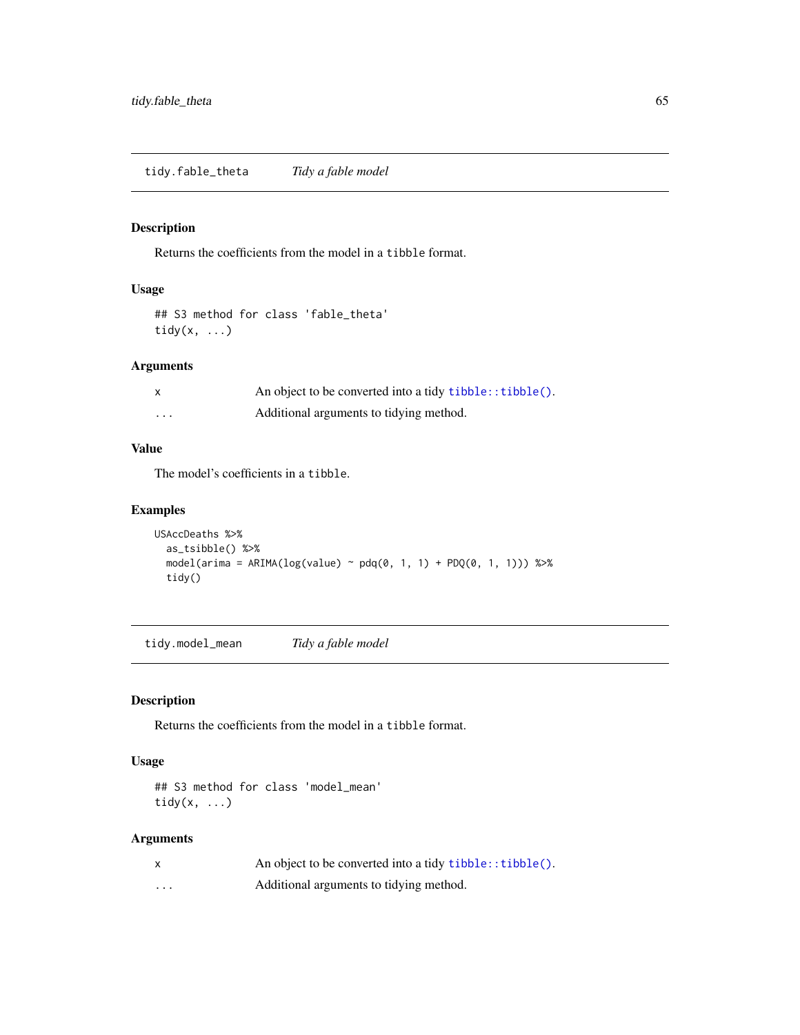Returns the coefficients from the model in a tibble format.

# Usage

## S3 method for class 'fable\_theta' tidy(x, ...)

# Arguments

|   | An object to be converted into a tidy tibble:: tibble(). |
|---|----------------------------------------------------------|
| . | Additional arguments to tidying method.                  |

# Value

The model's coefficients in a tibble.

# Examples

```
USAccDeaths %>%
  as_tsibble() %>%
  model( \text{arima} = \text{ARIMA}(\text{log}(\text{value}) \sim \text{pdq}(0, 1, 1) + \text{PDQ}(0, 1, 1))) %>%
  tidy()
```
tidy.model\_mean *Tidy a fable model*

# Description

Returns the coefficients from the model in a tibble format.

# Usage

## S3 method for class 'model\_mean' tidy $(x, \ldots)$ 

# Arguments

|   | An object to be converted into a tidy $tibble::tibble()$ . |
|---|------------------------------------------------------------|
| . | Additional arguments to tidying method.                    |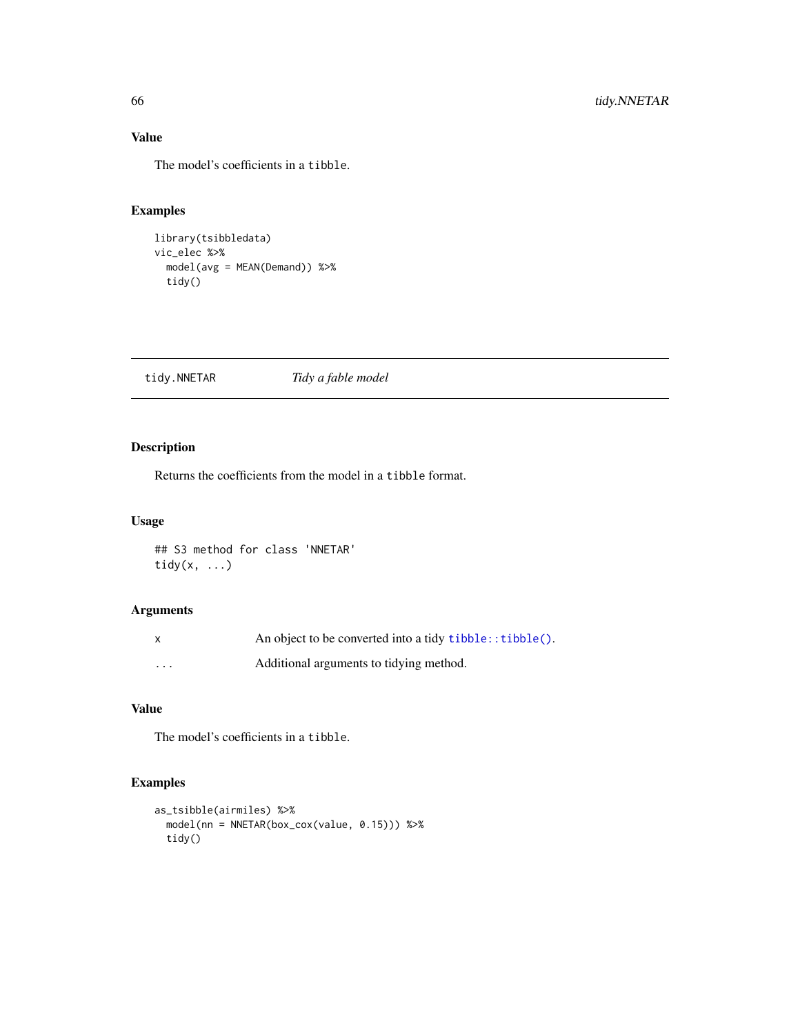# Value

The model's coefficients in a tibble.

# Examples

```
library(tsibbledata)
vic_elec %>%
  model(avg = MEAN(Demand)) %>%
  tidy()
```
tidy.NNETAR *Tidy a fable model*

# Description

Returns the coefficients from the model in a tibble format.

# Usage

## S3 method for class 'NNETAR' tidy $(x, \ldots)$ 

# Arguments

| X        | An object to be converted into a tidy tibble:: tibble(). |
|----------|----------------------------------------------------------|
| $\cdots$ | Additional arguments to tidying method.                  |

# Value

The model's coefficients in a tibble.

```
as_tsibble(airmiles) %>%
  model(nn = NNETAR(box_cox(value, 0.15))) %>%
  tidy()
```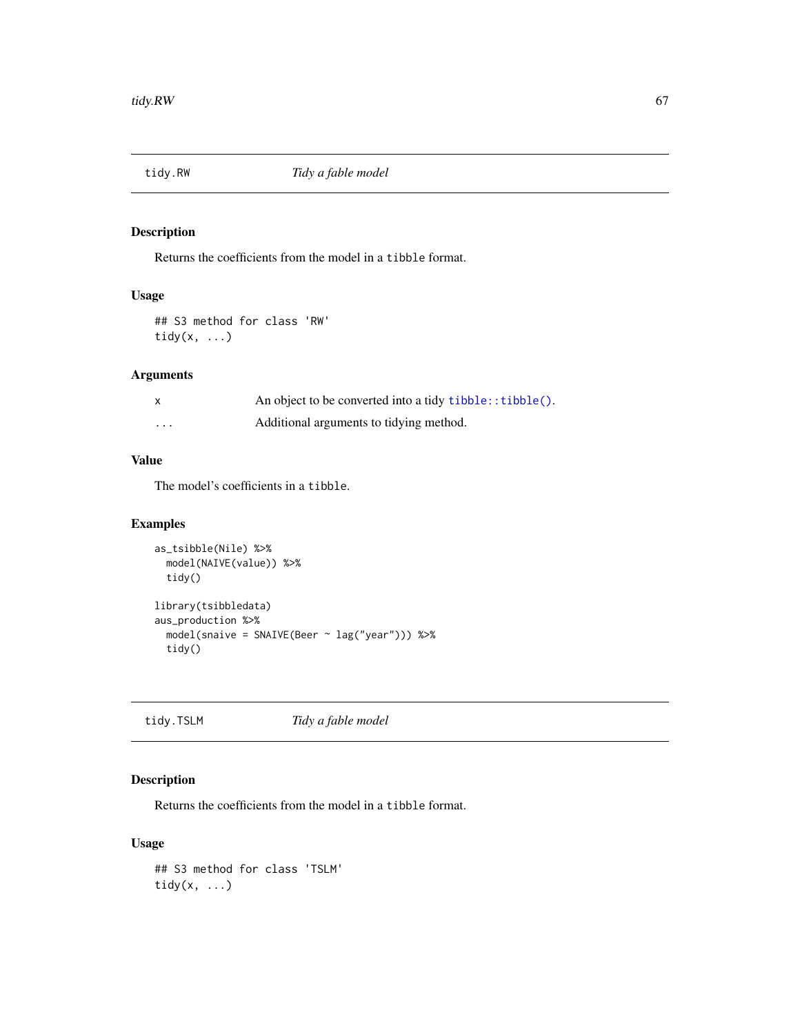Returns the coefficients from the model in a tibble format.

# Usage

## S3 method for class 'RW' tidy(x, ...)

# Arguments

|                         | An object to be converted into a tidy tibble:: tibble(). |
|-------------------------|----------------------------------------------------------|
| $\cdot$ $\cdot$ $\cdot$ | Additional arguments to tidying method.                  |

# Value

The model's coefficients in a tibble.

# Examples

```
as_tsibble(Nile) %>%
  model(NAIVE(value)) %>%
  tidy()
library(tsibbledata)
aus_production %>%
  model(snaive = SNAIVE(Beer ~ lag("year"))) %>%
  tidy()
```
tidy.TSLM *Tidy a fable model*

# Description

Returns the coefficients from the model in a tibble format.

```
## S3 method for class 'TSLM'
tidy(x, \ldots)
```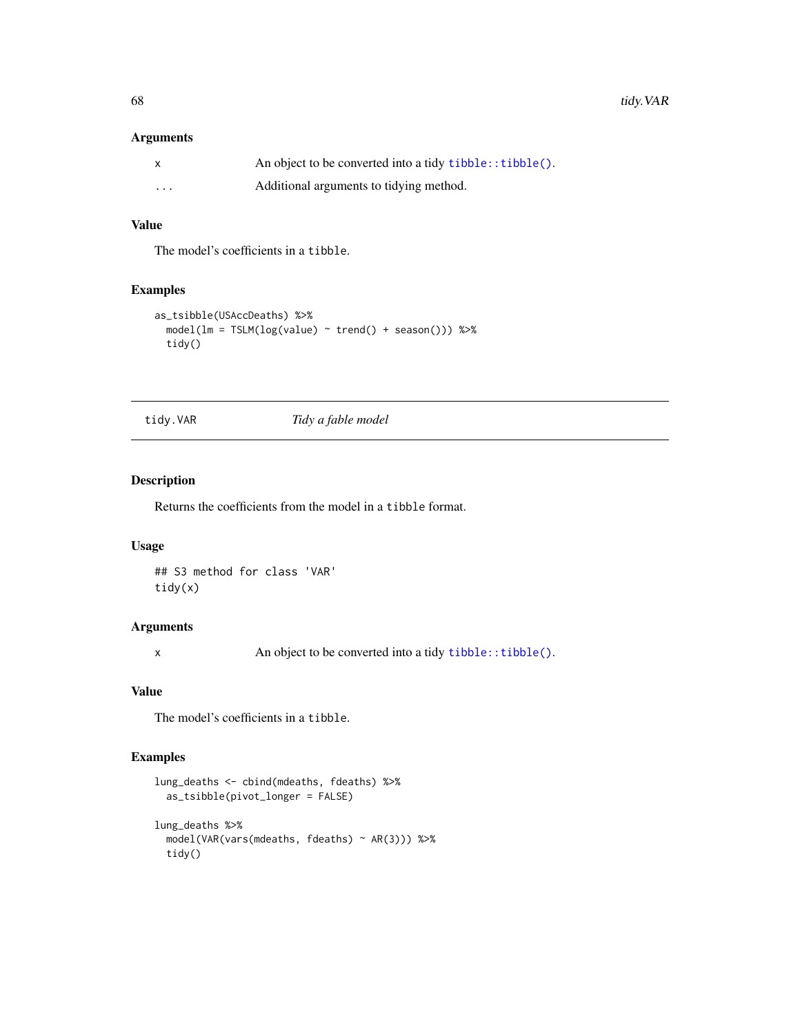# Arguments

| X        | An object to be converted into a tidy tibble:: tibble(). |
|----------|----------------------------------------------------------|
| $\cdots$ | Additional arguments to tidying method.                  |

# Value

The model's coefficients in a tibble.

### Examples

```
as_tsibble(USAccDeaths) %>%
 model(lm = TSLM(log(value) ~ trend() + season())) %>%
 tidy()
```
tidy.VAR *Tidy a fable model*

# Description

Returns the coefficients from the model in a tibble format.

### Usage

## S3 method for class 'VAR' tidy(x)

# Arguments

x An object to be converted into a tidy [tibble::tibble\(\)](#page-0-0).

# Value

The model's coefficients in a tibble.

```
lung_deaths <- cbind(mdeaths, fdeaths) %>%
 as_tsibble(pivot_longer = FALSE)
lung_deaths %>%
 model(VAR(vars(mdeaths, fdeaths) ~ AR(3))) %>%
 tidy()
```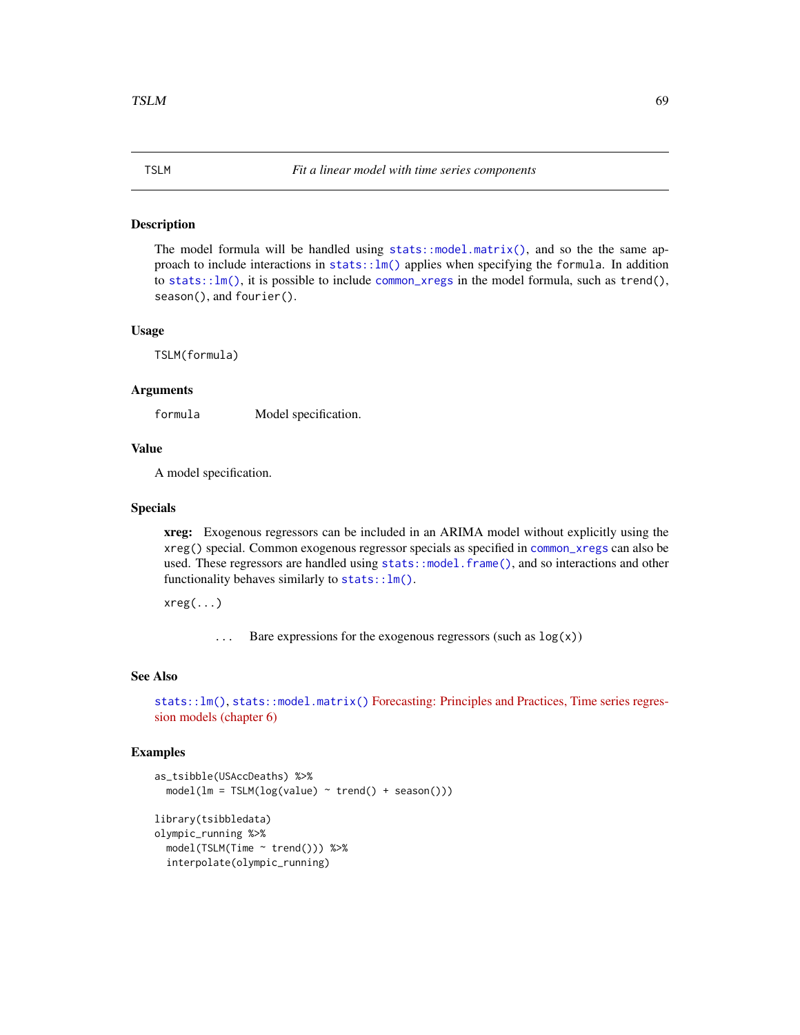The model formula will be handled using  $stats::model.matrix()$ , and so the the same approach to include interactions in stats:: $lm()$  applies when specifying the formula. In addition to [stats::lm\(\)](#page-0-0), it is possible to include [common\\_xregs](#page-7-0) in the model formula, such as trend(), season(), and fourier().

### Usage

TSLM(formula)

### Arguments

formula Model specification.

#### Value

A model specification.

#### Specials

xreg: Exogenous regressors can be included in an ARIMA model without explicitly using the xreg() special. Common exogenous regressor specials as specified in [common\\_xregs](#page-7-0) can also be used. These regressors are handled using [stats::model.frame\(\)](#page-0-0), and so interactions and other functionality behaves similarly to [stats::lm\(\)](#page-0-0).

xreg(...)

 $\ldots$  Bare expressions for the exogenous regressors (such as  $\log(x)$ )

### See Also

```
stats::lm()stats::model.matrix()Forecasting: Principles and Practices, Time series regres-
sion models (chapter 6)
```

```
as_tsibble(USAccDeaths) %>%
 model(lm = TSLM(log(value) \sim trend() + season())library(tsibbledata)
olympic_running %>%
 model(TSLM(Time ~ trend())) %>%
  interpolate(olympic_running)
```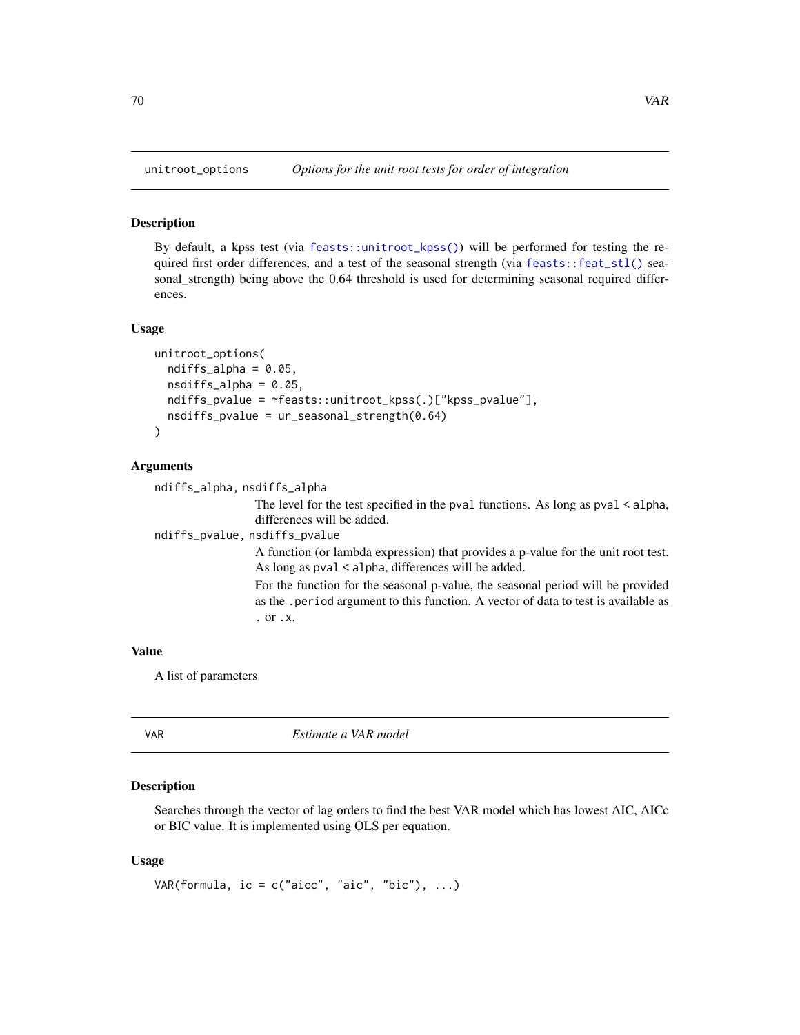By default, a kpss test (via [feasts::unitroot\\_kpss\(\)](#page-0-0)) will be performed for testing the required first order differences, and a test of the seasonal strength (via [feasts::feat\\_stl\(\)](#page-0-0) seasonal\_strength) being above the 0.64 threshold is used for determining seasonal required differences.

#### Usage

```
unitroot_options(
  ndiffs_alpha = 0.05,
  nsdiffs_alpha = 0.05,
  ndiffs_pvalue = ~feasts::unitroot_kpss(.)["kpss_pvalue"],
  nsdiffs_pvalue = ur_seasonal_strength(0.64)
\lambda
```
### Arguments

```
ndiffs_alpha, nsdiffs_alpha
                   The level for the test specified in the pval functions. As long as pval < alpha,
                   differences will be added.
ndiffs_pvalue, nsdiffs_pvalue
                   A function (or lambda expression) that provides a p-value for the unit root test.
                   As long as pval < alpha, differences will be added.
                   For the function for the seasonal p-value, the seasonal period will be provided
                   as the .period argument to this function. A vector of data to test is available as
                   . or .x.
```
#### Value

A list of parameters

| VAR | Estimate a VAR model |
|-----|----------------------|
|     |                      |

### **Description**

Searches through the vector of lag orders to find the best VAR model which has lowest AIC, AICc or BIC value. It is implemented using OLS per equation.

```
VAR(formula, ic = c("aicc", "aic", "bic"), ...)
```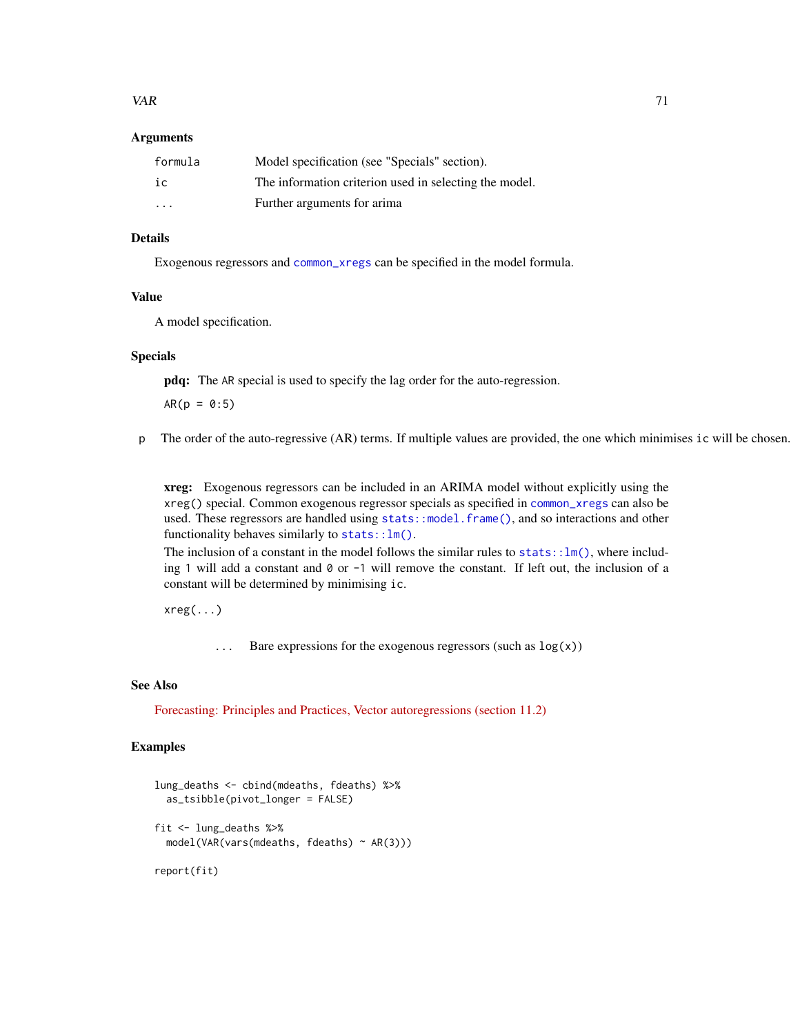### $VAR$  71

### **Arguments**

| formula | Model specification (see "Specials" section).          |
|---------|--------------------------------------------------------|
| ic      | The information criterion used in selecting the model. |
| $\cdot$ | Further arguments for arima                            |

# Details

Exogenous regressors and [common\\_xregs](#page-7-0) can be specified in the model formula.

#### Value

A model specification.

### Specials

pdq: The AR special is used to specify the lag order for the auto-regression.

 $AR(p = 0:5)$ 

p The order of the auto-regressive (AR) terms. If multiple values are provided, the one which minimises ic will be chosen.

xreg: Exogenous regressors can be included in an ARIMA model without explicitly using the xreg() special. Common exogenous regressor specials as specified in [common\\_xregs](#page-7-0) can also be used. These regressors are handled using [stats::model.frame\(\)](#page-0-0), and so interactions and other functionality behaves similarly to  $stats::lm()$ .

The inclusion of a constant in the model follows the similar rules to stats:: $lm()$ , where including 1 will add a constant and 0 or -1 will remove the constant. If left out, the inclusion of a constant will be determined by minimising ic.

 $xreg(...)$ 

... Bare expressions for the exogenous regressors (such as log(x))

# See Also

[Forecasting: Principles and Practices, Vector autoregressions \(section 11.2\)](https://otexts.com/fpp2/VAR.html)

```
lung_deaths <- cbind(mdeaths, fdeaths) %>%
 as_tsibble(pivot_longer = FALSE)
fit <- lung_deaths %>%
 model(VAR(vars(mdeaths, fdeaths) ~ AR(3)))
```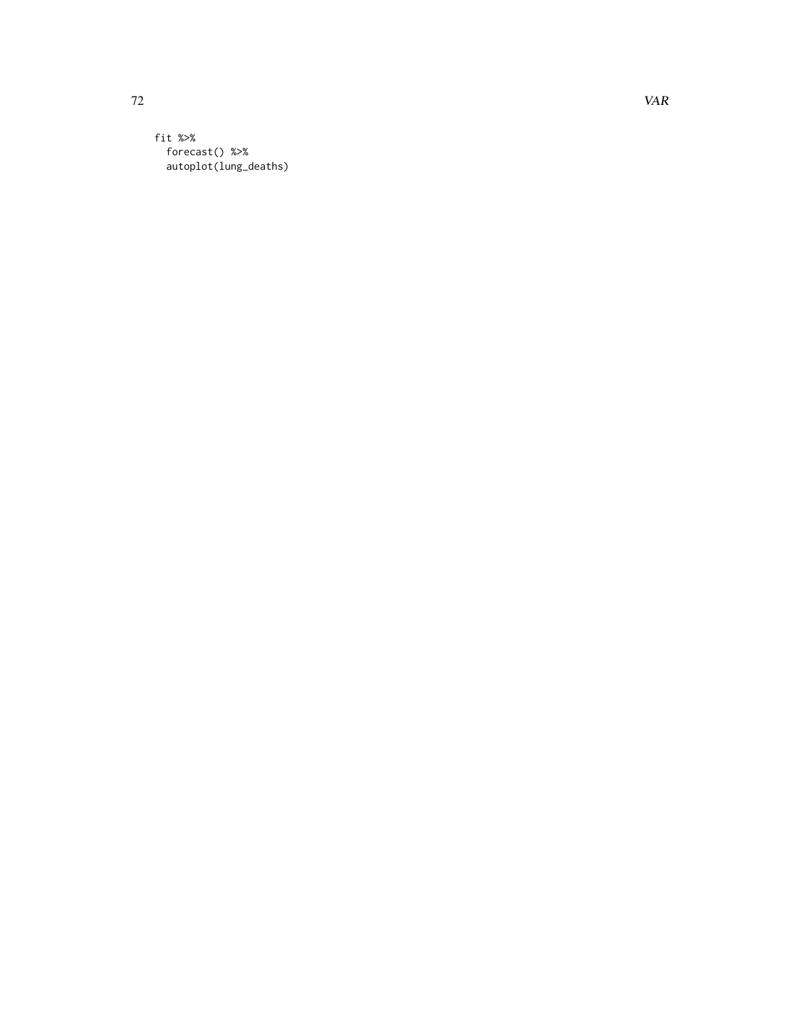fit %>% forecast() %>% autoplot(lung\_deaths)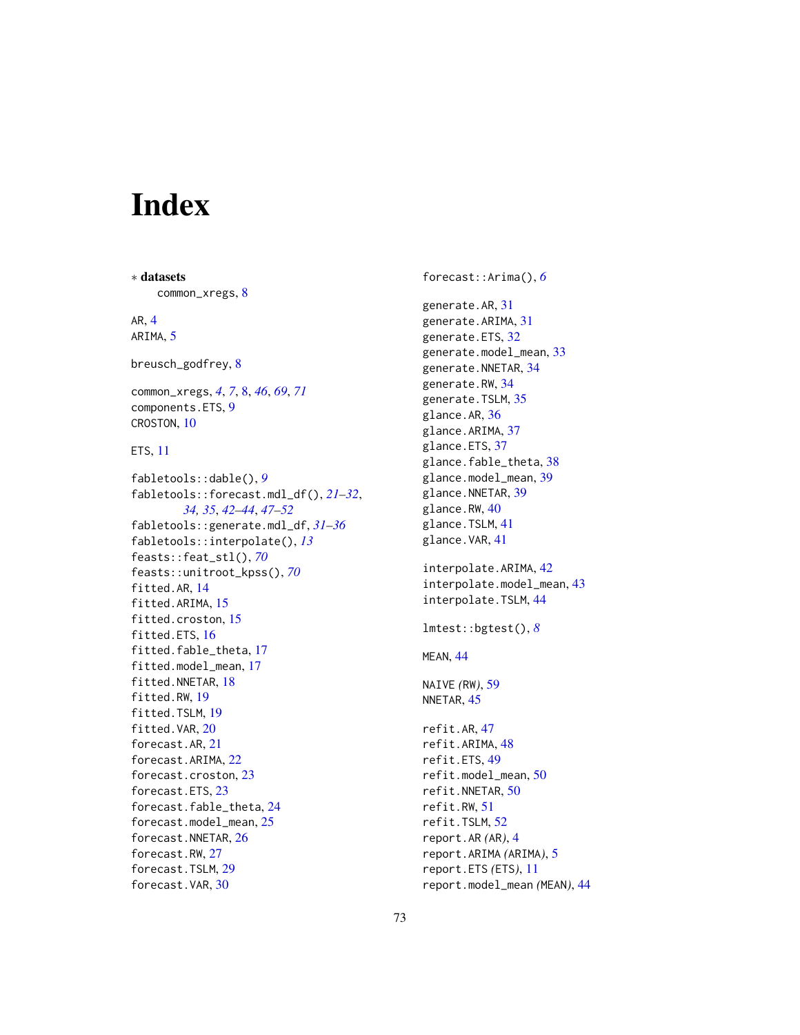## Index

∗ datasets common\_xregs, [8](#page-7-0) AR, [4](#page-3-0) ARIMA, [5](#page-4-0) breusch\_godfrey, [8](#page-7-0) common\_xregs, *[4](#page-3-0)*, *[7](#page-6-0)*, [8,](#page-7-0) *[46](#page-45-0)*, *[69](#page-68-0)*, *[71](#page-70-0)* components.ETS, [9](#page-8-0) CROSTON, [10](#page-9-0) ETS, [11](#page-10-0) fabletools::dable(), *[9](#page-8-0)* fabletools::forecast.mdl\_df(), *[21–](#page-20-0)[32](#page-31-0)*, *[34,](#page-33-0) [35](#page-34-0)*, *[42](#page-41-0)[–44](#page-43-0)*, *[47–](#page-46-0)[52](#page-51-0)* fabletools::generate.mdl\_df, *[31–](#page-30-0)[36](#page-35-0)* fabletools::interpolate(), *[13](#page-12-0)* feasts::feat\_stl(), *[70](#page-69-0)* feasts::unitroot\_kpss(), *[70](#page-69-0)* fitted.AR, [14](#page-13-0) fitted.ARIMA, [15](#page-14-0) fitted.croston, [15](#page-14-0) fitted.ETS, [16](#page-15-0) fitted.fable\_theta, [17](#page-16-0) fitted.model\_mean, [17](#page-16-0) fitted.NNETAR, [18](#page-17-0) fitted.RW, [19](#page-18-0) fitted.TSLM, [19](#page-18-0) fitted.VAR, [20](#page-19-0) forecast.AR, [21](#page-20-0) forecast.ARIMA, [22](#page-21-0) forecast.croston, [23](#page-22-0) forecast.ETS, [23](#page-22-0) forecast.fable\_theta, [24](#page-23-0) forecast.model\_mean, [25](#page-24-0) forecast.NNETAR, [26](#page-25-0) forecast.RW, [27](#page-26-0) forecast.TSLM, [29](#page-28-0) forecast.VAR, [30](#page-29-0)

forecast::Arima(), *[6](#page-5-0)* generate.AR, [31](#page-30-0) generate.ARIMA, [31](#page-30-0) generate.ETS, [32](#page-31-0) generate.model\_mean, [33](#page-32-0) generate.NNETAR, [34](#page-33-0) generate.RW, [34](#page-33-0) generate.TSLM, [35](#page-34-0) glance.AR, [36](#page-35-0) glance.ARIMA, [37](#page-36-0) glance.ETS, [37](#page-36-0) glance.fable\_theta, [38](#page-37-0) glance.model\_mean, [39](#page-38-0) glance.NNETAR, [39](#page-38-0) glance.RW, [40](#page-39-0) glance.TSLM, [41](#page-40-0) glance.VAR, [41](#page-40-0) interpolate.ARIMA, [42](#page-41-0) interpolate.model\_mean, [43](#page-42-0) interpolate.TSLM, [44](#page-43-0) lmtest::bgtest(), *[8](#page-7-0)* MEAN, [44](#page-43-0) NAIVE *(*RW*)*, [59](#page-58-0) NNETAR, [45](#page-44-0) refit.AR, [47](#page-46-0) refit.ARIMA, [48](#page-47-0) refit.ETS, [49](#page-48-0) refit.model\_mean, [50](#page-49-0) refit.NNETAR, [50](#page-49-0) refit.RW, [51](#page-50-0) refit.TSLM, [52](#page-51-0) report.AR *(*AR*)*, [4](#page-3-0) report.ARIMA *(*ARIMA*)*, [5](#page-4-0) report.ETS *(*ETS*)*, [11](#page-10-0)

report.model\_mean *(*MEAN*)*, [44](#page-43-0)